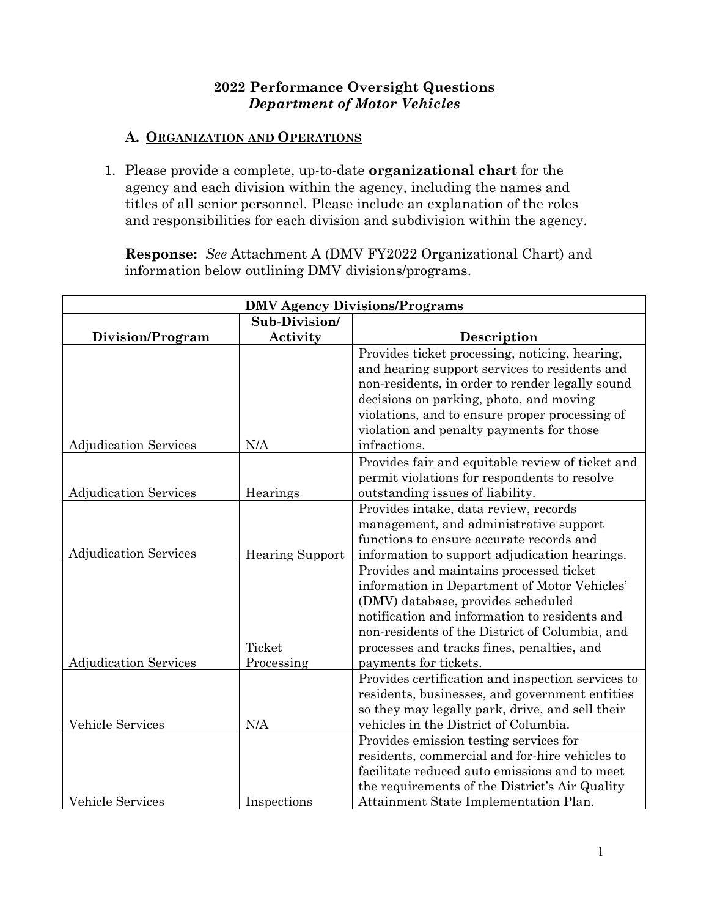### **2022 Performance Oversight Questions** *Department of Motor Vehicles*

### **A. ORGANIZATION AND OPERATIONS**

1. Please provide a complete, up-to-date **organizational chart** for the agency and each division within the agency, including the names and titles of all senior personnel. Please include an explanation of the roles and responsibilities for each division and subdivision within the agency.

**Response:** *See* Attachment A (DMV FY2022 Organizational Chart) and information below outlining DMV divisions/programs.

| <b>DMV Agency Divisions/Programs</b> |                        |                                                   |  |  |  |
|--------------------------------------|------------------------|---------------------------------------------------|--|--|--|
|                                      | Sub-Division/          |                                                   |  |  |  |
| Division/Program                     | Activity               | Description                                       |  |  |  |
|                                      |                        | Provides ticket processing, noticing, hearing,    |  |  |  |
|                                      |                        | and hearing support services to residents and     |  |  |  |
|                                      |                        | non-residents, in order to render legally sound   |  |  |  |
|                                      |                        | decisions on parking, photo, and moving           |  |  |  |
|                                      |                        | violations, and to ensure proper processing of    |  |  |  |
|                                      |                        | violation and penalty payments for those          |  |  |  |
| <b>Adjudication Services</b>         | N/A                    | infractions.                                      |  |  |  |
|                                      |                        | Provides fair and equitable review of ticket and  |  |  |  |
|                                      |                        | permit violations for respondents to resolve      |  |  |  |
| <b>Adjudication Services</b>         | Hearings               | outstanding issues of liability.                  |  |  |  |
|                                      |                        | Provides intake, data review, records             |  |  |  |
|                                      |                        | management, and administrative support            |  |  |  |
|                                      |                        | functions to ensure accurate records and          |  |  |  |
| <b>Adjudication Services</b>         | <b>Hearing Support</b> | information to support adjudication hearings.     |  |  |  |
|                                      |                        | Provides and maintains processed ticket           |  |  |  |
|                                      |                        | information in Department of Motor Vehicles'      |  |  |  |
|                                      |                        | (DMV) database, provides scheduled                |  |  |  |
|                                      |                        | notification and information to residents and     |  |  |  |
|                                      |                        | non-residents of the District of Columbia, and    |  |  |  |
|                                      | Ticket                 | processes and tracks fines, penalties, and        |  |  |  |
| <b>Adjudication Services</b>         | Processing             | payments for tickets.                             |  |  |  |
|                                      |                        | Provides certification and inspection services to |  |  |  |
|                                      |                        | residents, businesses, and government entities    |  |  |  |
|                                      |                        | so they may legally park, drive, and sell their   |  |  |  |
| Vehicle Services                     | N/A                    | vehicles in the District of Columbia.             |  |  |  |
|                                      |                        | Provides emission testing services for            |  |  |  |
|                                      |                        | residents, commercial and for-hire vehicles to    |  |  |  |
|                                      |                        | facilitate reduced auto emissions and to meet     |  |  |  |
|                                      |                        | the requirements of the District's Air Quality    |  |  |  |
| <b>Vehicle Services</b>              | Inspections            | Attainment State Implementation Plan.             |  |  |  |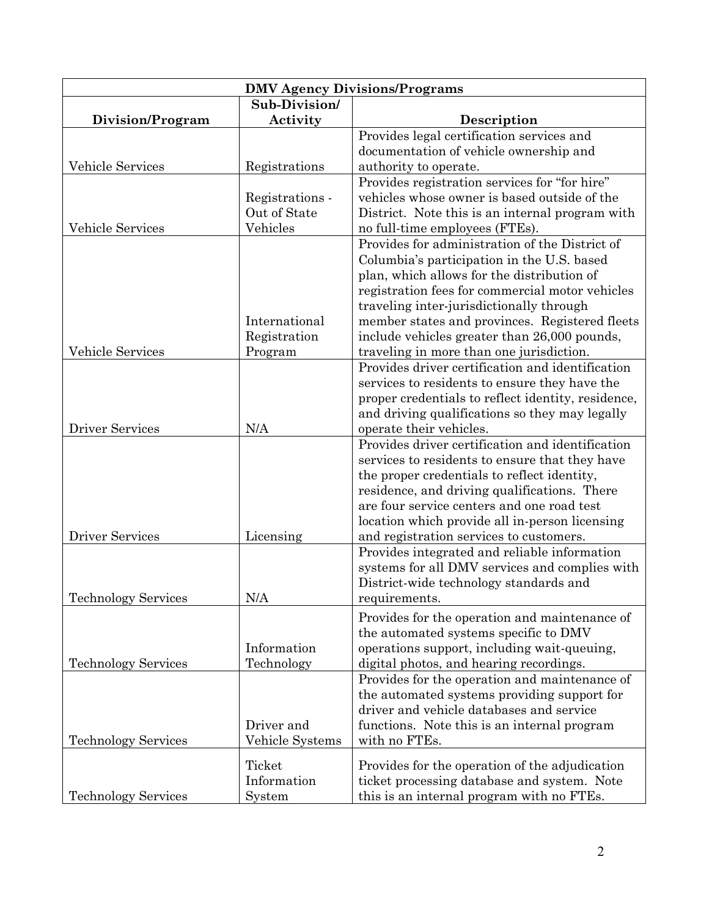| <b>DMV Agency Divisions/Programs</b> |                 |                                                                                            |  |  |  |
|--------------------------------------|-----------------|--------------------------------------------------------------------------------------------|--|--|--|
|                                      | Sub-Division/   |                                                                                            |  |  |  |
| Division/Program                     | Activity        | Description                                                                                |  |  |  |
|                                      |                 | Provides legal certification services and                                                  |  |  |  |
|                                      |                 | documentation of vehicle ownership and                                                     |  |  |  |
| <b>Vehicle Services</b>              | Registrations   | authority to operate.                                                                      |  |  |  |
|                                      |                 | Provides registration services for "for hire"                                              |  |  |  |
|                                      | Registrations - | vehicles whose owner is based outside of the                                               |  |  |  |
|                                      | Out of State    | District. Note this is an internal program with                                            |  |  |  |
| <b>Vehicle Services</b>              | Vehicles        | no full-time employees (FTEs).                                                             |  |  |  |
|                                      |                 | Provides for administration of the District of                                             |  |  |  |
|                                      |                 | Columbia's participation in the U.S. based                                                 |  |  |  |
|                                      |                 | plan, which allows for the distribution of                                                 |  |  |  |
|                                      |                 | registration fees for commercial motor vehicles                                            |  |  |  |
|                                      | International   | traveling inter-jurisdictionally through<br>member states and provinces. Registered fleets |  |  |  |
|                                      | Registration    | include vehicles greater than 26,000 pounds,                                               |  |  |  |
| <b>Vehicle Services</b>              | Program         | traveling in more than one jurisdiction.                                                   |  |  |  |
|                                      |                 | Provides driver certification and identification                                           |  |  |  |
|                                      |                 | services to residents to ensure they have the                                              |  |  |  |
|                                      |                 | proper credentials to reflect identity, residence,                                         |  |  |  |
|                                      |                 | and driving qualifications so they may legally                                             |  |  |  |
| <b>Driver Services</b>               | N/A             | operate their vehicles.                                                                    |  |  |  |
|                                      |                 | Provides driver certification and identification                                           |  |  |  |
|                                      |                 | services to residents to ensure that they have                                             |  |  |  |
|                                      |                 | the proper credentials to reflect identity,                                                |  |  |  |
|                                      |                 | residence, and driving qualifications. There                                               |  |  |  |
|                                      |                 | are four service centers and one road test                                                 |  |  |  |
|                                      |                 | location which provide all in-person licensing                                             |  |  |  |
| <b>Driver Services</b>               | Licensing       | and registration services to customers.                                                    |  |  |  |
|                                      |                 | Provides integrated and reliable information                                               |  |  |  |
|                                      |                 | systems for all DMV services and complies with                                             |  |  |  |
|                                      |                 | District-wide technology standards and                                                     |  |  |  |
| <b>Technology Services</b>           | N/A             | requirements.                                                                              |  |  |  |
|                                      |                 | Provides for the operation and maintenance of                                              |  |  |  |
|                                      |                 | the automated systems specific to DMV                                                      |  |  |  |
|                                      | Information     | operations support, including wait-queuing,                                                |  |  |  |
| <b>Technology Services</b>           | Technology      | digital photos, and hearing recordings.                                                    |  |  |  |
|                                      |                 | Provides for the operation and maintenance of                                              |  |  |  |
|                                      |                 | the automated systems providing support for                                                |  |  |  |
|                                      |                 | driver and vehicle databases and service                                                   |  |  |  |
|                                      | Driver and      | functions. Note this is an internal program                                                |  |  |  |
| <b>Technology Services</b>           | Vehicle Systems | with no FTEs.                                                                              |  |  |  |
|                                      | Ticket          | Provides for the operation of the adjudication                                             |  |  |  |
|                                      | Information     | ticket processing database and system. Note                                                |  |  |  |
| <b>Technology Services</b>           | System          | this is an internal program with no FTEs.                                                  |  |  |  |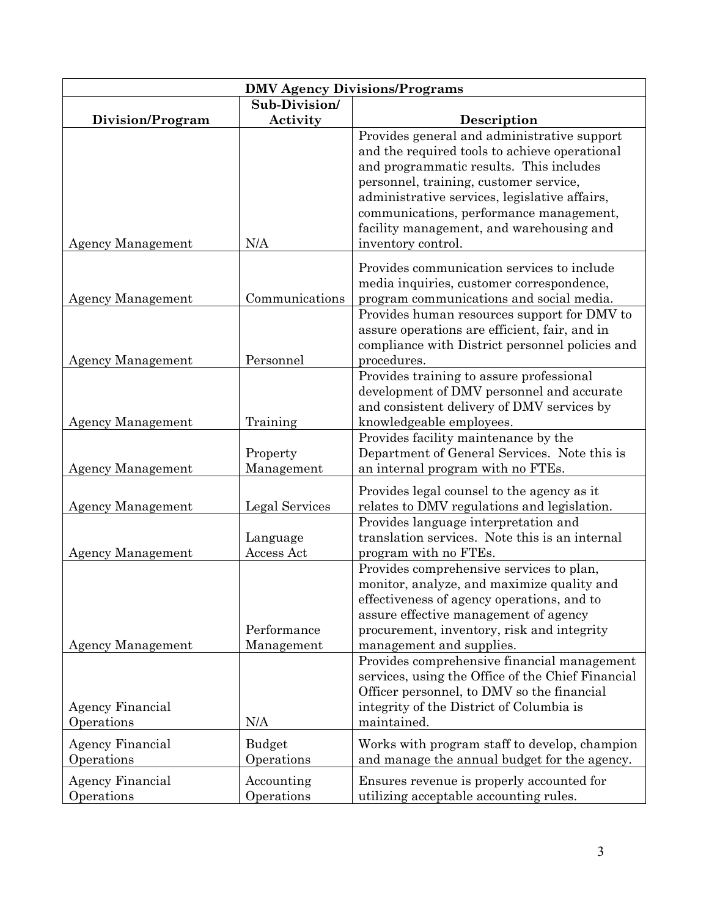|                                       |                             | <b>DMV Agency Divisions/Programs</b>                                                                                                                                                                                                                                                                                                            |
|---------------------------------------|-----------------------------|-------------------------------------------------------------------------------------------------------------------------------------------------------------------------------------------------------------------------------------------------------------------------------------------------------------------------------------------------|
|                                       | Sub-Division/               |                                                                                                                                                                                                                                                                                                                                                 |
| Division/Program                      | Activity                    | Description                                                                                                                                                                                                                                                                                                                                     |
| <b>Agency Management</b>              | N/A                         | Provides general and administrative support<br>and the required tools to achieve operational<br>and programmatic results. This includes<br>personnel, training, customer service,<br>administrative services, legislative affairs,<br>communications, performance management,<br>facility management, and warehousing and<br>inventory control. |
|                                       |                             |                                                                                                                                                                                                                                                                                                                                                 |
| <b>Agency Management</b>              | Communications              | Provides communication services to include<br>media inquiries, customer correspondence,<br>program communications and social media.<br>Provides human resources support for DMV to                                                                                                                                                              |
| <b>Agency Management</b>              | Personnel                   | assure operations are efficient, fair, and in<br>compliance with District personnel policies and<br>procedures.                                                                                                                                                                                                                                 |
| <b>Agency Management</b>              | Training                    | Provides training to assure professional<br>development of DMV personnel and accurate<br>and consistent delivery of DMV services by<br>knowledgeable employees.                                                                                                                                                                                 |
| <b>Agency Management</b>              | Property<br>Management      | Provides facility maintenance by the<br>Department of General Services. Note this is<br>an internal program with no FTEs.                                                                                                                                                                                                                       |
| <b>Agency Management</b>              | Legal Services              | Provides legal counsel to the agency as it<br>relates to DMV regulations and legislation.                                                                                                                                                                                                                                                       |
| <b>Agency Management</b>              | Language<br>Access Act      | Provides language interpretation and<br>translation services. Note this is an internal<br>program with no FTEs.                                                                                                                                                                                                                                 |
| <b>Agency Management</b>              | Performance<br>Management   | Provides comprehensive services to plan,<br>monitor, analyze, and maximize quality and<br>effectiveness of agency operations, and to<br>assure effective management of agency<br>procurement, inventory, risk and integrity<br>management and supplies.                                                                                         |
| Agency Financial<br>Operations        | N/A                         | Provides comprehensive financial management<br>services, using the Office of the Chief Financial<br>Officer personnel, to DMV so the financial<br>integrity of the District of Columbia is<br>maintained.                                                                                                                                       |
| <b>Agency Financial</b><br>Operations | <b>Budget</b><br>Operations | Works with program staff to develop, champion<br>and manage the annual budget for the agency.                                                                                                                                                                                                                                                   |
| <b>Agency Financial</b><br>Operations | Accounting<br>Operations    | Ensures revenue is properly accounted for<br>utilizing acceptable accounting rules.                                                                                                                                                                                                                                                             |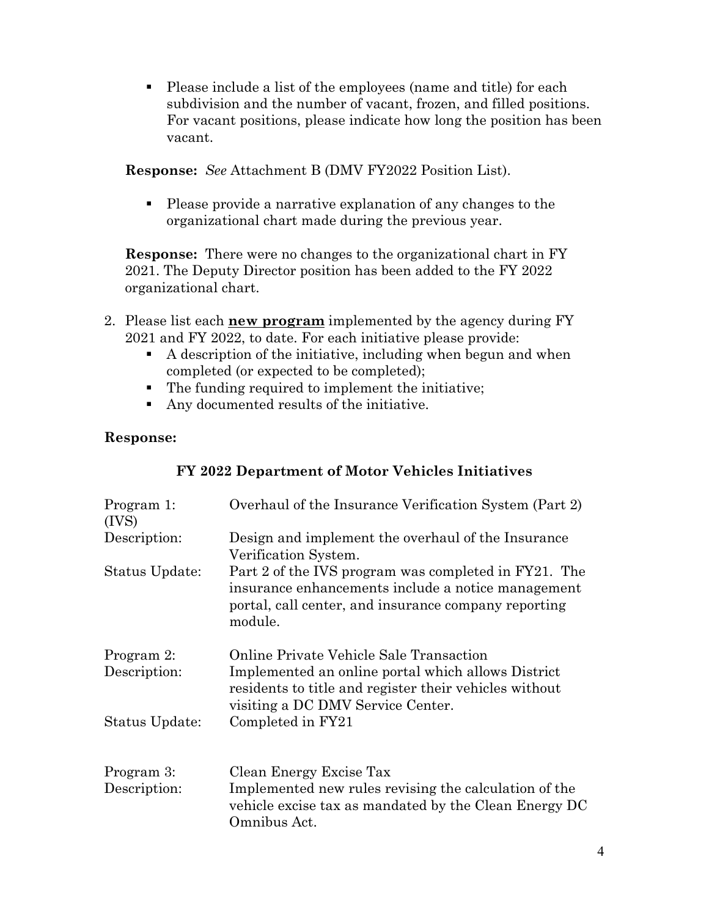Please include a list of the employees (name and title) for each subdivision and the number of vacant, frozen, and filled positions. For vacant positions, please indicate how long the position has been vacant.

**Response:** *See* Attachment B (DMV FY2022 Position List).

 Please provide a narrative explanation of any changes to the organizational chart made during the previous year.

**Response:** There were no changes to the organizational chart in FY 2021. The Deputy Director position has been added to the FY 2022 organizational chart.

- 2. Please list each **new program** implemented by the agency during FY 2021 and FY 2022, to date. For each initiative please provide:
	- A description of the initiative, including when begun and when completed (or expected to be completed);
	- The funding required to implement the initiative;
	- Any documented results of the initiative.

# **Response:**

| Program 1:<br>(IVS)        | Overhaul of the Insurance Verification System (Part 2)                                                                                                                                       |
|----------------------------|----------------------------------------------------------------------------------------------------------------------------------------------------------------------------------------------|
| Description:               | Design and implement the overhaul of the Insurance<br>Verification System.                                                                                                                   |
| Status Update:             | Part 2 of the IVS program was completed in FY21. The<br>insurance enhancements include a notice management<br>portal, call center, and insurance company reporting<br>module.                |
| Program 2:<br>Description: | Online Private Vehicle Sale Transaction<br>Implemented an online portal which allows District<br>residents to title and register their vehicles without<br>visiting a DC DMV Service Center. |
| Status Update:             | Completed in FY21                                                                                                                                                                            |
| Program 3:                 | Clean Energy Excise Tax                                                                                                                                                                      |
| Description:               | Implemented new rules revising the calculation of the<br>vehicle excise tax as mandated by the Clean Energy DC<br>Omnibus Act.                                                               |

#### **FY 2022 Department of Motor Vehicles Initiatives**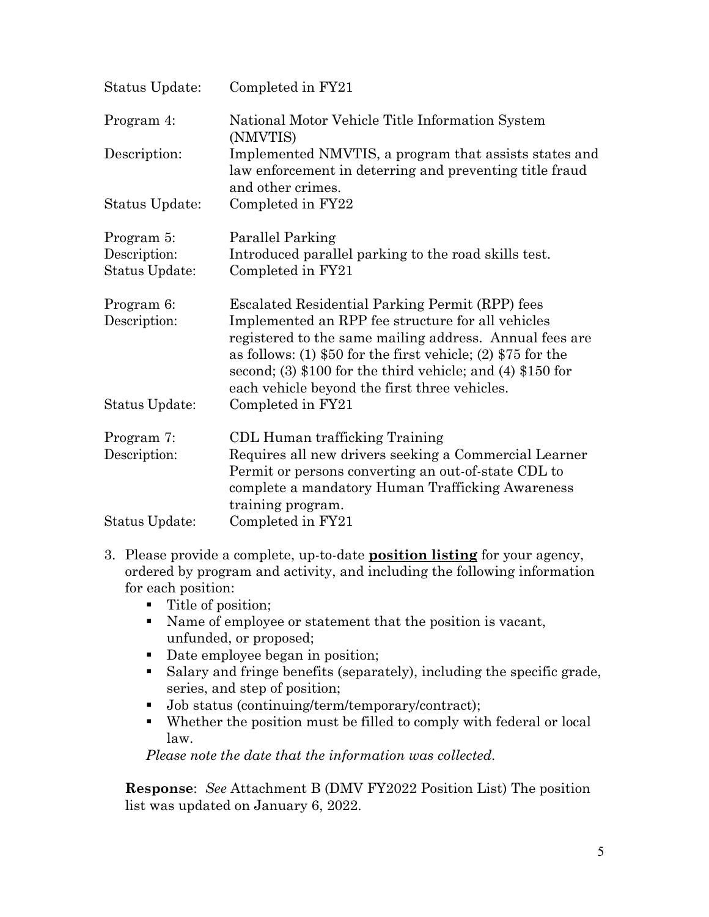| Status Update:                               | Completed in FY21                                                                                                                                                                                                                                                                                                                                  |  |  |  |  |
|----------------------------------------------|----------------------------------------------------------------------------------------------------------------------------------------------------------------------------------------------------------------------------------------------------------------------------------------------------------------------------------------------------|--|--|--|--|
| Program 4:                                   | National Motor Vehicle Title Information System<br>(NMVTIS)                                                                                                                                                                                                                                                                                        |  |  |  |  |
| Description:                                 | Implemented NMVTIS, a program that assists states and<br>law enforcement in deterring and preventing title fraud<br>and other crimes.                                                                                                                                                                                                              |  |  |  |  |
| Status Update:                               | Completed in FY22                                                                                                                                                                                                                                                                                                                                  |  |  |  |  |
| Program 5:<br>Description:<br>Status Update: | Parallel Parking<br>Introduced parallel parking to the road skills test.<br>Completed in FY21                                                                                                                                                                                                                                                      |  |  |  |  |
| Program 6:<br>Description:                   | Escalated Residential Parking Permit (RPP) fees<br>Implemented an RPP fee structure for all vehicles<br>registered to the same mailing address. Annual fees are<br>as follows: (1) $$50$ for the first vehicle; (2) $$75$ for the<br>second; (3) $$100$ for the third vehicle; and (4) $$150$ for<br>each vehicle beyond the first three vehicles. |  |  |  |  |
| Status Update:                               | Completed in FY21                                                                                                                                                                                                                                                                                                                                  |  |  |  |  |
| Program 7:<br>Description:                   | CDL Human trafficking Training<br>Requires all new drivers seeking a Commercial Learner<br>Permit or persons converting an out-of-state CDL to<br>complete a mandatory Human Trafficking Awareness<br>training program.                                                                                                                            |  |  |  |  |
| Status Update:                               | Completed in FY21                                                                                                                                                                                                                                                                                                                                  |  |  |  |  |

- 3. Please provide a complete, up-to-date **position listing** for your agency, ordered by program and activity, and including the following information for each position:
	- Title of position;
	- Name of employee or statement that the position is vacant, unfunded, or proposed;
	- Date employee began in position;
	- Salary and fringe benefits (separately), including the specific grade, series, and step of position;
	- Job status (continuing/term/temporary/contract);
	- Whether the position must be filled to comply with federal or local law.

*Please note the date that the information was collected.* 

**Response**: *See* Attachment B (DMV FY2022 Position List) The position list was updated on January 6, 2022.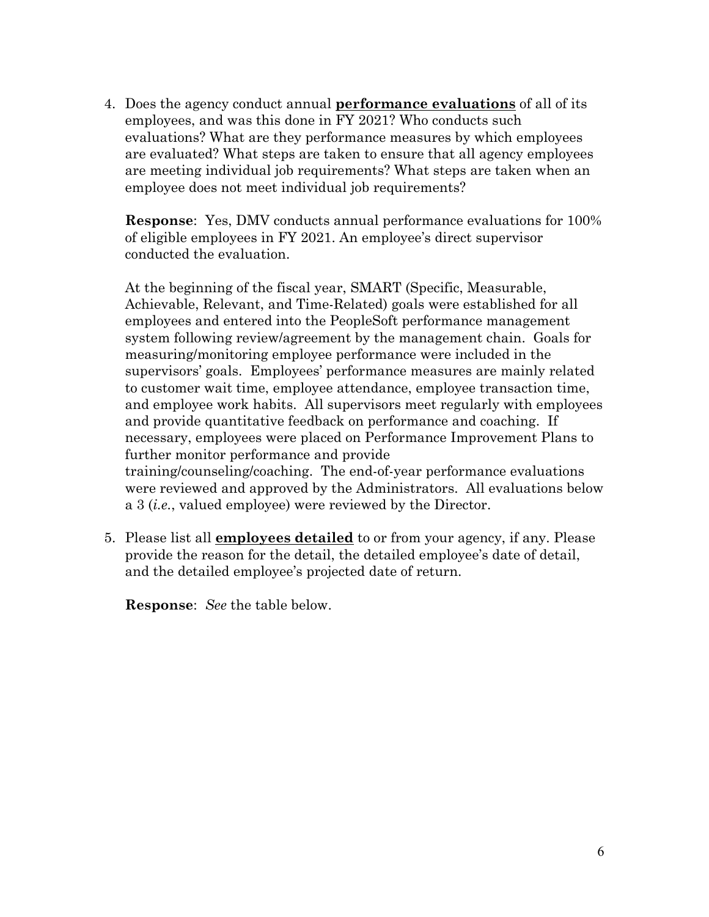4. Does the agency conduct annual **performance evaluations** of all of its employees, and was this done in FY 2021? Who conducts such evaluations? What are they performance measures by which employees are evaluated? What steps are taken to ensure that all agency employees are meeting individual job requirements? What steps are taken when an employee does not meet individual job requirements?

**Response**: Yes, DMV conducts annual performance evaluations for 100% of eligible employees in FY 2021. An employee's direct supervisor conducted the evaluation.

At the beginning of the fiscal year, SMART (Specific, Measurable, Achievable, Relevant, and Time-Related) goals were established for all employees and entered into the PeopleSoft performance management system following review/agreement by the management chain. Goals for measuring/monitoring employee performance were included in the supervisors' goals. Employees' performance measures are mainly related to customer wait time, employee attendance, employee transaction time, and employee work habits. All supervisors meet regularly with employees and provide quantitative feedback on performance and coaching. If necessary, employees were placed on Performance Improvement Plans to further monitor performance and provide training/counseling/coaching. The end-of-year performance evaluations were reviewed and approved by the Administrators. All evaluations below a 3 (*i.e.*, valued employee) were reviewed by the Director.

5. Please list all **employees detailed** to or from your agency, if any. Please provide the reason for the detail, the detailed employee's date of detail, and the detailed employee's projected date of return.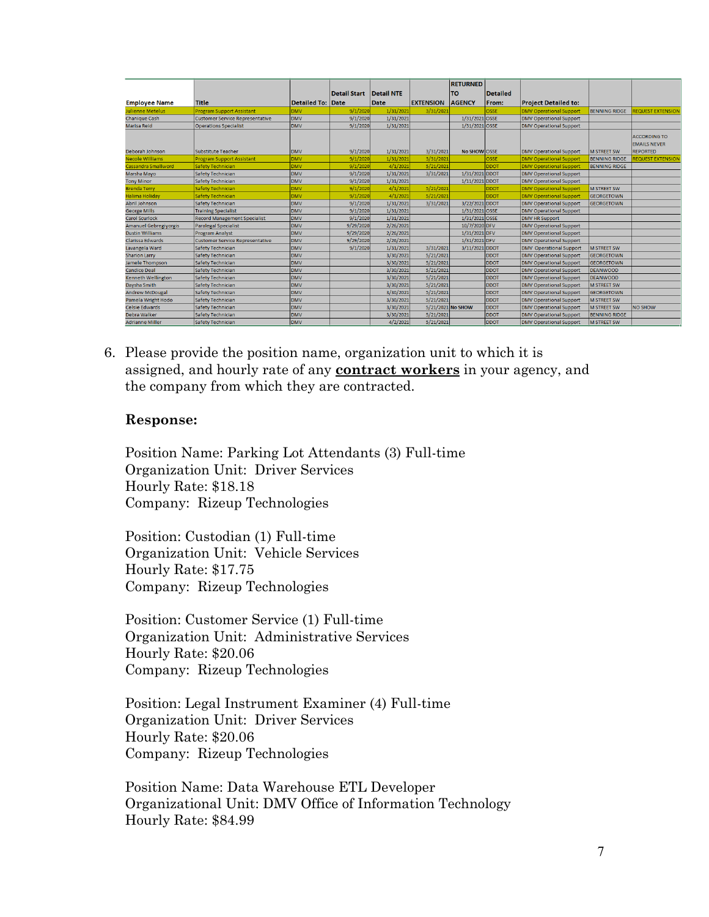|                              |                                        |                   |              |            |                  | <b>RETURNED</b>   |                 |                                |                      |                                                               |
|------------------------------|----------------------------------------|-------------------|--------------|------------|------------------|-------------------|-----------------|--------------------------------|----------------------|---------------------------------------------------------------|
|                              |                                        |                   | Detail Start | Detail NTE |                  | TO                | <b>Detailed</b> |                                |                      |                                                               |
| <b>Employee Name</b>         | Title                                  | Detailed To: Date |              | Date       | <b>EXTENSION</b> | <b>AGENCY</b>     | From:           | <b>Project Detailed to:</b>    |                      |                                                               |
| <b>Julienne Metelus</b>      | <b>Program Support Assistant</b>       | <b>DMV</b>        | 9/1/2020     | 1/31/2021  | 3/31/202         |                   | OSSE            | <b>DMV Operational Support</b> | <b>BENNING RIDGE</b> | REQUEST EXTENSION                                             |
| <b>Chanique Cash</b>         | <b>Customer Service Representative</b> | DMV               | 9/1/2020     | 1/31/2021  |                  | 1/31/2021 OSSE    |                 | <b>DMV Operational Support</b> |                      |                                                               |
| Marisa Reid                  | <b>Operations Specialist</b>           | <b>DMV</b>        | 9/1/2020     | 1/31/2021  |                  | 1/31/2021 OSSE    |                 | <b>DMV Operational Support</b> |                      |                                                               |
| Deborah Johnson              | Substitute Teacher                     | <b>DMV</b>        | 9/1/2020     | 1/31/2021  | 3/31/2021        | No SHOW OSSE      |                 | <b>DMV Operational Support</b> | <b>M STREET SW</b>   | <b>ACCORDING TO</b><br><b>EMAILS NEVER</b><br><b>REPORTED</b> |
| <b>Necole Williams</b>       | <b>Program Support Assistant</b>       | <b>DMV</b>        | 9/1/2020     | 1/31/2021  | 3/31/2021        |                   | OSSE            | <b>DMV Operational Support</b> | <b>BENNING RIDGE</b> | REQUEST EXTENSION                                             |
| <b>Cassandra Smallword</b>   | <b>Safety Technician</b>               | <b>DMV</b>        | 9/1/2020     | 4/1/2021   | 5/21/2021        |                   | <b>DDOT</b>     | <b>DMV Operational Support</b> | <b>BENNING RIDGE</b> |                                                               |
| Marsha Mayo                  | <b>Safety Technician</b>               | <b>DMV</b>        | 9/1/2020     | 1/31/2021  | 3/31/2021        | 1/31/2021 DDOT    |                 | <b>DMV Operational Support</b> |                      |                                                               |
| <b>Tony Minor</b>            | <b>Safety Technician</b>               | <b>DMV</b>        | 9/1/2020     | 1/31/2021  |                  | 1/11/2021 DDOT    |                 | <b>DMV Operational Support</b> |                      |                                                               |
| <b>Brenda Terry</b>          | <b>Safety Technician</b>               | <b>DMV</b>        | 9/1/2020     | 4/1/2021   | 5/21/2021        |                   | <b>DDOT</b>     | <b>DMV Operational Support</b> | <b>M STREET SW</b>   |                                                               |
| <b>Halima Holiday</b>        | <b>Safety Technician</b>               | <b>DMV</b>        | 9/1/2020     | 4/1/2021   | 5/21/2021        |                   | <b>DDOT</b>     | <b>DMV Operational Support</b> | <b>GEORGETOWN</b>    |                                                               |
| <b>Abril Johnson</b>         | Safety Technician                      | <b>DMV</b>        | 9/1/2020     | 1/31/2021  | 3/31/2021        | 3/22/2021 DDOT    |                 | <b>DMV Operational Support</b> | <b>GEORGETOWN</b>    |                                                               |
| <b>George Mills</b>          | <b>Training Specialist</b>             | <b>DMV</b>        | 9/1/2020     | 1/31/2021  |                  | 1/31/2021 OSSE    |                 | <b>DMV Operational Support</b> |                      |                                                               |
| <b>Carol Scurlock</b>        | <b>Record Management Specialist</b>    | <b>DMV</b>        | 9/1/2020     | 1/31/2021  |                  | 1/31/2021 OSSE    |                 | <b>DMV HR Support</b>          |                      |                                                               |
| <b>Amanuel Gebregiyorgis</b> | Paralegal Specialist                   | <b>DMV</b>        | 9/29/2020    | 2/26/2021  |                  | 10/7/2020 DFV     |                 | <b>DMV Operational Support</b> |                      |                                                               |
| <b>Dustin Williams</b>       | <b>Program Analyst</b>                 | <b>DMV</b>        | 9/29/2020    | 2/26/2021  |                  | 1/31/2021 DFV     |                 | <b>DMV Operational Support</b> |                      |                                                               |
| <b>Clarissa Edwards</b>      | <b>Customer Service Representative</b> | <b>DMV</b>        | 9/29/2020    | 2/26/2021  |                  | 1/31/2021 DFV     |                 | <b>DMV Operational Support</b> |                      |                                                               |
| Lavangela Ward               | <b>Safety Technician</b>               | <b>DMV</b>        | 9/1/2020     | 1/31/2021  | 3/31/2021        | 3/11/2021 DDOT    |                 | <b>DMV</b> Operational Support | <b>M STREET SW</b>   |                                                               |
| <b>Sharion Larry</b>         | Safety Technician                      | <b>DMV</b>        |              | 3/30/2021  | 5/21/2021        |                   | <b>DDOT</b>     | <b>DMV Operational Support</b> | <b>GEORGETOWN</b>    |                                                               |
| Jamele Thompson              | Safety Technician                      | <b>DMV</b>        |              | 3/30/2021  | 5/21/2021        |                   | <b>DDOT</b>     | <b>DMV Operational Support</b> | <b>GEORGETOWN</b>    |                                                               |
| <b>Candice Deal</b>          | Safety Technician                      | <b>DMV</b>        |              | 3/30/2021  | 5/21/2021        |                   | <b>DDOT</b>     | <b>DMV Operational Support</b> | <b>DEANWOOD</b>      |                                                               |
| Kenneth Wellington           | <b>Safety Technician</b>               | <b>DMV</b>        |              | 3/30/2021  | 5/21/2021        |                   | <b>DDOT</b>     | <b>DMV Operational Support</b> | <b>DEANWOOD</b>      |                                                               |
| Daysha Smith                 | <b>Safety Technician</b>               | <b>DMV</b>        |              | 3/30/2021  | 5/21/2021        |                   | <b>DDOT</b>     | <b>DMV Operational Support</b> | <b>M STREET SW</b>   |                                                               |
| <b>Andrew McDougal</b>       | Safety Technician                      | <b>DMV</b>        |              | 3/30/2021  | 5/21/2021        |                   | <b>DDOT</b>     | <b>DMV Operational Support</b> | <b>GEORGETOWN</b>    |                                                               |
| Pamela Wright Hodo           | Safety Technician                      | DMV               |              | 3/30/2021  | 5/21/2021        |                   | <b>DDOT</b>     | <b>DMV Operational Support</b> | <b>M STREET SW</b>   |                                                               |
| <b>Celsie Edwards</b>        | <b>Safety Technician</b>               | <b>DMV</b>        |              | 3/30/2021  |                  | 5/21/2021 No SHOW | <b>DDOT</b>     | <b>DMV Operational Support</b> | <b>M STREET SW</b>   | <b>NO SHOW</b>                                                |
| <b>Debra Walker</b>          | <b>Safety Technician</b>               | <b>DMV</b>        |              | 3/30/2021  | 5/21/2021        |                   | <b>DDOT</b>     | <b>DMV Operational Support</b> | <b>BENNING RIDGE</b> |                                                               |
| <b>Adrianne Miller</b>       | Safety Technician                      | <b>DMV</b>        |              | 4/2/2021   | 5/21/2021        |                   | <b>DDOT</b>     | <b>DMV Operational Support</b> | <b>M STREET SW</b>   |                                                               |

6. Please provide the position name, organization unit to which it is assigned, and hourly rate of any **contract workers** in your agency, and the company from which they are contracted.

#### **Response:**

Position Name: Parking Lot Attendants (3) Full-time Organization Unit: Driver Services Hourly Rate: \$18.18 Company: Rizeup Technologies

Position: Custodian (1) Full-time Organization Unit: Vehicle Services Hourly Rate: \$17.75 Company: Rizeup Technologies

Position: Customer Service (1) Full-time Organization Unit: Administrative Services Hourly Rate: \$20.06 Company: Rizeup Technologies

Position: Legal Instrument Examiner (4) Full-time Organization Unit: Driver Services Hourly Rate: \$20.06 Company: Rizeup Technologies

Position Name: Data Warehouse ETL Developer Organizational Unit: DMV Office of Information Technology Hourly Rate: \$84.99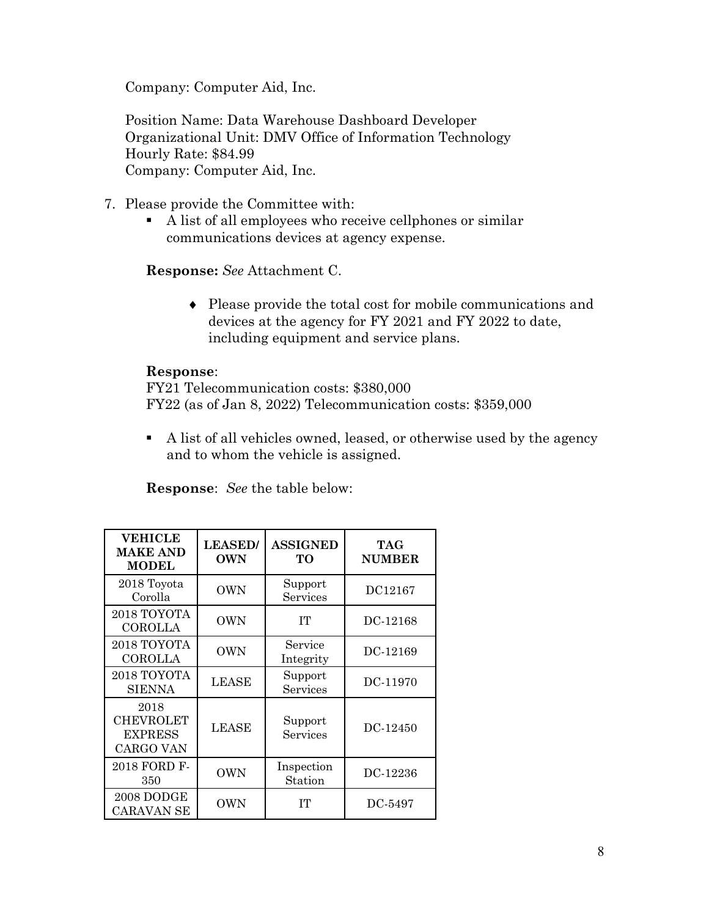Company: Computer Aid, Inc.

Position Name: Data Warehouse Dashboard Developer Organizational Unit: DMV Office of Information Technology Hourly Rate: \$84.99 Company: Computer Aid, Inc.

- 7. Please provide the Committee with:
	- A list of all employees who receive cellphones or similar communications devices at agency expense.

**Response:** *See* Attachment C.

♦ Please provide the total cost for mobile communications and devices at the agency for FY 2021 and FY 2022 to date, including equipment and service plans.

#### **Response**:

FY21 Telecommunication costs: \$380,000 FY22 (as of Jan 8, 2022) Telecommunication costs: \$359,000

 A list of all vehicles owned, leased, or otherwise used by the agency and to whom the vehicle is assigned.

| <b>VEHICLE</b><br><b>MAKE AND</b><br><b>MODEL</b>       | <b>LEASED</b><br><b>OWN</b> | <b>ASSIGNED</b><br><b>TO</b> | TAG<br><b>NUMBER</b> |
|---------------------------------------------------------|-----------------------------|------------------------------|----------------------|
| 2018 Toyota<br>Corolla                                  | <b>OWN</b>                  | Support<br>Services          | DC12167              |
| 2018 TOYOTA<br><b>COROLLA</b>                           | <b>OWN</b>                  | <b>TT</b>                    | DC-12168             |
| 2018 TOYOTA<br><b>COROLLA</b>                           | <b>OWN</b>                  | Service<br>Integrity         | DC-12169             |
| 2018 TOYOTA<br><b>SIENNA</b>                            | LEASE                       | Support<br>Services          | DC-11970             |
| 2018<br><b>CHEVROLET</b><br><b>EXPRESS</b><br>CARGO VAN | <b>LEASE</b>                | Support<br>Services          | DC-12450             |
| 2018 FORD F-<br>350                                     | <b>OWN</b>                  | Inspection<br>Station        | DC-12236             |
| 2008 DODGE<br><b>CARAVAN SE</b>                         | OWN                         | IТ                           | DC-5497              |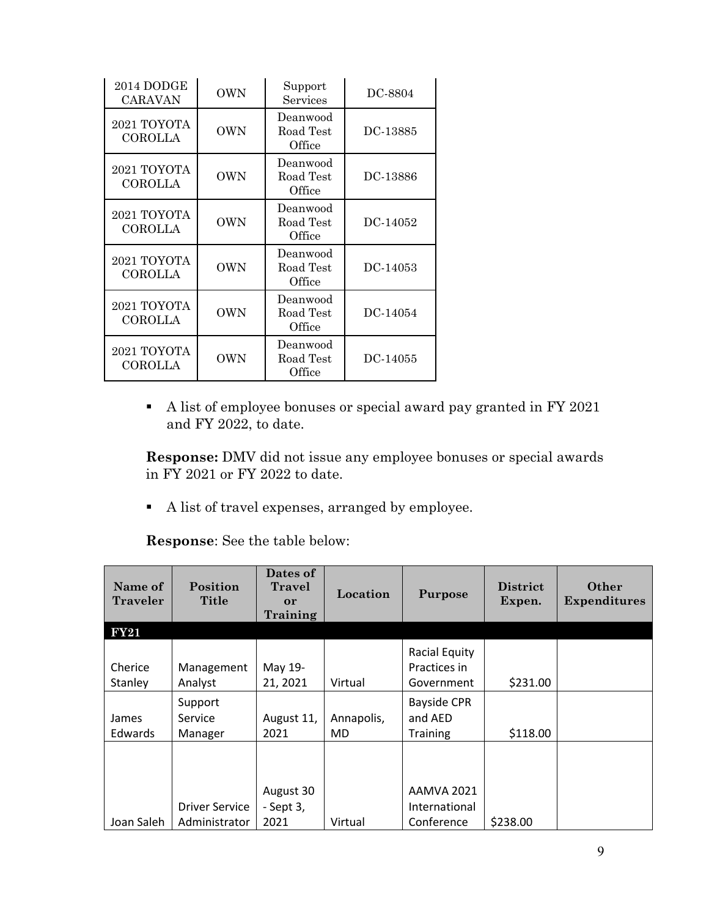| 2014 DODGE<br><b>CARAVAN</b>  | <b>OWN</b> | Support<br>Services             | DC-8804  |
|-------------------------------|------------|---------------------------------|----------|
| 2021 TOYOTA<br>COROLLA        | <b>OWN</b> | Deanwood<br>Road Test<br>Office | DC-13885 |
| 2021 TOYOTA<br>COROLLA        | <b>OWN</b> | Deanwood<br>Road Test<br>Office | DC-13886 |
| 2021 TOYOTA<br>COROLLA        | <b>OWN</b> | Deanwood<br>Road Test<br>Office | DC-14052 |
| 2021 TOYOTA<br><b>COROLLA</b> | <b>OWN</b> | Deanwood<br>Road Test<br>Office | DC-14053 |
| 2021 TOYOTA<br>COROLLA        | <b>OWN</b> | Deanwood<br>Road Test<br>Office | DC-14054 |
| 2021 TOYOTA<br>COROLLA        | <b>OWN</b> | Deanwood<br>Road Test<br>Office | DC-14055 |

A list of employee bonuses or special award pay granted in FY 2021 and FY 2022, to date.

**Response:** DMV did not issue any employee bonuses or special awards in FY 2021 or FY 2022 to date.

A list of travel expenses, arranged by employee.

| Name of<br>Traveler     | Position<br><b>Title</b>               | Dates of<br><b>Travel</b><br>or<br>Training | Location                | Purpose                                            | <b>District</b><br>Expen. | Other<br><b>Expenditures</b> |
|-------------------------|----------------------------------------|---------------------------------------------|-------------------------|----------------------------------------------------|---------------------------|------------------------------|
| <b>FY21</b>             |                                        |                                             |                         |                                                    |                           |                              |
| Cherice<br>Stanley      | Management<br>Analyst                  | May 19-<br>21, 2021                         | Virtual                 | <b>Racial Equity</b><br>Practices in<br>Government | \$231.00                  |                              |
| James<br><b>Edwards</b> | Support<br>Service<br>Manager          | August 11,<br>2021                          | Annapolis,<br><b>MD</b> | <b>Bayside CPR</b><br>and AED<br><b>Training</b>   | \$118.00                  |                              |
| Joan Saleh              | <b>Driver Service</b><br>Administrator | August 30<br>- Sept 3,<br>2021              | Virtual                 | <b>AAMVA 2021</b><br>International<br>Conference   | \$238.00                  |                              |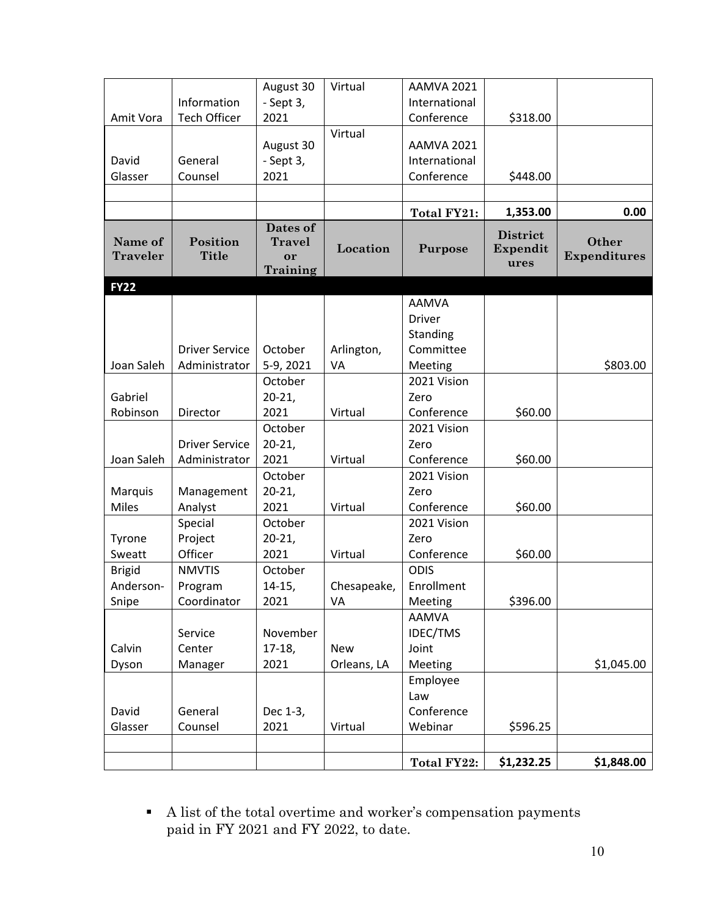|                            |                          | August 30                       | Virtual     | AAMVA 2021        |                             |                              |
|----------------------------|--------------------------|---------------------------------|-------------|-------------------|-----------------------------|------------------------------|
|                            | Information              | - Sept 3,                       |             | International     |                             |                              |
| Amit Vora                  | <b>Tech Officer</b>      | 2021                            |             | Conference        | \$318.00                    |                              |
|                            |                          |                                 | Virtual     |                   |                             |                              |
|                            |                          | August 30                       |             | <b>AAMVA 2021</b> |                             |                              |
| David                      | General                  | - Sept 3,                       |             | International     |                             |                              |
| Glasser                    | Counsel                  | 2021                            |             | Conference        | \$448.00                    |                              |
|                            |                          |                                 |             |                   |                             |                              |
|                            |                          |                                 |             | Total FY21:       | 1,353.00                    | 0.00                         |
| Name of<br><b>Traveler</b> | Position<br><b>Title</b> | Dates of<br><b>Travel</b><br>or | Location    | Purpose           | <b>District</b><br>Expendit | Other<br><b>Expenditures</b> |
|                            |                          | Training                        |             |                   | ures                        |                              |
| <b>FY22</b>                |                          |                                 |             |                   |                             |                              |
|                            |                          |                                 |             | <b>AAMVA</b>      |                             |                              |
|                            |                          |                                 |             | <b>Driver</b>     |                             |                              |
|                            |                          |                                 |             | Standing          |                             |                              |
|                            | <b>Driver Service</b>    | October                         | Arlington,  | Committee         |                             |                              |
| Joan Saleh                 | Administrator            | 5-9, 2021                       | VA          | Meeting           |                             | \$803.00                     |
|                            |                          | October                         |             | 2021 Vision       |                             |                              |
| Gabriel                    |                          | $20-21,$                        |             | Zero              |                             |                              |
| Robinson                   | Director                 | 2021                            | Virtual     | Conference        | \$60.00                     |                              |
|                            |                          | October                         |             | 2021 Vision       |                             |                              |
|                            | <b>Driver Service</b>    | $20 - 21$                       |             | Zero              |                             |                              |
| Joan Saleh                 | Administrator            | 2021                            | Virtual     | Conference        | \$60.00                     |                              |
|                            |                          | October                         |             | 2021 Vision       |                             |                              |
| Marquis                    | Management               | $20 - 21$                       |             | Zero              |                             |                              |
| <b>Miles</b>               | Analyst                  | 2021                            | Virtual     | Conference        | \$60.00                     |                              |
|                            | Special                  | October                         |             | 2021 Vision       |                             |                              |
| Tyrone                     | Project                  | $20 - 21$                       |             | Zero              |                             |                              |
| Sweatt                     | Officer                  | 2021                            | Virtual     | Conference        | \$60.00                     |                              |
| <b>Brigid</b>              | <b>NMVTIS</b>            | October                         |             | <b>ODIS</b>       |                             |                              |
| Anderson-                  | Program                  | $14-15,$                        | Chesapeake, | Enrollment        |                             |                              |
| Snipe                      | Coordinator              | 2021                            | VA          | Meeting           | \$396.00                    |                              |
|                            |                          |                                 |             | <b>AAMVA</b>      |                             |                              |
|                            | Service                  | November                        |             | <b>IDEC/TMS</b>   |                             |                              |
| Calvin                     | Center                   | $17-18,$                        | <b>New</b>  | Joint             |                             |                              |
| Dyson                      | Manager                  | 2021                            | Orleans, LA | Meeting           |                             | \$1,045.00                   |
|                            |                          |                                 |             | Employee          |                             |                              |
|                            |                          |                                 |             | Law               |                             |                              |
| David                      | General                  | Dec 1-3,                        |             | Conference        |                             |                              |
| Glasser                    | Counsel                  | 2021                            | Virtual     | Webinar           | \$596.25                    |                              |
|                            |                          |                                 |             |                   |                             |                              |
|                            |                          |                                 |             | Total FY22:       | \$1,232.25                  | \$1,848.00                   |

 $\bullet$   $\;$  A list of the total overtime and worker's compensation payments paid in FY 2021 and FY 2022, to date.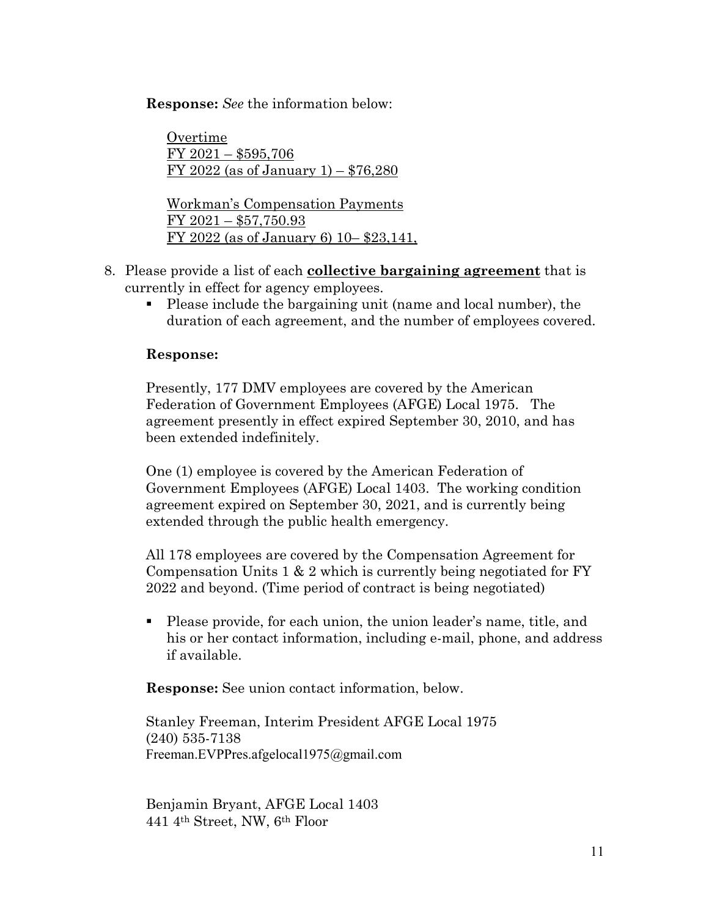**Response:** *See* the information below:

Overtime FY 2021 – \$595,706 FY 2022 (as of January 1) – \$76,280 Workman's Compensation Payments

FY 2021 – \$57,750.93 FY 2022 (as of January 6) 10– \$23,141,

- 8. Please provide a list of each **collective bargaining agreement** that is currently in effect for agency employees.
	- Please include the bargaining unit (name and local number), the duration of each agreement, and the number of employees covered.

#### **Response:**

Presently, 177 DMV employees are covered by the American Federation of Government Employees (AFGE) Local 1975. The agreement presently in effect expired September 30, 2010, and has been extended indefinitely.

One (1) employee is covered by the American Federation of Government Employees (AFGE) Local 1403. The working condition agreement expired on September 30, 2021, and is currently being extended through the public health emergency.

All 178 employees are covered by the Compensation Agreement for Compensation Units 1 & 2 which is currently being negotiated for FY 2022 and beyond. (Time period of contract is being negotiated)

 Please provide, for each union, the union leader's name, title, and his or her contact information, including e-mail, phone, and address if available.

**Response:** See union contact information, below.

Stanley Freeman, Interim President AFGE Local 1975 (240) 535-7138 Freeman.EVPPres.afgelocal1975@gmail.com

Benjamin Bryant, AFGE Local 1403 441 4th Street, NW, 6th Floor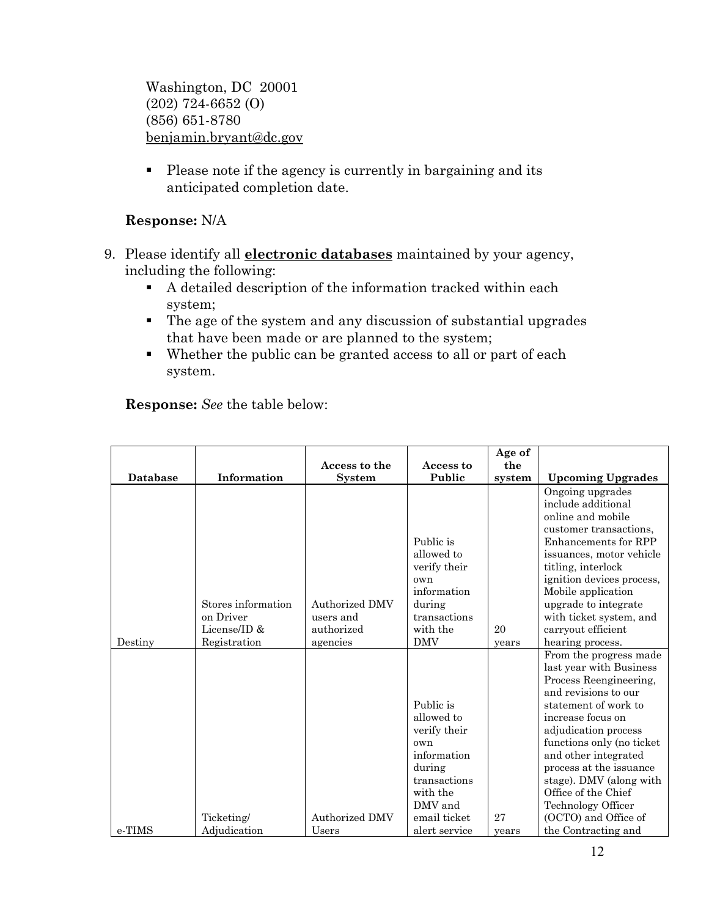Washington, DC 20001 (202) 724-6652 (O) (856) 651-8780 [benjamin.bryant@dc.gov](mailto:steve.anderson@dc.gov)

• Please note if the agency is currently in bargaining and its anticipated completion date.

# **Response:** N/A

- 9. Please identify all **electronic databases** maintained by your agency, including the following:
	- A detailed description of the information tracked within each system;
	- The age of the system and any discussion of substantial upgrades that have been made or are planned to the system;
	- Whether the public can be granted access to all or part of each system.

|                 |                                                 | Access to the                                    | Access to                                                                                                                      | Age of<br>the |                                                                                                                                                                                                                                                                                                                                                           |
|-----------------|-------------------------------------------------|--------------------------------------------------|--------------------------------------------------------------------------------------------------------------------------------|---------------|-----------------------------------------------------------------------------------------------------------------------------------------------------------------------------------------------------------------------------------------------------------------------------------------------------------------------------------------------------------|
| <b>Database</b> | Information                                     | <b>System</b>                                    | Public                                                                                                                         | system        | <b>Upcoming Upgrades</b>                                                                                                                                                                                                                                                                                                                                  |
|                 | Stores information<br>on Driver<br>License/ID & | <b>Authorized DMV</b><br>users and<br>authorized | Public is<br>allowed to<br>verify their<br>own<br>information<br>during<br>transactions<br>with the                            | 20            | Ongoing upgrades<br>include additional<br>online and mobile<br>customer transactions,<br>Enhancements for RPP<br>issuances, motor vehicle<br>titling, interlock<br>ignition devices process,<br>Mobile application<br>upgrade to integrate<br>with ticket system, and<br>carryout efficient                                                               |
| Destiny         | Registration                                    | agencies                                         | <b>DMV</b>                                                                                                                     | years         | hearing process.                                                                                                                                                                                                                                                                                                                                          |
|                 | Ticketing/                                      | <b>Authorized DMV</b>                            | Public is<br>allowed to<br>verify their<br>own<br>information<br>during<br>transactions<br>with the<br>DMV and<br>email ticket | 27            | From the progress made<br>last year with Business<br>Process Reengineering,<br>and revisions to our<br>statement of work to<br>increase focus on<br>adjudication process<br>functions only (no ticket)<br>and other integrated<br>process at the issuance<br>stage). DMV (along with<br>Office of the Chief<br>Technology Officer<br>(OCTO) and Office of |
| e-TIMS          | Adjudication                                    | Users                                            | alert service                                                                                                                  | years         | the Contracting and                                                                                                                                                                                                                                                                                                                                       |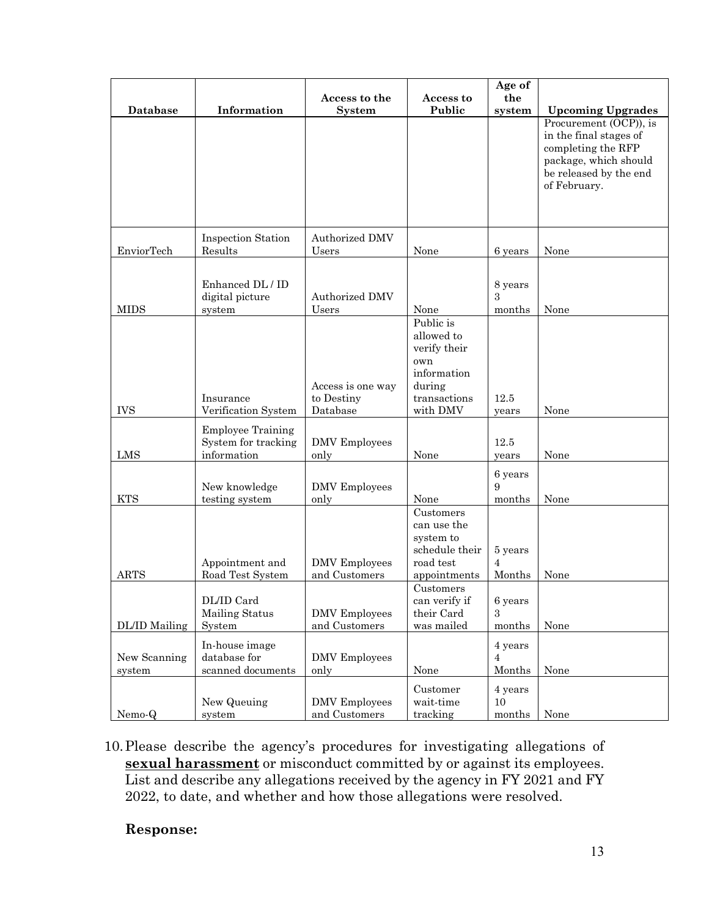|                        |                                                                |                                             |                                                                                                     | Age of                              |                                                                                                                                           |
|------------------------|----------------------------------------------------------------|---------------------------------------------|-----------------------------------------------------------------------------------------------------|-------------------------------------|-------------------------------------------------------------------------------------------------------------------------------------------|
| <b>Database</b>        | Information                                                    | Access to the<br><b>System</b>              | Access to<br>Public                                                                                 | the<br>system                       | <b>Upcoming Upgrades</b>                                                                                                                  |
|                        |                                                                |                                             |                                                                                                     |                                     | Procurement (OCP)), is<br>in the final stages of<br>completing the RFP<br>package, which should<br>be released by the end<br>of February. |
|                        | <b>Inspection Station</b>                                      | Authorized DMV                              |                                                                                                     |                                     |                                                                                                                                           |
| EnviorTech             | Results                                                        | Users                                       | None                                                                                                | 6 years                             | None                                                                                                                                      |
| <b>MIDS</b>            | Enhanced DL / ID<br>digital picture<br>system                  | <b>Authorized DMV</b><br>Users              | None                                                                                                | 8 years<br>$\overline{3}$<br>months | None                                                                                                                                      |
| <b>IVS</b>             | Insurance<br>Verification System                               | Access is one way<br>to Destiny<br>Database | Public is<br>allowed to<br>verify their<br>own<br>information<br>during<br>transactions<br>with DMV | 12.5<br>years                       | None                                                                                                                                      |
| LMS                    | <b>Employee Training</b><br>System for tracking<br>information | <b>DMV</b> Employees<br>only                | None                                                                                                | 12.5<br>years                       | None                                                                                                                                      |
| <b>KTS</b>             | New knowledge<br>testing system                                | <b>DMV</b> Employees<br>only                | None                                                                                                | 6 years<br>9<br>months              | None                                                                                                                                      |
| <b>ARTS</b>            | Appointment and<br>Road Test System                            | <b>DMV</b> Employees<br>and Customers       | Customers<br>can use the<br>system to<br>schedule their<br>road test<br>appointments<br>Customers   | 5 years<br>$\overline{4}$<br>Months | None                                                                                                                                      |
| DL/ID Mailing          | DL/ID Card<br>Mailing Status<br>System                         | <b>DMV</b> Employees<br>and Customers       | can verify if<br>their Card<br>was mailed                                                           | 6 years<br>$\mathcal{S}$<br>months  | None                                                                                                                                      |
| New Scanning<br>system | In-house image<br>database for<br>scanned documents            | <b>DMV</b> Employees<br>only                | None                                                                                                | 4 years<br>$\overline{4}$<br>Months | None                                                                                                                                      |
| Nemo-Q                 | New Queuing<br>system                                          | <b>DMV</b> Employees<br>and Customers       | Customer<br>wait-time<br>tracking                                                                   | 4 years<br>10<br>months             | None                                                                                                                                      |

10.Please describe the agency's procedures for investigating allegations of **sexual harassment** or misconduct committed by or against its employees. List and describe any allegations received by the agency in FY 2021 and FY 2022, to date, and whether and how those allegations were resolved.

### **Response:**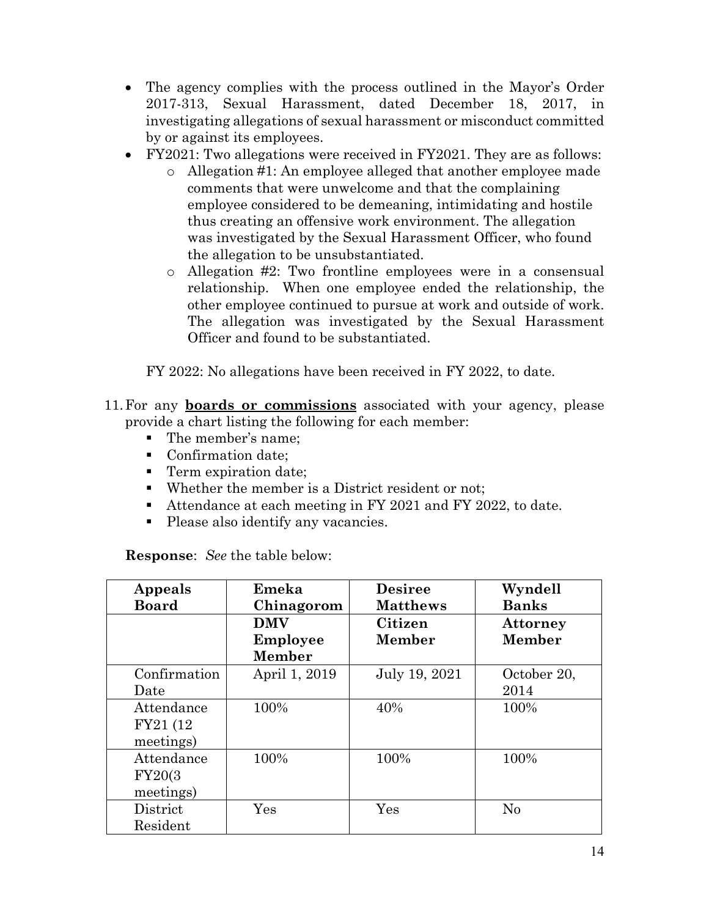- The agency complies with the process outlined in the Mayor's Order 2017-313, Sexual Harassment, dated December 18, 2017, in investigating allegations of sexual harassment or misconduct committed by or against its employees.
- FY2021: Two allegations were received in FY2021. They are as follows:
	- o Allegation #1: An employee alleged that another employee made comments that were unwelcome and that the complaining employee considered to be demeaning, intimidating and hostile thus creating an offensive work environment. The allegation was investigated by the Sexual Harassment Officer, who found the allegation to be unsubstantiated.
	- o Allegation #2: Two frontline employees were in a consensual relationship. When one employee ended the relationship, the other employee continued to pursue at work and outside of work. The allegation was investigated by the Sexual Harassment Officer and found to be substantiated.

FY 2022: No allegations have been received in FY 2022, to date.

- 11.For any **boards or commissions** associated with your agency, please provide a chart listing the following for each member:
	- The member's name;
	- Confirmation date;
	- **Term expiration date;**
	- Whether the member is a District resident or not;
	- Attendance at each meeting in FY 2021 and FY 2022, to date.
	- Please also identify any vacancies.

| Appeals      | Emeka                | <b>Desiree</b>  | Wyndell         |
|--------------|----------------------|-----------------|-----------------|
| <b>Board</b> | Chinagorom           | <b>Matthews</b> | <b>Banks</b>    |
|              | <b>DMV</b>           | Citizen         | <b>Attorney</b> |
|              | Employee             | <b>Member</b>   | <b>Member</b>   |
|              | <b>Member</b>        |                 |                 |
| Confirmation | April 1, 2019        | July 19, 2021   | October 20,     |
| Date         |                      |                 | 2014            |
| Attendance   | 100%                 | 40%             | 100%            |
| FY21 (12)    |                      |                 |                 |
| meetings)    |                      |                 |                 |
| Attendance   | 100%                 | 100%            | 100%            |
| FY20(3)      |                      |                 |                 |
| meetings)    |                      |                 |                 |
| District     | $\operatorname{Yes}$ | Yes             | No              |
| Resident     |                      |                 |                 |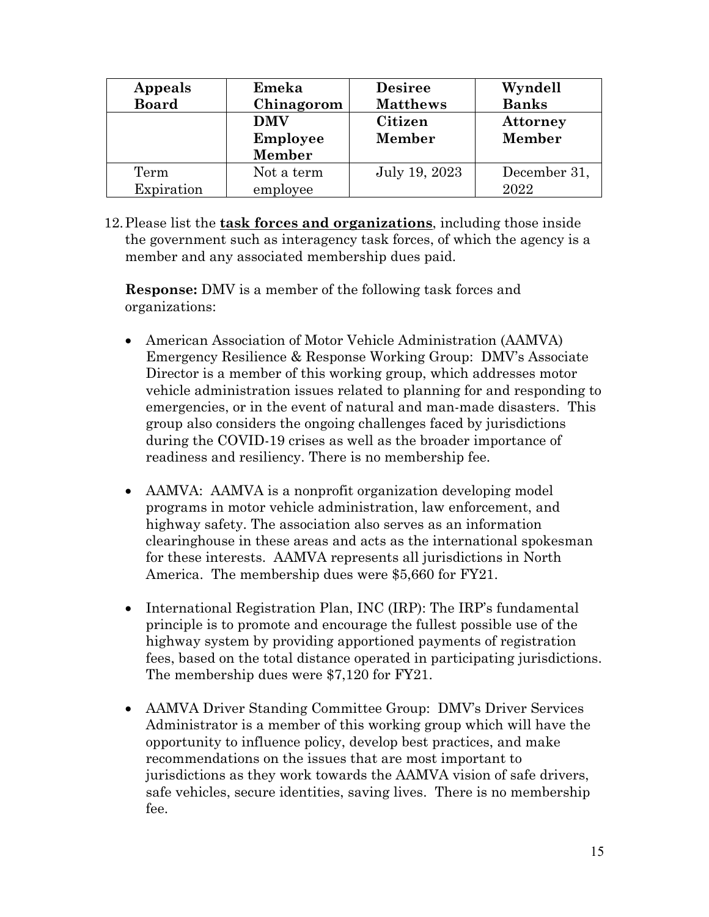| Appeals      | Emeka           | <b>Desiree</b>  | Wyndell      |
|--------------|-----------------|-----------------|--------------|
| <b>Board</b> | Chinagorom      | <b>Matthews</b> | <b>Banks</b> |
|              | <b>DMV</b>      | Citizen         | Attorney     |
|              | <b>Employee</b> | Member          | Member       |
|              | Member          |                 |              |
| Term         | Not a term      | July 19, 2023   | December 31, |
| Expiration   | employee        |                 | 2022         |

12.Please list the **task forces and organizations**, including those inside the government such as interagency task forces, of which the agency is a member and any associated membership dues paid.

**Response:** DMV is a member of the following task forces and organizations:

- American Association of Motor Vehicle Administration (AAMVA) Emergency Resilience & Response Working Group: DMV's Associate Director is a member of this working group, which addresses motor vehicle administration issues related to planning for and responding to emergencies, or in the event of natural and man-made disasters. This group also considers the ongoing challenges faced by jurisdictions during the COVID-19 crises as well as the broader importance of readiness and resiliency. There is no membership fee.
- AAMVA: AAMVA is a nonprofit organization developing model programs in motor vehicle administration, law enforcement, and highway safety. The association also serves as an information clearinghouse in these areas and acts as the international spokesman for these interests. AAMVA represents all jurisdictions in North America. The membership dues were \$5,660 for FY21.
- International Registration Plan, INC (IRP): The IRP's fundamental principle is to promote and encourage the fullest possible use of the highway system by providing apportioned payments of registration fees, based on the total distance operated in participating jurisdictions. The membership dues were \$7,120 for FY21.
- AAMVA Driver Standing Committee Group: DMV's Driver Services Administrator is a member of this working group which will have the opportunity to influence policy, develop best practices, and make recommendations on the issues that are most important to jurisdictions as they work towards the AAMVA vision of safe drivers, safe vehicles, secure identities, saving lives. There is no membership fee.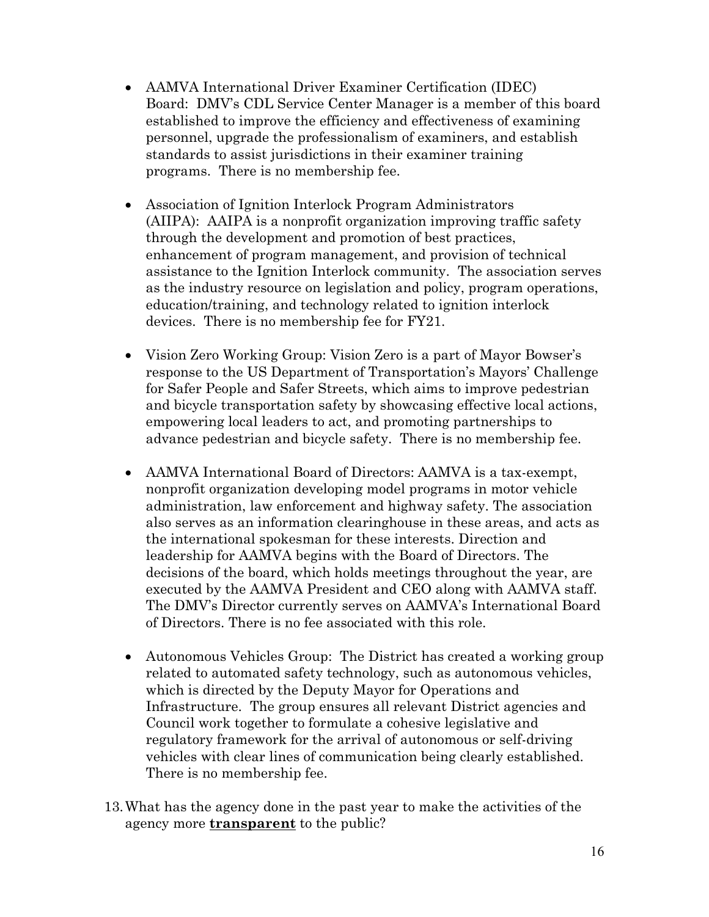- AAMVA International Driver Examiner Certification (IDEC) Board: DMV's CDL Service Center Manager is a member of this board established to improve the efficiency and effectiveness of examining personnel, upgrade the professionalism of examiners, and establish standards to assist jurisdictions in their examiner training programs. There is no membership fee.
- Association of Ignition Interlock Program Administrators (AIIPA): AAIPA is a nonprofit organization improving traffic safety through the development and promotion of best practices, enhancement of program management, and provision of technical assistance to the Ignition Interlock community. The association serves as the industry resource on legislation and policy, program operations, education/training, and technology related to ignition interlock devices. There is no membership fee for FY21.
- Vision Zero Working Group: Vision Zero is a part of Mayor Bowser's response to the US Department of Transportation's Mayors' Challenge for Safer People and Safer Streets, which aims to improve pedestrian and bicycle transportation safety by showcasing effective local actions, empowering local leaders to act, and promoting partnerships to advance pedestrian and bicycle safety. There is no membership fee.
- AAMVA International Board of Directors: AAMVA is a tax-exempt, nonprofit organization developing model programs in motor vehicle administration, law enforcement and highway safety. The association also serves as an information clearinghouse in these areas, and acts as the international spokesman for these interests. Direction and leadership for AAMVA begins with the Board of Directors. The decisions of the board, which holds meetings throughout the year, are executed by the AAMVA President and CEO along with AAMVA staff. The DMV's Director currently serves on AAMVA's International Board of Directors. There is no fee associated with this role.
- Autonomous Vehicles Group: The District has created a working group related to automated safety technology, such as autonomous vehicles, which is directed by the Deputy Mayor for Operations and Infrastructure. The group ensures all relevant District agencies and Council work together to formulate a cohesive legislative and regulatory framework for the arrival of autonomous or self-driving vehicles with clear lines of communication being clearly established. There is no membership fee.
- 13.What has the agency done in the past year to make the activities of the agency more **transparent** to the public?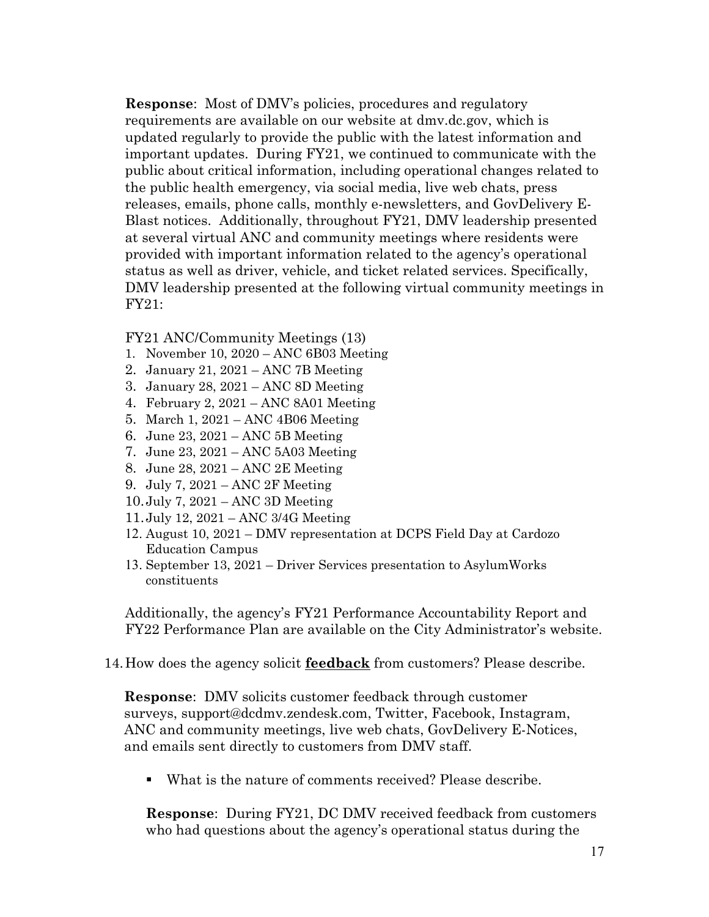**Response**: Most of DMV's policies, procedures and regulatory requirements are available on our website at dmv.dc.gov, which is updated regularly to provide the public with the latest information and important updates. During FY21, we continued to communicate with the public about critical information, including operational changes related to the public health emergency, via social media, live web chats, press releases, emails, phone calls, monthly e-newsletters, and GovDelivery E-Blast notices. Additionally, throughout FY21, DMV leadership presented at several virtual ANC and community meetings where residents were provided with important information related to the agency's operational status as well as driver, vehicle, and ticket related services. Specifically, DMV leadership presented at the following virtual community meetings in FY21:

FY21 ANC/Community Meetings (13)

- 1. November 10, 2020 ANC 6B03 Meeting
- 2. January 21, 2021 ANC 7B Meeting
- 3. January 28, 2021 ANC 8D Meeting
- 4. February 2, 2021 ANC 8A01 Meeting
- 5. March 1, 2021 ANC 4B06 Meeting
- 6. June 23, 2021 ANC 5B Meeting
- 7. June 23, 2021 ANC 5A03 Meeting
- 8. June 28, 2021 ANC 2E Meeting
- 9. July 7, 2021 ANC 2F Meeting
- 10.July 7, 2021 ANC 3D Meeting
- 11.July 12, 2021 ANC 3/4G Meeting
- 12. August 10, 2021 DMV representation at DCPS Field Day at Cardozo Education Campus
- 13. September 13, 2021 Driver Services presentation to AsylumWorks constituents

Additionally, the agency's FY21 Performance Accountability Report and FY22 Performance Plan are available on the City Administrator's website.

#### 14.How does the agency solicit **feedback** from customers? Please describe.

**Response**: DMV solicits customer feedback through customer surveys, support@dcdmv.zendesk.com, Twitter, Facebook, Instagram, ANC and community meetings, live web chats, GovDelivery E-Notices, and emails sent directly to customers from DMV staff.

What is the nature of comments received? Please describe.

**Response**: During FY21, DC DMV received feedback from customers who had questions about the agency's operational status during the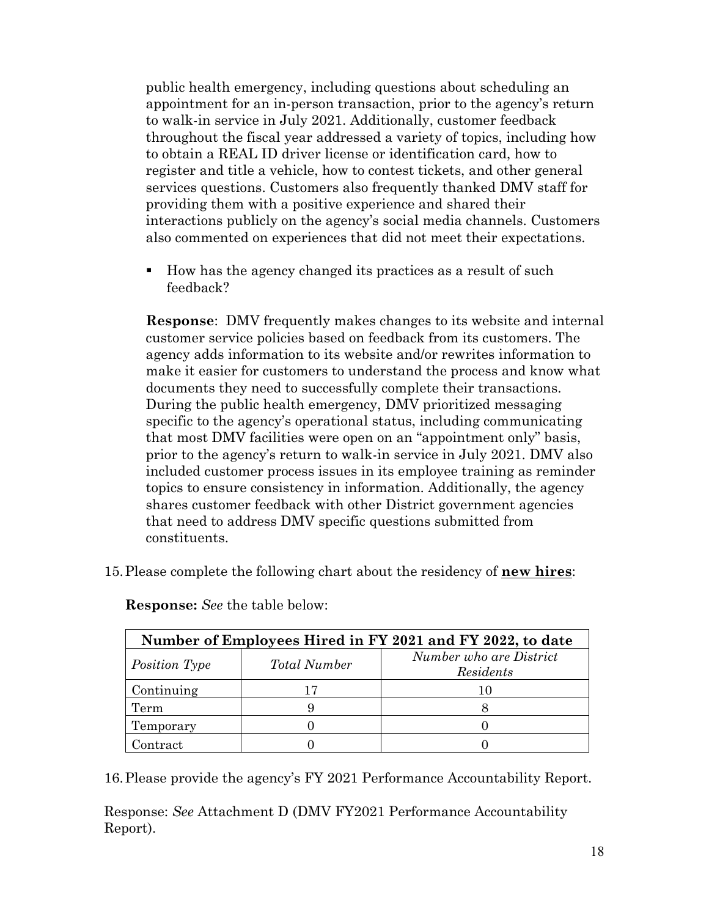public health emergency, including questions about scheduling an appointment for an in-person transaction, prior to the agency's return to walk-in service in July 2021. Additionally, customer feedback throughout the fiscal year addressed a variety of topics, including how to obtain a REAL ID driver license or identification card, how to register and title a vehicle, how to contest tickets, and other general services questions. Customers also frequently thanked DMV staff for providing them with a positive experience and shared their interactions publicly on the agency's social media channels. Customers also commented on experiences that did not meet their expectations.

How has the agency changed its practices as a result of such feedback?

**Response**: DMV frequently makes changes to its website and internal customer service policies based on feedback from its customers. The agency adds information to its website and/or rewrites information to make it easier for customers to understand the process and know what documents they need to successfully complete their transactions. During the public health emergency, DMV prioritized messaging specific to the agency's operational status, including communicating that most DMV facilities were open on an "appointment only" basis, prior to the agency's return to walk-in service in July 2021. DMV also included customer process issues in its employee training as reminder topics to ensure consistency in information. Additionally, the agency shares customer feedback with other District government agencies that need to address DMV specific questions submitted from constituents.

15.Please complete the following chart about the residency of **new hires**:

| Number of Employees Hired in FY 2021 and FY 2022, to date |                     |                                      |  |  |  |  |
|-----------------------------------------------------------|---------------------|--------------------------------------|--|--|--|--|
| Position Type                                             | <b>Total Number</b> | Number who are District<br>Residents |  |  |  |  |
| Continuing                                                |                     | 10                                   |  |  |  |  |
| Term                                                      |                     |                                      |  |  |  |  |
| Temporary                                                 |                     |                                      |  |  |  |  |
| Contract                                                  |                     |                                      |  |  |  |  |

**Response:** *See* the table below:

16.Please provide the agency's FY 2021 Performance Accountability Report.

Response: *See* Attachment D (DMV FY2021 Performance Accountability Report).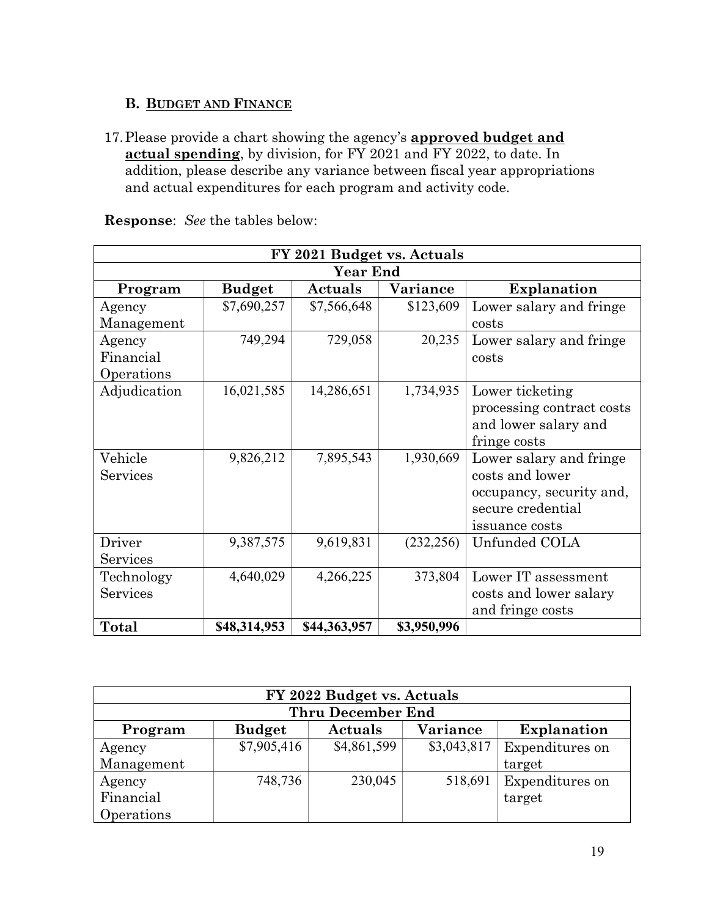# **B. BUDGET AND FINANCE**

17.Please provide a chart showing the agency's **approved budget and actual spending**, by division, for FY 2021 and FY 2022, to date. In addition, please describe any variance between fiscal year appropriations and actual expenditures for each program and activity code.

|              | FY 2021 Budget vs. Actuals |              |                 |                           |  |  |  |
|--------------|----------------------------|--------------|-----------------|---------------------------|--|--|--|
|              |                            | Year End     |                 |                           |  |  |  |
| Program      | <b>Budget</b>              | Actuals      | <b>Variance</b> | <b>Explanation</b>        |  |  |  |
| Agency       | \$7,690,257                | \$7,566,648  | \$123,609       | Lower salary and fringe   |  |  |  |
| Management   |                            |              |                 | costs                     |  |  |  |
| Agency       | 749,294                    | 729,058      | 20,235          | Lower salary and fringe   |  |  |  |
| Financial    |                            |              |                 | costs                     |  |  |  |
| Operations   |                            |              |                 |                           |  |  |  |
| Adjudication | 16,021,585                 | 14,286,651   | 1,734,935       | Lower ticketing           |  |  |  |
|              |                            |              |                 | processing contract costs |  |  |  |
|              |                            |              |                 | and lower salary and      |  |  |  |
|              |                            |              |                 | fringe costs              |  |  |  |
| Vehicle      | 9,826,212                  | 7,895,543    | 1,930,669       | Lower salary and fringe   |  |  |  |
| Services     |                            |              |                 | costs and lower           |  |  |  |
|              |                            |              |                 | occupancy, security and,  |  |  |  |
|              |                            |              |                 | secure credential         |  |  |  |
|              |                            |              |                 | issuance costs            |  |  |  |
| Driver       | 9,387,575                  | 9,619,831    | (232, 256)      | Unfunded COLA             |  |  |  |
| Services     |                            |              |                 |                           |  |  |  |
| Technology   | 4,640,029                  | 4,266,225    | 373,804         | Lower IT assessment       |  |  |  |
| Services     |                            |              |                 | costs and lower salary    |  |  |  |
|              |                            |              |                 | and fringe costs          |  |  |  |
| <b>Total</b> | \$48,314,953               | \$44,363,957 | \$3,950,996     |                           |  |  |  |

| FY 2022 Budget vs. Actuals |                          |             |                 |                    |  |  |  |
|----------------------------|--------------------------|-------------|-----------------|--------------------|--|--|--|
|                            | <b>Thru December End</b> |             |                 |                    |  |  |  |
| Program                    | <b>Budget</b>            | Actuals     | <b>Variance</b> | <b>Explanation</b> |  |  |  |
| Agency                     | \$7,905,416              | \$4,861,599 | \$3,043,817     | Expenditures on    |  |  |  |
| Management                 |                          |             |                 | target             |  |  |  |
| Agency                     | 748,736                  | 230,045     | 518,691         | Expenditures on    |  |  |  |
| Financial                  |                          |             |                 | target             |  |  |  |
| Operations                 |                          |             |                 |                    |  |  |  |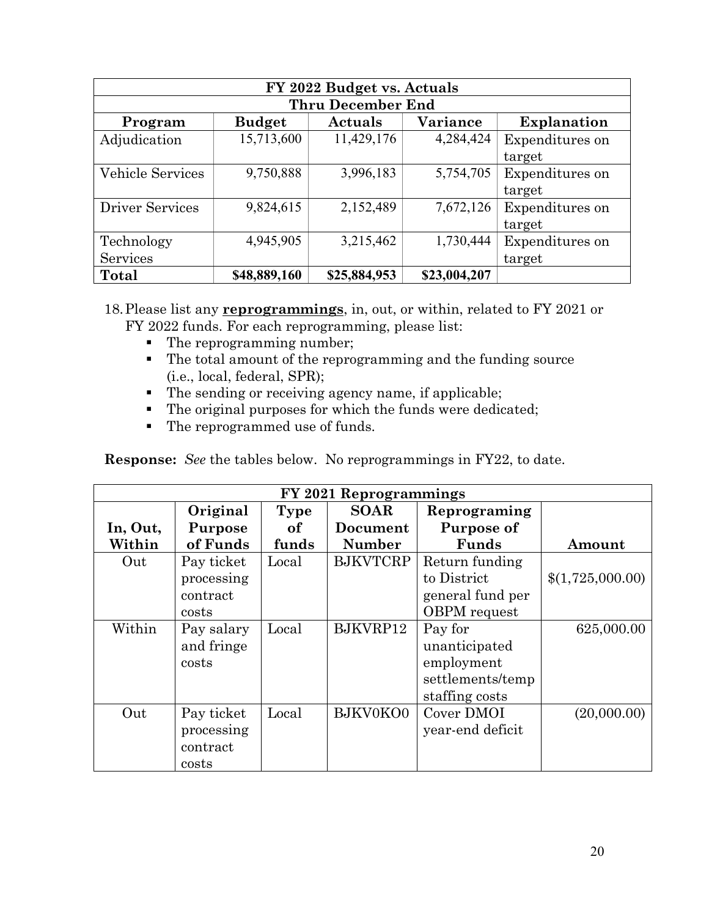| FY 2022 Budget vs. Actuals |               |                          |              |                 |  |  |  |
|----------------------------|---------------|--------------------------|--------------|-----------------|--|--|--|
|                            |               | <b>Thru December End</b> |              |                 |  |  |  |
| Program                    | <b>Budget</b> | Actuals                  | Variance     | Explanation     |  |  |  |
| Adjudication               | 15,713,600    | 11,429,176               | 4,284,424    | Expenditures on |  |  |  |
|                            |               |                          |              | target          |  |  |  |
| Vehicle Services           | 9,750,888     | 3,996,183                | 5,754,705    | Expenditures on |  |  |  |
|                            |               |                          |              | target          |  |  |  |
| <b>Driver Services</b>     | 9,824,615     | 2,152,489                | 7,672,126    | Expenditures on |  |  |  |
|                            |               |                          |              | target          |  |  |  |
| Technology                 | 4,945,905     | 3,215,462                | 1,730,444    | Expenditures on |  |  |  |
| Services                   |               |                          |              | target          |  |  |  |
| <b>Total</b>               | \$48,889,160  | \$25,884,953             | \$23,004,207 |                 |  |  |  |

18.Please list any **reprogrammings**, in, out, or within, related to FY 2021 or FY 2022 funds. For each reprogramming, please list:

- The reprogramming number;
- The total amount of the reprogramming and the funding source (i.e., local, federal, SPR);
- The sending or receiving agency name, if applicable;
- The original purposes for which the funds were dedicated;
- The reprogrammed use of funds.

**Response:** *See* the tables below. No reprogrammings in FY22, to date.

| FY 2021 Reprogrammings |                |             |                 |                     |                  |  |
|------------------------|----------------|-------------|-----------------|---------------------|------------------|--|
|                        | Original       | <b>Type</b> | <b>SOAR</b>     | Reprograming        |                  |  |
| In, Out,               | <b>Purpose</b> | of          | Document        | Purpose of          |                  |  |
| Within                 | of Funds       | funds       | <b>Number</b>   | Funds               | Amount           |  |
| Out                    | Pay ticket     | Local       | <b>BJKVTCRP</b> | Return funding      |                  |  |
|                        | processing     |             |                 | to District         | \$(1,725,000.00) |  |
|                        | contract       |             |                 | general fund per    |                  |  |
|                        | costs          |             |                 | <b>OBPM</b> request |                  |  |
| Within                 | Pay salary     | Local       | BJKVRP12        | Pay for             | 625,000.00       |  |
|                        | and fringe     |             |                 | unanticipated       |                  |  |
|                        | costs          |             |                 | employment          |                  |  |
|                        |                |             |                 | settlements/temp    |                  |  |
|                        |                |             |                 | staffing costs      |                  |  |
| Out                    | Pay ticket     | Local       | BJKV0KO0        | Cover DMOI          | (20,000.00)      |  |
|                        | processing     |             |                 | year-end deficit    |                  |  |
|                        | contract       |             |                 |                     |                  |  |
|                        | costs          |             |                 |                     |                  |  |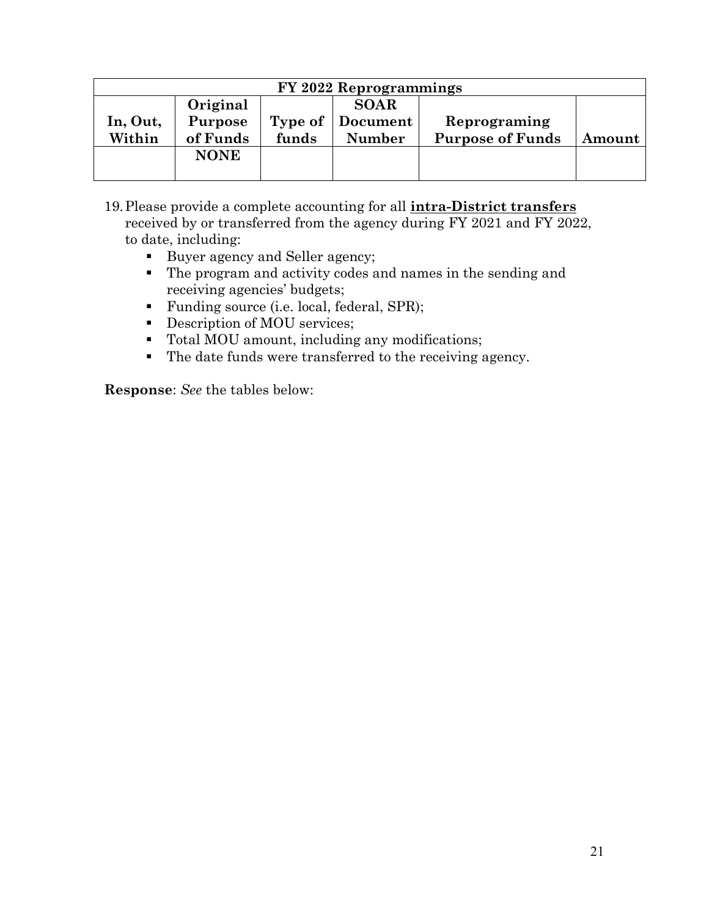| FY 2022 Reprogrammings |             |         |               |                         |        |  |
|------------------------|-------------|---------|---------------|-------------------------|--------|--|
|                        | Original    |         | <b>SOAR</b>   |                         |        |  |
| In, Out,               | Purpose     | Type of | Document      | Reprograming            |        |  |
| Within                 | of Funds    | funds   | <b>Number</b> | <b>Purpose of Funds</b> | Amount |  |
|                        | <b>NONE</b> |         |               |                         |        |  |
|                        |             |         |               |                         |        |  |

- 19.Please provide a complete accounting for all **intra-District transfers** received by or transferred from the agency during FY 2021 and FY 2022, to date, including:
	- Buyer agency and Seller agency;
	- The program and activity codes and names in the sending and receiving agencies' budgets;
	- Funding source (i.e. local, federal, SPR);
	- Description of MOU services;
	- Total MOU amount, including any modifications;
	- The date funds were transferred to the receiving agency.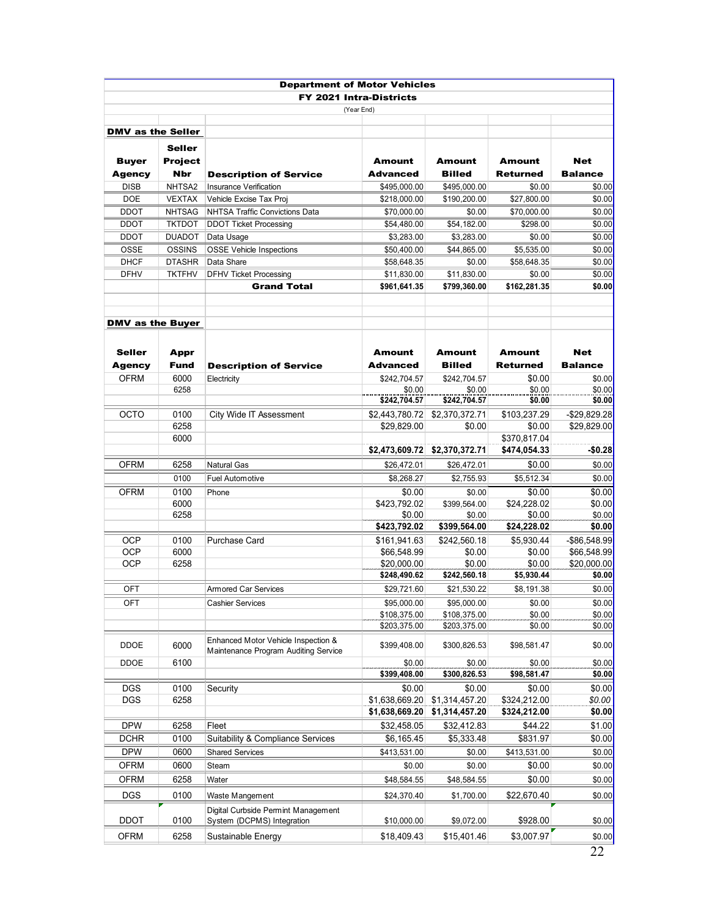|                          |                | <b>Department of Motor Vehicles</b>   |                         |                |                 |                |
|--------------------------|----------------|---------------------------------------|-------------------------|----------------|-----------------|----------------|
|                          |                |                                       | FY 2021 Intra-Districts |                |                 |                |
|                          |                |                                       | (Year End)              |                |                 |                |
|                          |                |                                       |                         |                |                 |                |
| <b>DMV</b> as the Seller |                |                                       |                         |                |                 |                |
|                          | <b>Seller</b>  |                                       |                         |                |                 |                |
| <b>Buyer</b>             | <b>Project</b> |                                       | <b>Amount</b>           | Amount         | <b>Amount</b>   | <b>Net</b>     |
| <b>Agency</b>            | <b>Nbr</b>     | <b>Description of Service</b>         | <b>Advanced</b>         | <b>Billed</b>  | <b>Returned</b> | <b>Balance</b> |
| <b>DISB</b>              | NHTSA2         | <b>Insurance Verification</b>         | \$495,000.00            | \$495,000.00   | \$0.00          | \$0.00         |
| DOE                      | <b>VEXTAX</b>  | Vehicle Excise Tax Proj               | \$218,000.00            | \$190,200.00   | \$27,800.00     | \$0.00         |
| <b>DDOT</b>              | <b>NHTSAG</b>  | <b>NHTSA Traffic Convictions Data</b> | \$70,000.00             | \$0.00         | \$70,000.00     | \$0.00         |
| <b>DDOT</b>              | <b>TKTDOT</b>  | <b>DDOT Ticket Processing</b>         | \$54,480.00             | \$54,182.00    | \$298.00        | \$0.00         |
| <b>DDOT</b>              | <b>DUADOT</b>  | Data Usage                            | \$3,283.00              | \$3,283.00     | \$0.00          | \$0.00         |
| <b>OSSE</b>              | <b>OSSINS</b>  | <b>OSSE Vehicle Inspections</b>       | \$50,400.00             | \$44,865.00    | \$5,535.00      | \$0.00         |
| <b>DHCF</b>              | <b>DTASHR</b>  | Data Share                            | \$58,648.35             | \$0.00         | \$58,648.35     | \$0.00         |
| <b>DFHV</b>              | <b>TKTFHV</b>  | <b>DFHV Ticket Processing</b>         | \$11,830.00             | \$11,830.00    | \$0.00          | \$0.00         |
|                          |                | <b>Grand Total</b>                    | \$961,641.35            | \$799,360.00   | \$162,281.35    | \$0.00         |
|                          |                |                                       |                         |                |                 |                |
| <b>DMV as the Buyer</b>  |                |                                       |                         |                |                 |                |
|                          |                |                                       |                         |                |                 |                |
| <b>Seller</b>            | Appr           |                                       | <b>Amount</b>           | <b>Amount</b>  | <b>Amount</b>   | <b>Net</b>     |
| <b>Agency</b>            | <b>Fund</b>    | <b>Description of Service</b>         | <b>Advanced</b>         | <b>Billed</b>  | <b>Returned</b> | <b>Balance</b> |
| <b>OFRM</b>              | 6000           | Electricity                           | \$242,704.57            | \$242,704.57   | \$0.00          | \$0.00         |
|                          | 6258           |                                       | \$0.00                  | \$0.00         | \$0.00          | \$0.00         |
|                          |                |                                       | \$242,704.57            | \$242,704.57   | \$0.00          | \$0.00         |
| <b>OCTO</b>              | 0100           | City Wide IT Assessment               | \$2,443,780.72          | \$2,370,372.71 | \$103,237.29    | $-$29,829.28$  |
|                          | 6258           |                                       | \$29,829.00             | \$0.00         | \$0.00          | \$29,829.00    |
|                          | 6000           |                                       |                         |                | \$370,817.04    |                |
|                          |                |                                       | \$2,473,609.72          | \$2,370,372.71 | \$474,054.33    | $-$0.28$       |
| <b>OFRM</b>              | 6258           | <b>Natural Gas</b>                    | \$26,472.01             | \$26,472.01    | \$0.00          | \$0.00         |
|                          | 0100           | <b>Fuel Automotive</b>                | \$8,268.27              | \$2,755.93     | \$5,512.34      | \$0.00         |
| <b>OFRM</b>              | 0100           | Phone                                 | \$0.00                  | \$0.00         | \$0.00          | \$0.00         |
|                          | 6000           |                                       | \$423,792.02            | \$399,564.00   | \$24,228.02     | \$0.00         |
|                          | 6258           |                                       | \$0.00                  | \$0.00         | \$0.00          | \$0.00         |
|                          |                |                                       | \$423,792.02            | \$399,564.00   | \$24,228.02     | \$0.00         |
| <b>OCP</b>               | 0100           | Purchase Card                         | \$161,941.63            | \$242.560.18   | \$5,930.44      | -\$86,548.99   |
| <b>OCP</b>               | 6000           |                                       | \$66,548.99             | \$0.00         | \$0.00          | \$66,548.99    |
| <b>OCP</b>               | 6258           |                                       | \$20,000.00             | \$0.00         | \$0.00          | \$20,000.00    |
|                          |                |                                       | \$248,490.62            | \$242,560.18   | \$5,930.44      | \$0.00         |
| <b>OFT</b>               |                | Armored Car Services                  | \$29.721.60             | \$21,530.22    | \$8,191.38      | \$0.00         |
| OFT                      |                | <b>Cashier Services</b>               | \$95,000.00             | \$95,000.00    | \$0.00          | \$0.00         |
|                          |                |                                       | \$108,375.00            | \$108,375.00   | \$0.00          | \$0.00         |
|                          |                |                                       | \$203,375.00            | \$203,375.00   | \$0.00          | \$0.00         |
|                          |                | Enhanced Motor Vehicle Inspection &   |                         |                |                 |                |
| DDOE                     | 6000           | Maintenance Program Auditing Service  | \$399,408.00            | \$300,826.53   | \$98,581.47     | \$0.00         |
| DDOE                     | 6100           |                                       | \$0.00                  | \$0.00         | \$0.00          | \$0.00         |
|                          |                |                                       | \$399,408.00            | \$300,826.53   | \$98,581.47     | \$0.00         |
| <b>DGS</b>               | 0100           | Security                              | \$0.00                  | \$0.00         | \$0.00          | \$0.00         |
| <b>DGS</b>               | 6258           |                                       | \$1,638,669.20          | \$1,314,457.20 | \$324,212.00    | \$0.00         |
|                          |                |                                       | \$1,638,669.20          | \$1,314,457.20 | \$324,212.00    | \$0.00         |
| <b>DPW</b>               | 6258           | Fleet                                 | \$32,458.05             | \$32,412.83    | \$44.22         | \$1.00         |
| <b>DCHR</b>              | 0100           | Suitability & Compliance Services     | \$6,165.45              | \$5,333.48     | \$831.97        | \$0.00         |
| <b>DPW</b>               | 0600           | <b>Shared Services</b>                | \$413,531.00            | \$0.00         | \$413,531.00    | \$0.00         |
| OFRM                     | 0600           | Steam                                 | \$0.00                  | \$0.00         | \$0.00          | \$0.00         |
|                          |                |                                       |                         |                |                 |                |
| OFRM                     | 6258           | Water                                 | \$48,584.55             | \$48,584.55    | \$0.00          | \$0.00         |
| <b>DGS</b>               | 0100           | Waste Mangement                       | \$24,370.40             | \$1,700.00     | \$22,670.40     | \$0.00         |
| <b>DDOT</b>              | 0100           | Digital Curbside Permint Management   |                         |                | \$928.00        |                |
|                          |                | System (DCPMS) Integration            | \$10,000.00             | \$9,072.00     |                 | \$0.00         |
| <b>OFRM</b>              | 6258           | Sustainable Energy                    | \$18,409.43             | \$15,401.46    | \$3,007.97      | \$0.00         |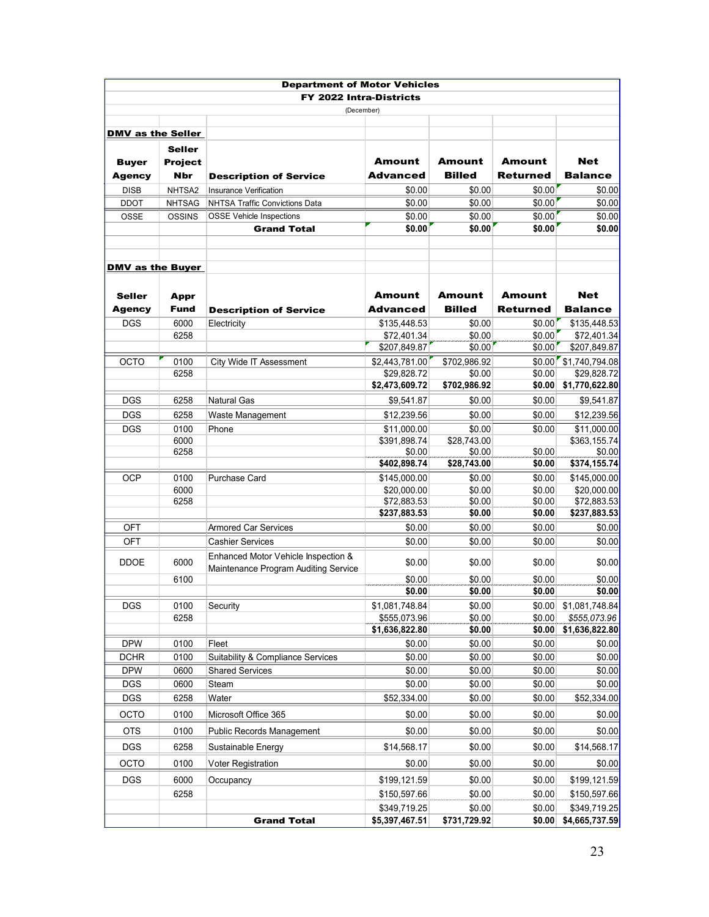|                          |                | <b>Department of Motor Vehicles</b>  |                               |                        |                 |                         |
|--------------------------|----------------|--------------------------------------|-------------------------------|------------------------|-----------------|-------------------------|
|                          |                | FY 2022 Intra-Districts              |                               |                        |                 |                         |
|                          |                | (December)                           |                               |                        |                 |                         |
|                          |                |                                      |                               |                        |                 |                         |
| <b>DMV as the Seller</b> |                |                                      |                               |                        |                 |                         |
|                          | <b>Seller</b>  |                                      |                               |                        |                 |                         |
| <b>Buyer</b>             | <b>Project</b> |                                      | Amount                        | Amount                 | Amount          | <b>Net</b>              |
| <b>Agency</b>            | Nbr            | <b>Description of Service</b>        | <b>Advanced</b>               | <b>Billed</b>          | <b>Returned</b> | <b>Balance</b>          |
| <b>DISB</b>              | NHTSA2         | <b>Insurance Verification</b>        | \$0.00                        | \$0.00                 | \$0.00          | \$0.00                  |
| <b>DDOT</b>              | <b>NHTSAG</b>  | NHTSA Traffic Convictions Data       | \$0.00                        | \$0.00                 | \$0.00          | \$0.00                  |
| <b>OSSE</b>              | <b>OSSINS</b>  | <b>OSSE Vehicle Inspections</b>      | \$0.00                        | \$0.00                 | \$0.00          | \$0.00                  |
|                          |                | <b>Grand Total</b>                   | \$0.00                        | \$0.00                 | \$0.00          | \$0.00                  |
|                          |                |                                      |                               |                        |                 |                         |
|                          |                |                                      |                               |                        |                 |                         |
| <b>DMV as the Buyer</b>  |                |                                      |                               |                        |                 |                         |
|                          |                |                                      |                               |                        |                 |                         |
| <b>Seller</b>            | Appr           |                                      | Amount                        | Amount                 | Amount          | <b>Net</b>              |
| <b>Agency</b>            | <b>Fund</b>    | <b>Description of Service</b>        | <b>Advanced</b>               | <b>Billed</b>          | <b>Returned</b> | <b>Balance</b>          |
| <b>DGS</b>               | 6000           | Electricity                          | \$135,448.53                  | \$0.00                 | \$0.00          | \$135,448.53            |
|                          | 6258           |                                      | \$72,401.34                   | \$0.00                 | \$0.00          | \$72,401.34             |
|                          |                |                                      | \$207,849.87                  | \$0.00                 | \$0.00          | \$207,849.87            |
| <b>OCTO</b>              | 0100           | City Wide IT Assessment              | \$2,443,781.00                | \$702,986.92           |                 | $$0.00$ $$1,740,794.08$ |
|                          | 6258           |                                      | \$29,828.72<br>\$2.473.609.72 | \$0.00<br>\$702.986.92 | \$0.00          | \$29,828.72             |
|                          |                |                                      |                               |                        | \$0.00          | \$1,770,622.80          |
| <b>DGS</b>               | 6258           | <b>Natural Gas</b>                   | \$9,541.87                    | \$0.00                 | \$0.00          | \$9.541.87              |
| <b>DGS</b>               | 6258           | Waste Management                     | \$12,239.56                   | \$0.00                 | \$0.00          | \$12,239.56             |
| <b>DGS</b>               | 0100           | Phone                                | \$11,000.00                   | \$0.00                 | \$0.00          | \$11,000.00             |
|                          | 6000<br>6258   |                                      | \$391,898.74<br>\$0.00        | \$28,743.00<br>\$0.00  | \$0.00          | \$363,155.74<br>\$0.00  |
|                          |                |                                      | \$402,898.74                  | \$28,743.00            | \$0.00          | \$374,155.74            |
| <b>OCP</b>               | 0100           | Purchase Card                        | \$145,000.00                  | \$0.00                 | \$0.00          | \$145,000.00            |
|                          | 6000           |                                      | \$20,000.00                   | \$0.00                 | \$0.00          | \$20,000.00             |
|                          | 6258           |                                      | \$72,883.53                   | \$0.00                 | \$0.00          | \$72,883.53             |
|                          |                |                                      | \$237,883.53                  | \$0.00                 | \$0.00          | \$237,883.53            |
| OFT                      |                | <b>Armored Car Services</b>          | \$0.00                        | \$0.00                 | \$0.00          | \$0.00                  |
| <b>OFT</b>               |                | <b>Cashier Services</b>              | \$0.00                        | \$0.00                 | \$0.00          | \$0.00                  |
|                          |                | Enhanced Motor Vehicle Inspection &  |                               |                        |                 |                         |
| <b>DDOE</b>              | 6000           | Maintenance Program Auditing Service | \$0.00                        | \$0.00                 | \$0.00          | \$0.00                  |
|                          | 6100           |                                      | \$0.00                        | \$0.00                 | \$0.00          | \$0.00                  |
|                          |                |                                      | \$0.00                        | \$0.00                 | \$0.00          | \$0.00                  |
| <b>DGS</b>               | 0100           | Security                             | \$1,081,748.84                | \$0.00                 | \$0.00          | \$1,081,748.84          |
|                          | 6258           |                                      | \$555,073.96                  | \$0.00                 | \$0.00          | \$555,073.96            |
|                          |                |                                      | \$1,636,822.80                | \$0.00                 | \$0.00          | \$1,636,822.80          |
| <b>DPW</b>               | 0100           | Fleet                                | \$0.00                        | \$0.00                 | \$0.00          | \$0.00                  |
| <b>DCHR</b>              | 0100           | Suitability & Compliance Services    | \$0.00                        | \$0.00                 | \$0.00          | \$0.00                  |
| <b>DPW</b>               | 0600           | <b>Shared Services</b>               | \$0.00                        | \$0.00                 | \$0.00          | \$0.00                  |
| <b>DGS</b>               | 0600           | Steam                                | \$0.00                        | \$0.00                 | \$0.00          | \$0.00                  |
| <b>DGS</b>               | 6258           | Water                                | \$52,334.00                   | \$0.00                 | \$0.00          | \$52,334.00             |
| <b>OCTO</b>              | 0100           | Microsoft Office 365                 | \$0.00                        | \$0.00                 | \$0.00          | \$0.00                  |
| <b>OTS</b>               | 0100           | <b>Public Records Management</b>     | \$0.00                        | \$0.00                 | \$0.00          | \$0.00                  |
| <b>DGS</b>               | 6258           | Sustainable Energy                   | \$14,568.17                   | \$0.00                 | \$0.00          | \$14,568.17             |
|                          |                |                                      |                               |                        |                 |                         |
| OCTO                     | 0100           | Voter Registration                   | \$0.00                        | \$0.00                 | \$0.00          | \$0.00                  |
| <b>DGS</b>               | 6000           | Occupancy                            | \$199,121.59                  | \$0.00                 | \$0.00          | \$199,121.59            |
|                          | 6258           |                                      | \$150,597.66                  | \$0.00                 | \$0.00          | \$150,597.66            |
|                          |                |                                      | \$349,719.25                  | \$0.00                 | \$0.00          | \$349,719.25            |
|                          |                | <b>Grand Total</b>                   | \$5,397,467.51                | \$731,729.92           | \$0.00          | \$4,665,737.59          |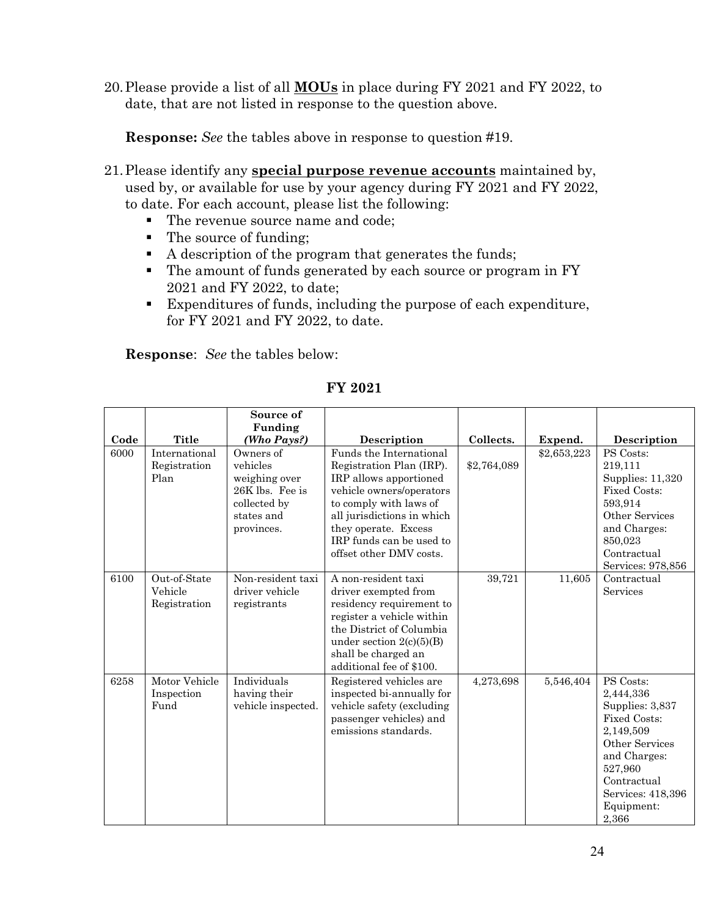20.Please provide a list of all **MOUs** in place during FY 2021 and FY 2022, to date, that are not listed in response to the question above.

**Response:** *See* the tables above in response to question #19.

- 21.Please identify any **special purpose revenue accounts** maintained by, used by, or available for use by your agency during FY 2021 and FY 2022, to date. For each account, please list the following:
	- The revenue source name and code;
	- The source of funding;
	- A description of the program that generates the funds;
	- The amount of funds generated by each source or program in FY 2021 and FY 2022, to date;
	- Expenditures of funds, including the purpose of each expenditure, for FY 2021 and FY 2022, to date.

| Code | <b>Title</b>                            | Source of<br>Funding<br>(Who Pays?)                                                                   | Description                                                                                                                                                                                                                                      | Collects.   | Expend.     | Description                                                                                                                                                                           |
|------|-----------------------------------------|-------------------------------------------------------------------------------------------------------|--------------------------------------------------------------------------------------------------------------------------------------------------------------------------------------------------------------------------------------------------|-------------|-------------|---------------------------------------------------------------------------------------------------------------------------------------------------------------------------------------|
| 6000 | International<br>Registration<br>Plan   | Owners of<br>vehicles<br>weighing over<br>26K lbs. Fee is<br>collected by<br>states and<br>provinces. | Funds the International<br>Registration Plan (IRP).<br>IRP allows apportioned<br>vehicle owners/operators<br>to comply with laws of<br>all jurisdictions in which<br>they operate. Excess<br>IRP funds can be used to<br>offset other DMV costs. | \$2,764,089 | \$2,653,223 | PS Costs:<br>219,111<br>Supplies: 11,320<br><b>Fixed Costs:</b><br>593,914<br>Other Services<br>and Charges:<br>850,023<br>Contractual<br>Services: 978,856                           |
| 6100 | Out-of-State<br>Vehicle<br>Registration | Non-resident taxi<br>driver vehicle<br>registrants                                                    | A non-resident taxi<br>driver exempted from<br>residency requirement to<br>register a vehicle within<br>the District of Columbia<br>under section $2(c)(5)(B)$<br>shall be charged an<br>additional fee of \$100.                                | 39,721      | 11,605      | Contractual<br>Services                                                                                                                                                               |
| 6258 | Motor Vehicle<br>Inspection<br>Fund     | Individuals<br>having their<br>vehicle inspected.                                                     | Registered vehicles are<br>inspected bi-annually for<br>vehicle safety (excluding<br>passenger vehicles) and<br>emissions standards.                                                                                                             | 4,273,698   | 5,546,404   | PS Costs:<br>2,444,336<br>Supplies: 3,837<br><b>Fixed Costs:</b><br>2,149,509<br>Other Services<br>and Charges:<br>527,960<br>Contractual<br>Services: 418,396<br>Equipment:<br>2,366 |

**FY 2021**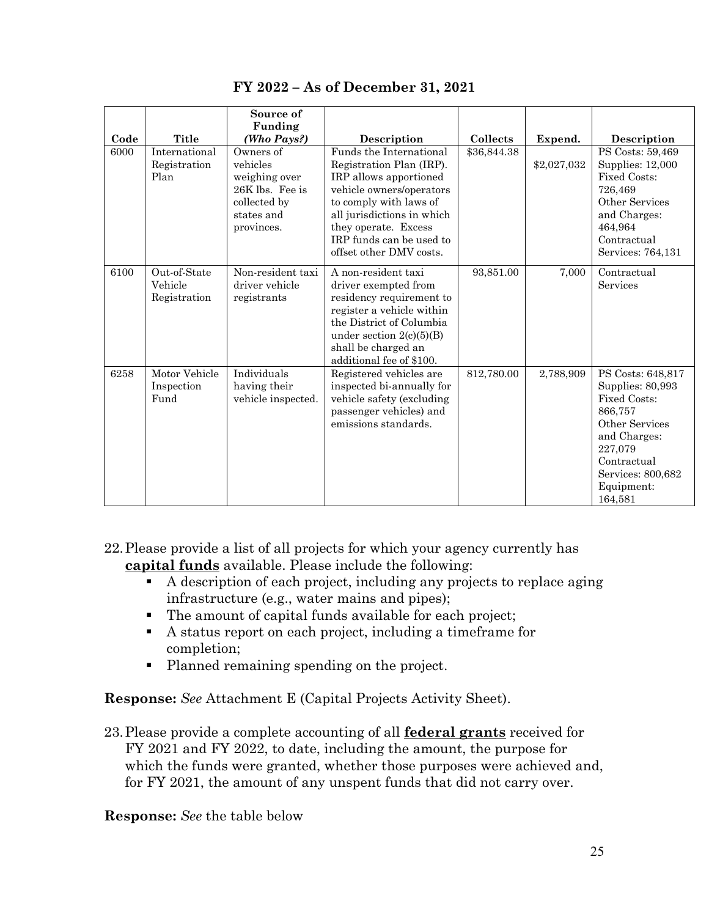|      |                                         | Source of<br>Funding                                                                                  |                                                                                                                                                                                                                                                  |             |             |                                                                                                                                                                                   |
|------|-----------------------------------------|-------------------------------------------------------------------------------------------------------|--------------------------------------------------------------------------------------------------------------------------------------------------------------------------------------------------------------------------------------------------|-------------|-------------|-----------------------------------------------------------------------------------------------------------------------------------------------------------------------------------|
| Code | Title                                   | (Who Pays?)                                                                                           | Description                                                                                                                                                                                                                                      | Collects    | Expend.     | Description                                                                                                                                                                       |
| 6000 | International<br>Registration<br>Plan   | Owners of<br>vehicles<br>weighing over<br>26K lbs. Fee is<br>collected by<br>states and<br>provinces. | Funds the International<br>Registration Plan (IRP).<br>IRP allows apportioned<br>vehicle owners/operators<br>to comply with laws of<br>all jurisdictions in which<br>they operate. Excess<br>IRP funds can be used to<br>offset other DMV costs. | \$36,844.38 | \$2,027,032 | PS Costs: 59,469<br>Supplies: 12,000<br>Fixed Costs:<br>726,469<br>Other Services<br>and Charges:<br>464,964<br>Contractual<br>Services: 764,131                                  |
| 6100 | Out-of-State<br>Vehicle<br>Registration | Non-resident taxi<br>driver vehicle<br>registrants                                                    | A non-resident taxi<br>driver exempted from<br>residency requirement to<br>register a vehicle within<br>the District of Columbia<br>under section $2(c)(5)(B)$<br>shall be charged an<br>additional fee of \$100.                                | 93,851.00   | 7,000       | Contractual<br>Services                                                                                                                                                           |
| 6258 | Motor Vehicle<br>Inspection<br>Fund     | Individuals<br>having their<br>vehicle inspected.                                                     | Registered vehicles are<br>inspected bi-annually for<br>vehicle safety (excluding<br>passenger vehicles) and<br>emissions standards.                                                                                                             | 812,780.00  | 2,788,909   | PS Costs: 648,817<br>Supplies: 80,993<br><b>Fixed Costs:</b><br>866,757<br>Other Services<br>and Charges:<br>227.079<br>Contractual<br>Services: 800,682<br>Equipment:<br>164,581 |

**FY 2022 – As of December 31, 2021**

22.Please provide a list of all projects for which your agency currently has **capital funds** available. Please include the following:

- A description of each project, including any projects to replace aging infrastructure (e.g., water mains and pipes);
- The amount of capital funds available for each project;
- A status report on each project, including a timeframe for completion;
- Planned remaining spending on the project.

**Response:** *See* Attachment E (Capital Projects Activity Sheet).

23.Please provide a complete accounting of all **federal grants** received for FY 2021 and FY 2022, to date, including the amount, the purpose for which the funds were granted, whether those purposes were achieved and, for FY 2021, the amount of any unspent funds that did not carry over.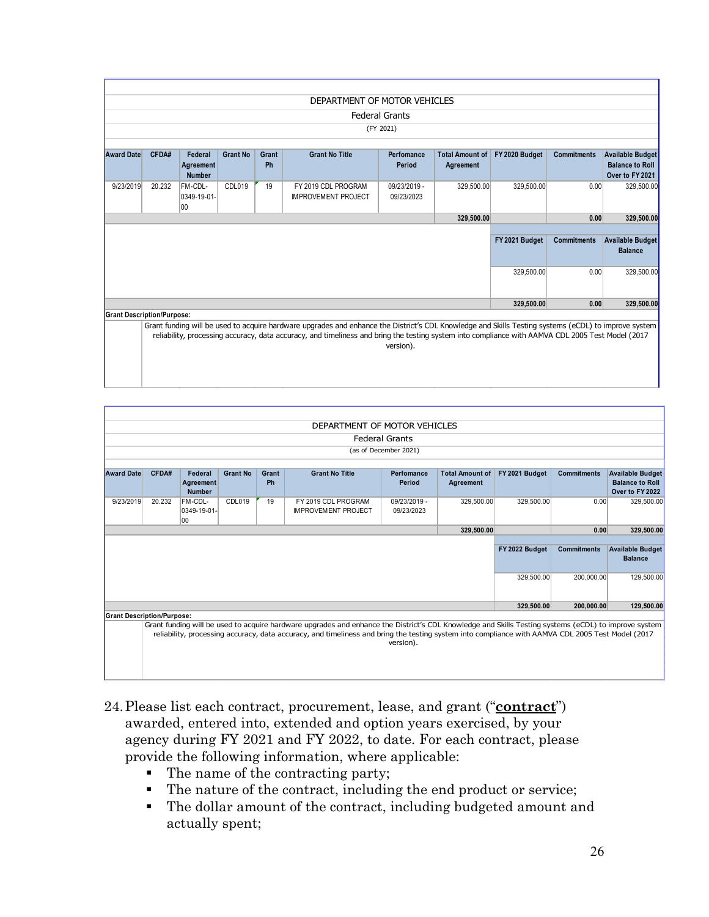|                   |                                                                                                                                                      |               |                 |       | DEPARTMENT OF MOTOR VEHICLES |                       |                        |                |                    |                         |
|-------------------|------------------------------------------------------------------------------------------------------------------------------------------------------|---------------|-----------------|-------|------------------------------|-----------------------|------------------------|----------------|--------------------|-------------------------|
|                   |                                                                                                                                                      |               |                 |       |                              | <b>Federal Grants</b> |                        |                |                    |                         |
|                   |                                                                                                                                                      |               |                 |       |                              | (FY 2021)             |                        |                |                    |                         |
|                   |                                                                                                                                                      |               |                 |       |                              |                       |                        |                |                    |                         |
| <b>Award Date</b> | CFDA#                                                                                                                                                | Federal       | <b>Grant No</b> | Grant | <b>Grant No Title</b>        | Perfomance            | <b>Total Amount of</b> | FY 2020 Budget | <b>Commitments</b> | <b>Available Budget</b> |
|                   |                                                                                                                                                      | Agreement     |                 | Ph    |                              | Period                | Agreement              |                |                    | <b>Balance to Roll</b>  |
|                   |                                                                                                                                                      | <b>Number</b> |                 |       |                              |                       |                        |                |                    | Over to FY 2021         |
| 9/23/2019         | 20.232                                                                                                                                               | FM-CDL-       | CDL019          | 19    | FY 2019 CDL PROGRAM          | 09/23/2019 -          | 329,500.00             | 329.500.00     | 0.00               | 329.500.00              |
|                   |                                                                                                                                                      | 0349-19-01-   |                 |       | <b>IMPROVEMENT PROJECT</b>   | 09/23/2023            |                        |                |                    |                         |
|                   |                                                                                                                                                      | 100           |                 |       |                              |                       |                        |                |                    |                         |
|                   |                                                                                                                                                      |               |                 |       |                              |                       | 329,500.00             |                | 0.00               | 329,500.00              |
|                   |                                                                                                                                                      |               |                 |       |                              |                       |                        |                |                    |                         |
|                   |                                                                                                                                                      |               |                 |       |                              |                       |                        | FY 2021 Budget | <b>Commitments</b> | <b>Available Budget</b> |
|                   |                                                                                                                                                      |               |                 |       |                              |                       |                        |                |                    | <b>Balance</b>          |
|                   |                                                                                                                                                      |               |                 |       |                              |                       |                        | 329,500.00     | 0.00               | 329,500.00              |
|                   |                                                                                                                                                      |               |                 |       |                              |                       |                        |                |                    |                         |
|                   |                                                                                                                                                      |               |                 |       |                              |                       |                        | 329,500.00     | 0.00               | 329,500.00              |
|                   | <b>Grant Description/Purpose:</b>                                                                                                                    |               |                 |       |                              |                       |                        |                |                    |                         |
|                   | Grant funding will be used to acquire hardware upgrades and enhance the District's CDL Knowledge and Skills Testing systems (eCDL) to improve system |               |                 |       |                              |                       |                        |                |                    |                         |
|                   | reliability, processing accuracy, data accuracy, and timeliness and bring the testing system into compliance with AAMVA CDL 2005 Test Model (2017    |               |                 |       |                              |                       |                        |                |                    |                         |
|                   |                                                                                                                                                      |               |                 |       |                              | version).             |                        |                |                    |                         |
|                   |                                                                                                                                                      |               |                 |       |                              |                       |                        |                |                    |                         |
|                   |                                                                                                                                                      |               |                 |       |                              |                       |                        |                |                    |                         |

|                   | DEPARTMENT OF MOTOR VEHICLES                                                                                                                                                                                                                                                                                           |                            |                 |       |                                                   |                            |                        |                |                    |                                           |
|-------------------|------------------------------------------------------------------------------------------------------------------------------------------------------------------------------------------------------------------------------------------------------------------------------------------------------------------------|----------------------------|-----------------|-------|---------------------------------------------------|----------------------------|------------------------|----------------|--------------------|-------------------------------------------|
|                   |                                                                                                                                                                                                                                                                                                                        |                            |                 |       |                                                   |                            |                        |                |                    |                                           |
|                   |                                                                                                                                                                                                                                                                                                                        |                            |                 |       |                                                   | <b>Federal Grants</b>      |                        |                |                    |                                           |
|                   |                                                                                                                                                                                                                                                                                                                        |                            |                 |       |                                                   | (as of December 2021)      |                        |                |                    |                                           |
|                   |                                                                                                                                                                                                                                                                                                                        |                            |                 |       |                                                   |                            |                        |                |                    |                                           |
| <b>Award Date</b> | CFDA#                                                                                                                                                                                                                                                                                                                  | Federal                    | <b>Grant No</b> | Grant | <b>Grant No Title</b>                             | Perfomance                 | <b>Total Amount of</b> | FY 2021 Budget | <b>Commitments</b> | <b>Available Budget</b>                   |
|                   |                                                                                                                                                                                                                                                                                                                        | Agreement<br><b>Number</b> |                 | Ph    |                                                   | Period                     | Agreement              |                |                    | <b>Balance to Roll</b><br>Over to FY 2022 |
| 9/23/2019         | 20.232                                                                                                                                                                                                                                                                                                                 | FM-CDL-<br>0349-19-01-     | CDL019          | 19    | FY 2019 CDL PROGRAM<br><b>IMPROVEMENT PROJECT</b> | 09/23/2019 -<br>09/23/2023 | 329.500.00             | 329.500.00     | 0.00               | 329,500.00                                |
|                   |                                                                                                                                                                                                                                                                                                                        | 00                         |                 |       |                                                   |                            | 329.500.00             |                | 0.00               | 329,500.00                                |
|                   |                                                                                                                                                                                                                                                                                                                        |                            |                 |       |                                                   |                            |                        |                |                    |                                           |
|                   |                                                                                                                                                                                                                                                                                                                        |                            |                 |       |                                                   |                            |                        | FY 2022 Budget | <b>Commitments</b> | <b>Available Budget</b><br><b>Balance</b> |
|                   | 329,500.00<br>200.000.00                                                                                                                                                                                                                                                                                               |                            |                 |       |                                                   | 129,500.00                 |                        |                |                    |                                           |
|                   |                                                                                                                                                                                                                                                                                                                        |                            |                 |       |                                                   |                            |                        | 329.500.00     | 200.000.00         | 129,500.00                                |
|                   | <b>Grant Description/Purpose:</b>                                                                                                                                                                                                                                                                                      |                            |                 |       |                                                   |                            |                        |                |                    |                                           |
|                   | Grant funding will be used to acquire hardware upgrades and enhance the District's CDL Knowledge and Skills Testing systems (eCDL) to improve system<br>reliability, processing accuracy, data accuracy, and timeliness and bring the testing system into compliance with AAMVA CDL 2005 Test Model (2017<br>version). |                            |                 |       |                                                   |                            |                        |                |                    |                                           |

- 24.Please list each contract, procurement, lease, and grant ("**contract**") awarded, entered into, extended and option years exercised, by your agency during FY 2021 and FY 2022, to date. For each contract, please provide the following information, where applicable:
	- The name of the contracting party;
	- The nature of the contract, including the end product or service;
	- The dollar amount of the contract, including budgeted amount and actually spent;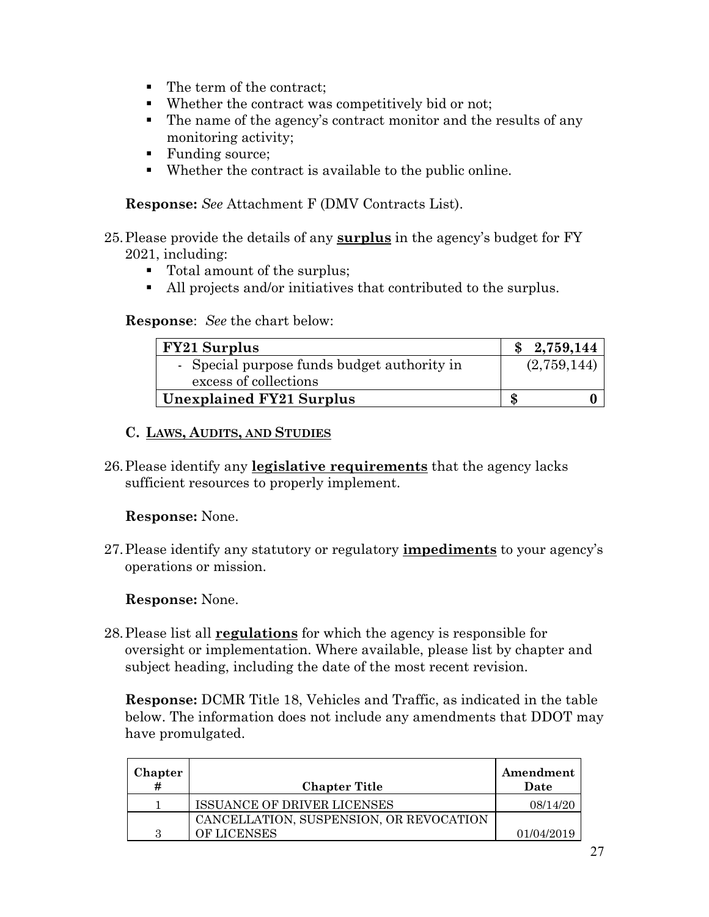- The term of the contract:
- Whether the contract was competitively bid or not;
- The name of the agency's contract monitor and the results of any monitoring activity;
- Funding source;
- Whether the contract is available to the public online.

**Response:** *See* Attachment F (DMV Contracts List).

- 25.Please provide the details of any **surplus** in the agency's budget for FY 2021, including:
	- Total amount of the surplus;
	- All projects and/or initiatives that contributed to the surplus.

#### **Response**: *See* the chart below:

| <b>FY21 Surplus</b>                         |   | \$2,759,144 |
|---------------------------------------------|---|-------------|
| - Special purpose funds budget authority in |   | (2,759,144) |
| excess of collections                       |   |             |
| <b>Unexplained FY21 Surplus</b>             | S |             |

### **C. LAWS, AUDITS, AND STUDIES**

26.Please identify any **legislative requirements** that the agency lacks sufficient resources to properly implement.

#### **Response:** None.

27.Please identify any statutory or regulatory **impediments** to your agency's operations or mission.

# **Response:** None.

28.Please list all **regulations** for which the agency is responsible for oversight or implementation. Where available, please list by chapter and subject heading, including the date of the most recent revision.

**Response:** DCMR Title 18, Vehicles and Traffic, as indicated in the table below. The information does not include any amendments that DDOT may have promulgated.

| <b>Chapter</b> |                                         | Amendment  |
|----------------|-----------------------------------------|------------|
|                | <b>Chapter Title</b>                    | Date       |
|                | <b>ISSUANCE OF DRIVER LICENSES</b>      | 08/14/20   |
|                | CANCELLATION, SUSPENSION, OR REVOCATION |            |
| З              | <b>OF LICENSES</b>                      | 01/04/2019 |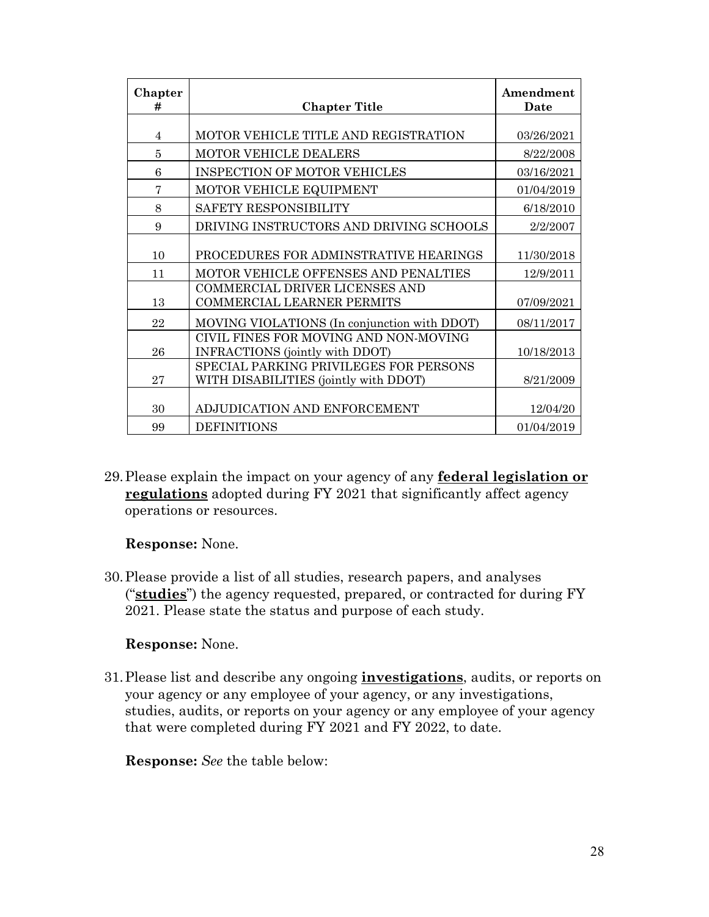| Chapter<br># | <b>Chapter Title</b>                         | Amendment<br>Date |
|--------------|----------------------------------------------|-------------------|
|              |                                              |                   |
| 4            | MOTOR VEHICLE TITLE AND REGISTRATION         | 03/26/2021        |
| 5            | MOTOR VEHICLE DEALERS                        | 8/22/2008         |
| 6            | <b>INSPECTION OF MOTOR VEHICLES</b>          | 03/16/2021        |
| 7            | MOTOR VEHICLE EQUIPMENT                      | 01/04/2019        |
| 8            | SAFETY RESPONSIBILITY                        | 6/18/2010         |
| 9            | DRIVING INSTRUCTORS AND DRIVING SCHOOLS      | 2/2/2007          |
|              |                                              |                   |
| 10           | PROCEDURES FOR ADMINSTRATIVE HEARINGS        | 11/30/2018        |
| 11           | MOTOR VEHICLE OFFENSES AND PENALTIES         | 12/9/2011         |
|              | COMMERCIAL DRIVER LICENSES AND               |                   |
| 13           | <b>COMMERCIAL LEARNER PERMITS</b>            | 07/09/2021        |
| 22           | MOVING VIOLATIONS (In conjunction with DDOT) | 08/11/2017        |
|              | CIVIL FINES FOR MOVING AND NON-MOVING        |                   |
| 26           | INFRACTIONS (jointly with DDOT)              | 10/18/2013        |
|              | SPECIAL PARKING PRIVILEGES FOR PERSONS       |                   |
| 27           | WITH DISABILITIES (jointly with DDOT)        | 8/21/2009         |
|              |                                              |                   |
| 30           | ADJUDICATION AND ENFORCEMENT                 | 12/04/20          |
| 99           | <b>DEFINITIONS</b>                           | 01/04/2019        |

29.Please explain the impact on your agency of any **federal legislation or regulations** adopted during FY 2021 that significantly affect agency operations or resources.

**Response:** None.

30.Please provide a list of all studies, research papers, and analyses ("**studies**") the agency requested, prepared, or contracted for during FY 2021. Please state the status and purpose of each study.

# **Response:** None.

31.Please list and describe any ongoing **investigations**, audits, or reports on your agency or any employee of your agency, or any investigations, studies, audits, or reports on your agency or any employee of your agency that were completed during FY 2021 and FY 2022, to date.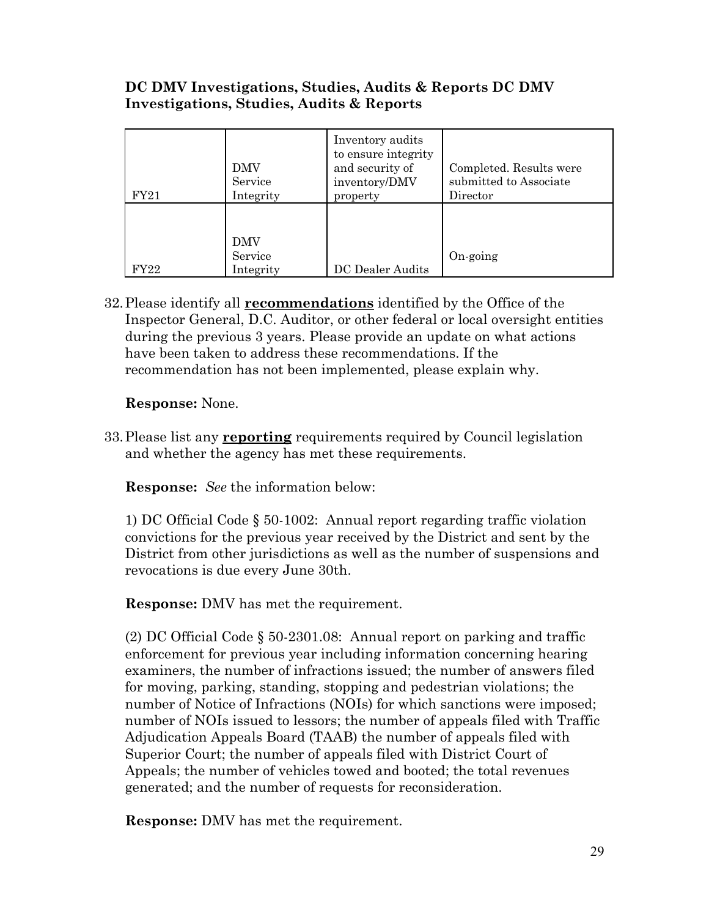# **DC DMV Investigations, Studies, Audits & Reports DC DMV Investigations, Studies, Audits & Reports**

| FY21 | <b>DMV</b><br>Service<br>Integrity | Inventory audits<br>to ensure integrity<br>and security of<br>inventory/DMV<br>property | Completed. Results were<br>submitted to Associate<br>Director |
|------|------------------------------------|-----------------------------------------------------------------------------------------|---------------------------------------------------------------|
| FY22 | <b>DMV</b><br>Service<br>Integrity | DC Dealer Audits                                                                        | On-going                                                      |

32.Please identify all **recommendations** identified by the Office of the Inspector General, D.C. Auditor, or other federal or local oversight entities during the previous 3 years. Please provide an update on what actions have been taken to address these recommendations. If the recommendation has not been implemented, please explain why.

**Response:** None.

33.Please list any **reporting** requirements required by Council legislation and whether the agency has met these requirements.

**Response:** *See* the information below:

1) DC Official Code § 50-1002: Annual report regarding traffic violation convictions for the previous year received by the District and sent by the District from other jurisdictions as well as the number of suspensions and revocations is due every June 30th.

**Response:** DMV has met the requirement.

(2) DC Official Code § 50-2301.08: Annual report on parking and traffic enforcement for previous year including information concerning hearing examiners, the number of infractions issued; the number of answers filed for moving, parking, standing, stopping and pedestrian violations; the number of Notice of Infractions (NOIs) for which sanctions were imposed; number of NOIs issued to lessors; the number of appeals filed with Traffic Adjudication Appeals Board (TAAB) the number of appeals filed with Superior Court; the number of appeals filed with District Court of Appeals; the number of vehicles towed and booted; the total revenues generated; and the number of requests for reconsideration.

**Response:** DMV has met the requirement.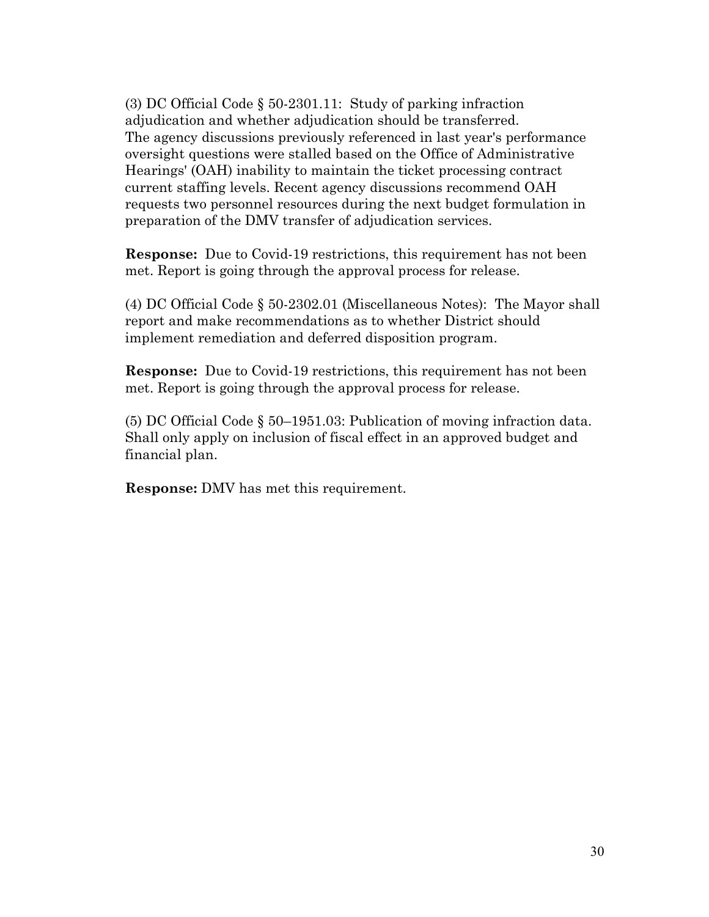(3) DC Official Code § 50-2301.11: Study of parking infraction adjudication and whether adjudication should be transferred. The agency discussions previously referenced in last year's performance oversight questions were stalled based on the Office of Administrative Hearings' (OAH) inability to maintain the ticket processing contract current staffing levels. Recent agency discussions recommend OAH requests two personnel resources during the next budget formulation in preparation of the DMV transfer of adjudication services.

**Response:** Due to Covid-19 restrictions, this requirement has not been met. Report is going through the approval process for release.

(4) DC Official Code § 50-2302.01 (Miscellaneous Notes): The Mayor shall report and make recommendations as to whether District should implement remediation and deferred disposition program.

**Response:** Due to Covid-19 restrictions, this requirement has not been met. Report is going through the approval process for release.

(5) DC Official Code § 50–1951.03: Publication of moving infraction data. Shall only apply on inclusion of fiscal effect in an approved budget and financial plan.

**Response:** DMV has met this requirement.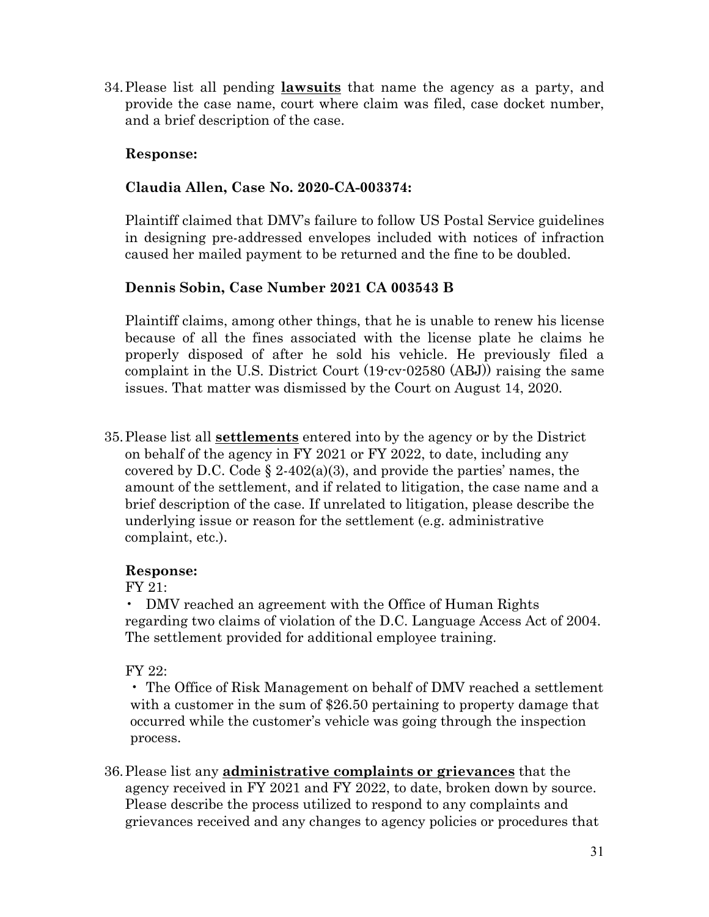34.Please list all pending **lawsuits** that name the agency as a party, and provide the case name, court where claim was filed, case docket number, and a brief description of the case.

### **Response:**

### **Claudia Allen, Case No. 2020-CA-003374:**

Plaintiff claimed that DMV's failure to follow US Postal Service guidelines in designing pre-addressed envelopes included with notices of infraction caused her mailed payment to be returned and the fine to be doubled.

### **Dennis Sobin, Case Number 2021 CA 003543 B**

Plaintiff claims, among other things, that he is unable to renew his license because of all the fines associated with the license plate he claims he properly disposed of after he sold his vehicle. He previously filed a complaint in the U.S. District Court (19-cv-02580 (ABJ)) raising the same issues. That matter was dismissed by the Court on August 14, 2020.

35.Please list all **settlements** entered into by the agency or by the District on behalf of the agency in FY 2021 or FY 2022, to date, including any covered by D.C. Code  $\S 2-402(a)(3)$ , and provide the parties' names, the amount of the settlement, and if related to litigation, the case name and a brief description of the case. If unrelated to litigation, please describe the underlying issue or reason for the settlement (e.g. administrative complaint, etc.).

#### **Response:**

FY 21:

• DMV reached an agreement with the Office of Human Rights regarding two claims of violation of the D.C. Language Access Act of 2004. The settlement provided for additional employee training.

FY 22:

• The Office of Risk Management on behalf of DMV reached a settlement with a customer in the sum of \$26.50 pertaining to property damage that occurred while the customer's vehicle was going through the inspection process.

36.Please list any **administrative complaints or grievances** that the agency received in FY 2021 and FY 2022, to date, broken down by source. Please describe the process utilized to respond to any complaints and grievances received and any changes to agency policies or procedures that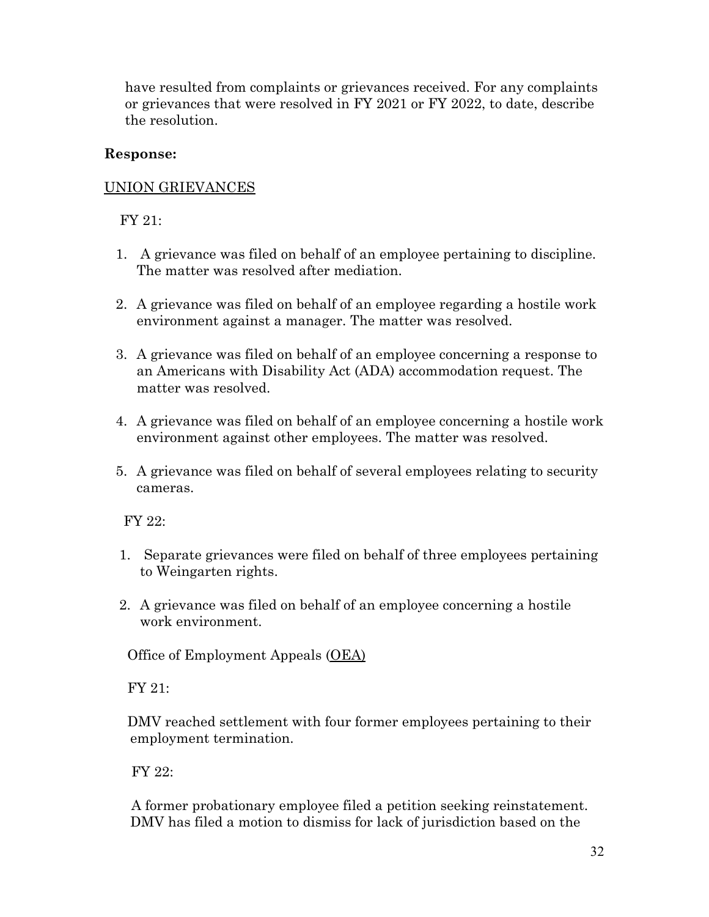have resulted from complaints or grievances received. For any complaints or grievances that were resolved in FY 2021 or FY 2022, to date, describe the resolution.

### **Response:**

### UNION GRIEVANCES

FY 21:

- 1. A grievance was filed on behalf of an employee pertaining to discipline. The matter was resolved after mediation.
- 2. A grievance was filed on behalf of an employee regarding a hostile work environment against a manager. The matter was resolved.
- 3. A grievance was filed on behalf of an employee concerning a response to an Americans with Disability Act (ADA) accommodation request. The matter was resolved.
- 4. A grievance was filed on behalf of an employee concerning a hostile work environment against other employees. The matter was resolved.
- 5. A grievance was filed on behalf of several employees relating to security cameras.

FY 22:

- 1. Separate grievances were filed on behalf of three employees pertaining to Weingarten rights.
- 2. A grievance was filed on behalf of an employee concerning a hostile work environment.

Office of Employment Appeals (OEA)

FY 21:

 DMV reached settlement with four former employees pertaining to their employment termination.

FY 22:

 A former probationary employee filed a petition seeking reinstatement. DMV has filed a motion to dismiss for lack of jurisdiction based on the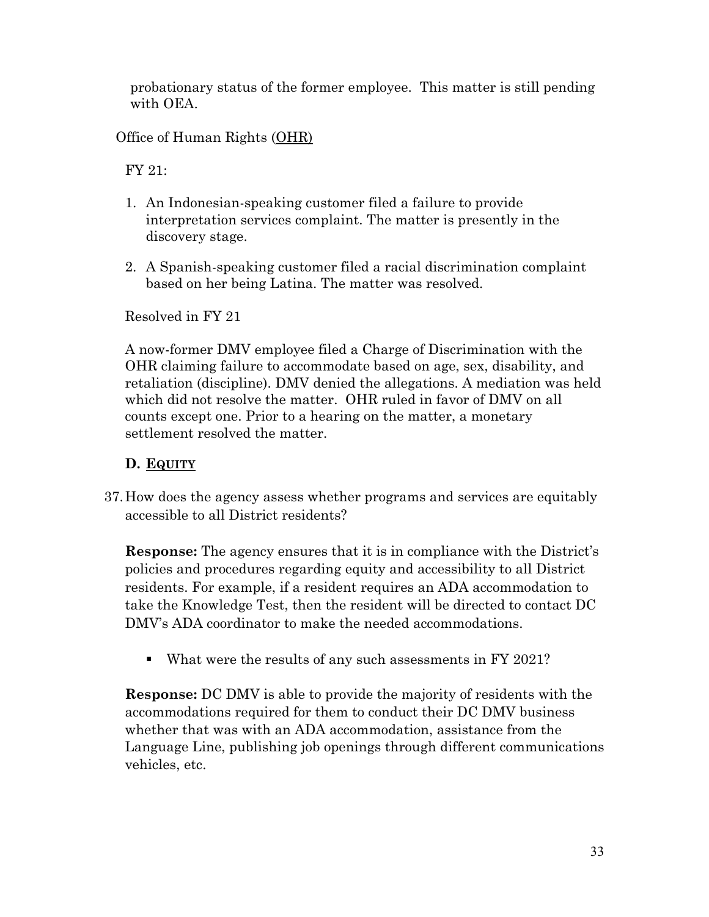probationary status of the former employee. This matter is still pending with OEA.

Office of Human Rights (OHR)

FY 21:

- 1. An Indonesian-speaking customer filed a failure to provide interpretation services complaint. The matter is presently in the discovery stage.
- 2. A Spanish-speaking customer filed a racial discrimination complaint based on her being Latina. The matter was resolved.

Resolved in FY 21

A now-former DMV employee filed a Charge of Discrimination with the OHR claiming failure to accommodate based on age, sex, disability, and retaliation (discipline). DMV denied the allegations. A mediation was held which did not resolve the matter. OHR ruled in favor of DMV on all counts except one. Prior to a hearing on the matter, a monetary settlement resolved the matter.

# **D. EQUITY**

37.How does the agency assess whether programs and services are equitably accessible to all District residents?

**Response:** The agency ensures that it is in compliance with the District's policies and procedures regarding equity and accessibility to all District residents. For example, if a resident requires an ADA accommodation to take the Knowledge Test, then the resident will be directed to contact DC DMV's ADA coordinator to make the needed accommodations.

What were the results of any such assessments in FY 2021?

**Response:** DC DMV is able to provide the majority of residents with the accommodations required for them to conduct their DC DMV business whether that was with an ADA accommodation, assistance from the Language Line, publishing job openings through different communications vehicles, etc.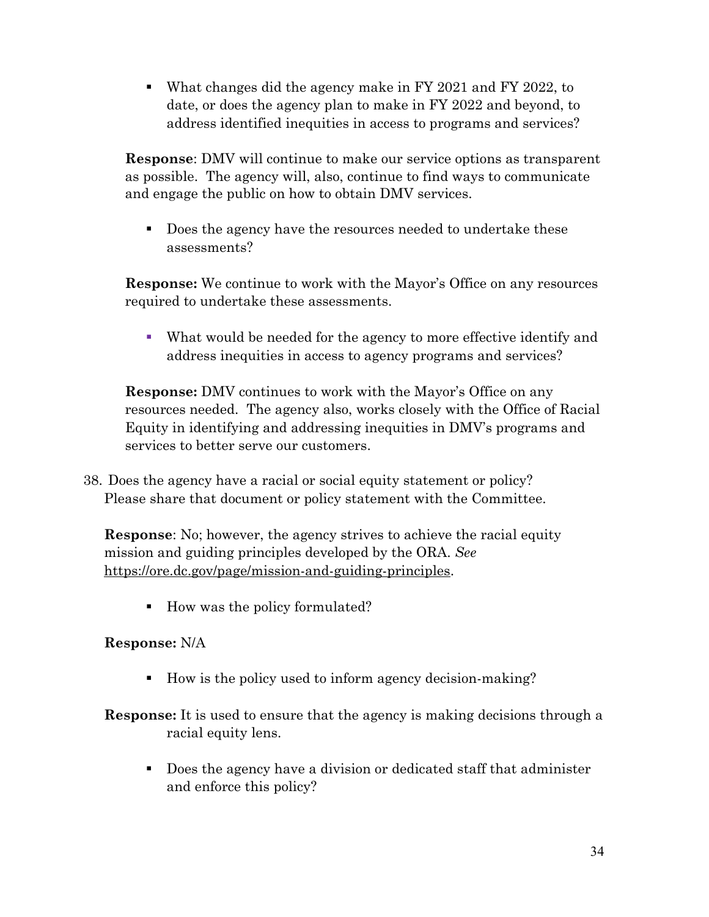What changes did the agency make in FY 2021 and FY 2022, to date, or does the agency plan to make in FY 2022 and beyond, to address identified inequities in access to programs and services?

**Response**: DMV will continue to make our service options as transparent as possible. The agency will, also, continue to find ways to communicate and engage the public on how to obtain DMV services.

Does the agency have the resources needed to undertake these assessments?

**Response:** We continue to work with the Mayor's Office on any resources required to undertake these assessments.

 What would be needed for the agency to more effective identify and address inequities in access to agency programs and services?

**Response:** DMV continues to work with the Mayor's Office on any resources needed. The agency also, works closely with the Office of Racial Equity in identifying and addressing inequities in DMV's programs and services to better serve our customers.

38. Does the agency have a racial or social equity statement or policy? Please share that document or policy statement with the Committee.

**Response:** No; however, the agency strives to achieve the racial equity mission and guiding principles developed by the ORA. *See* [https://ore.dc.gov/page/mission-and-guiding-principles.](https://ore.dc.gov/page/mission-and-guiding-principles)

■ How was the policy formulated?

# **Response:** N/A

■ How is the policy used to inform agency decision-making?

**Response:** It is used to ensure that the agency is making decisions through a racial equity lens.

Does the agency have a division or dedicated staff that administer and enforce this policy?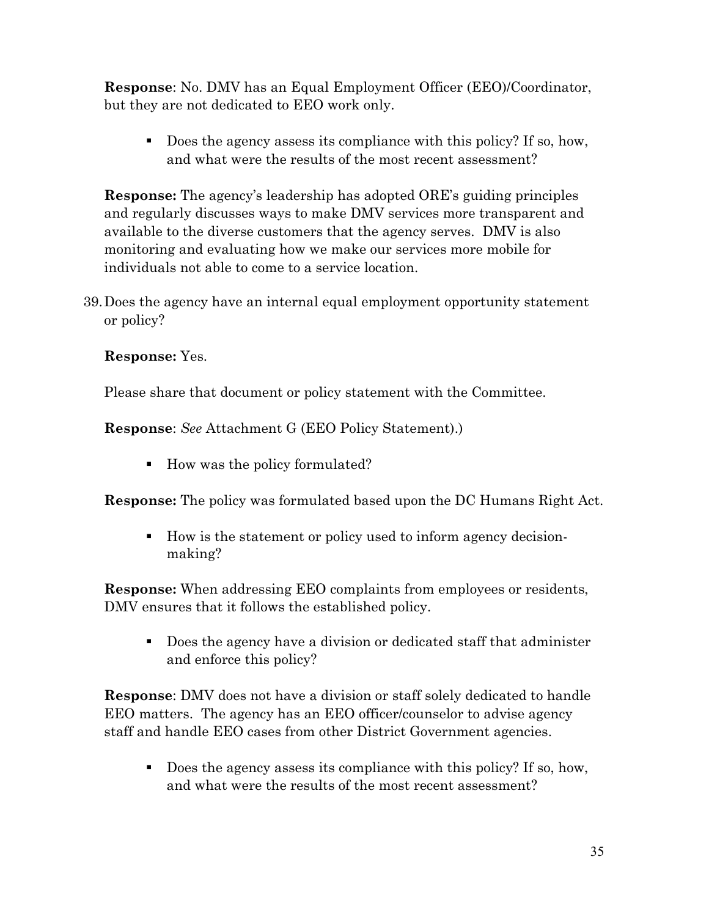**Response**: No. DMV has an Equal Employment Officer (EEO)/Coordinator, but they are not dedicated to EEO work only.

Does the agency assess its compliance with this policy? If so, how, and what were the results of the most recent assessment?

**Response:** The agency's leadership has adopted ORE's guiding principles and regularly discusses ways to make DMV services more transparent and available to the diverse customers that the agency serves. DMV is also monitoring and evaluating how we make our services more mobile for individuals not able to come to a service location.

39.Does the agency have an internal equal employment opportunity statement or policy?

# **Response:** Yes.

Please share that document or policy statement with the Committee.

**Response**: *See* Attachment G (EEO Policy Statement).)

■ How was the policy formulated?

**Response:** The policy was formulated based upon the DC Humans Right Act.

■ How is the statement or policy used to inform agency decisionmaking?

**Response:** When addressing EEO complaints from employees or residents, DMV ensures that it follows the established policy.

 Does the agency have a division or dedicated staff that administer and enforce this policy?

**Response**: DMV does not have a division or staff solely dedicated to handle EEO matters. The agency has an EEO officer/counselor to advise agency staff and handle EEO cases from other District Government agencies.

Does the agency assess its compliance with this policy? If so, how, and what were the results of the most recent assessment?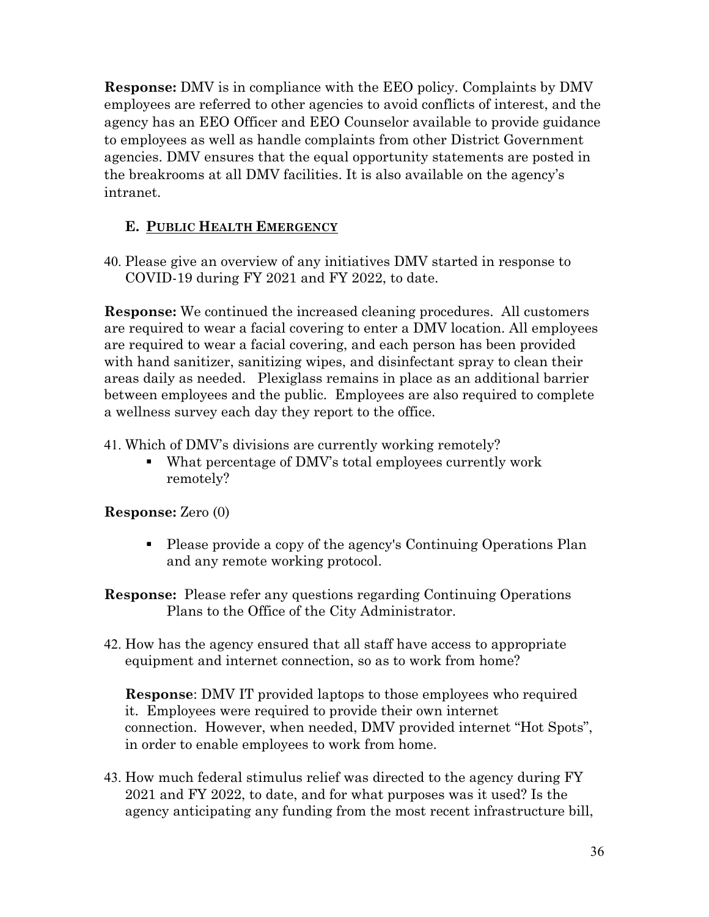**Response:** DMV is in compliance with the EEO policy. Complaints by DMV employees are referred to other agencies to avoid conflicts of interest, and the agency has an EEO Officer and EEO Counselor available to provide guidance to employees as well as handle complaints from other District Government agencies. DMV ensures that the equal opportunity statements are posted in the breakrooms at all DMV facilities. It is also available on the agency's intranet.

# **E. PUBLIC HEALTH EMERGENCY**

40. Please give an overview of any initiatives DMV started in response to COVID-19 during FY 2021 and FY 2022, to date.

**Response:** We continued the increased cleaning procedures. All customers are required to wear a facial covering to enter a DMV location. All employees are required to wear a facial covering, and each person has been provided with hand sanitizer, sanitizing wipes, and disinfectant spray to clean their areas daily as needed. Plexiglass remains in place as an additional barrier between employees and the public. Employees are also required to complete a wellness survey each day they report to the office.

41. Which of DMV's divisions are currently working remotely?

 What percentage of DMV's total employees currently work remotely?

**Response:** Zero (0)

- Please provide a copy of the agency's Continuing Operations Plan and any remote working protocol.
- **Response:** Please refer any questions regarding Continuing Operations Plans to the Office of the City Administrator.
- 42. How has the agency ensured that all staff have access to appropriate equipment and internet connection, so as to work from home?

**Response**: DMV IT provided laptops to those employees who required it. Employees were required to provide their own internet connection. However, when needed, DMV provided internet "Hot Spots", in order to enable employees to work from home.

43. How much federal stimulus relief was directed to the agency during FY 2021 and FY 2022, to date, and for what purposes was it used? Is the agency anticipating any funding from the most recent infrastructure bill,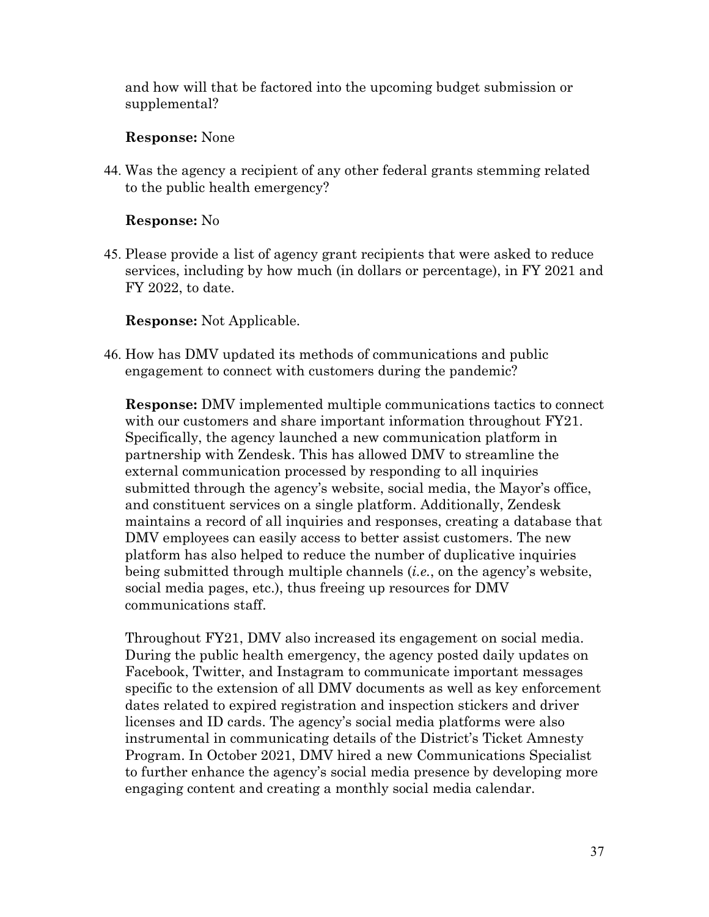and how will that be factored into the upcoming budget submission or supplemental?

#### **Response:** None

44. Was the agency a recipient of any other federal grants stemming related to the public health emergency?

### **Response:** No

45. Please provide a list of agency grant recipients that were asked to reduce services, including by how much (in dollars or percentage), in FY 2021 and FY 2022, to date.

**Response:** Not Applicable.

46. How has DMV updated its methods of communications and public engagement to connect with customers during the pandemic?

**Response:** DMV implemented multiple communications tactics to connect with our customers and share important information throughout  $\text{FY21}$ . Specifically, the agency launched a new communication platform in partnership with Zendesk. This has allowed DMV to streamline the external communication processed by responding to all inquiries submitted through the agency's website, social media, the Mayor's office, and constituent services on a single platform. Additionally, Zendesk maintains a record of all inquiries and responses, creating a database that DMV employees can easily access to better assist customers. The new platform has also helped to reduce the number of duplicative inquiries being submitted through multiple channels (*i.e.*, on the agency's website, social media pages, etc.), thus freeing up resources for DMV communications staff.

Throughout FY21, DMV also increased its engagement on social media. During the public health emergency, the agency posted daily updates on Facebook, Twitter, and Instagram to communicate important messages specific to the extension of all DMV documents as well as key enforcement dates related to expired registration and inspection stickers and driver licenses and ID cards. The agency's social media platforms were also instrumental in communicating details of the District's Ticket Amnesty Program. In October 2021, DMV hired a new Communications Specialist to further enhance the agency's social media presence by developing more engaging content and creating a monthly social media calendar.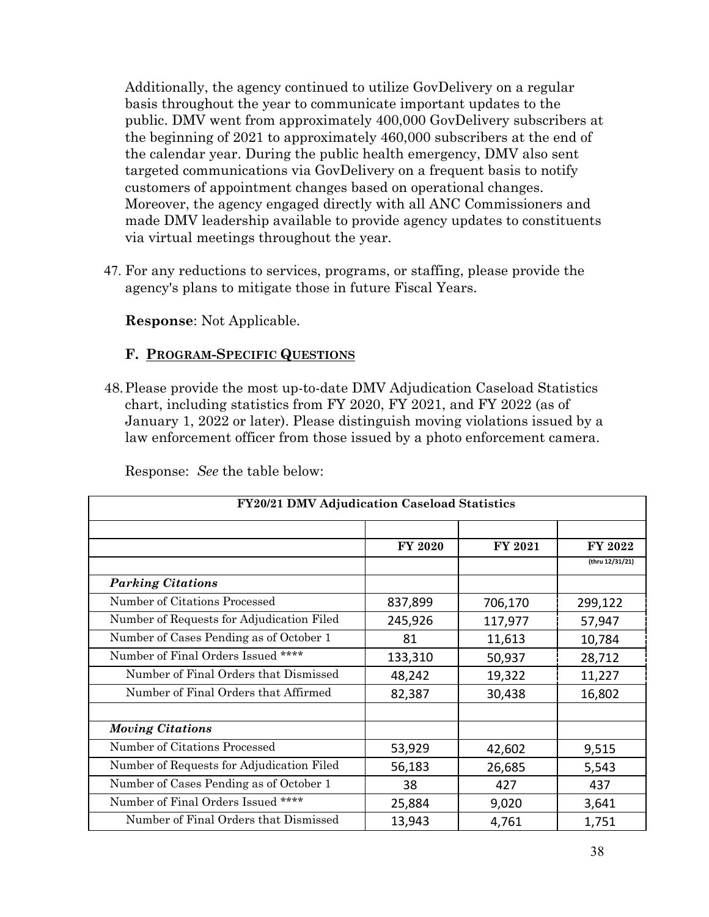Additionally, the agency continued to utilize GovDelivery on a regular basis throughout the year to communicate important updates to the public. DMV went from approximately 400,000 GovDelivery subscribers at the beginning of 2021 to approximately 460,000 subscribers at the end of the calendar year. During the public health emergency, DMV also sent targeted communications via GovDelivery on a frequent basis to notify customers of appointment changes based on operational changes. Moreover, the agency engaged directly with all ANC Commissioners and made DMV leadership available to provide agency updates to constituents via virtual meetings throughout the year.

47. For any reductions to services, programs, or staffing, please provide the agency's plans to mitigate those in future Fiscal Years.

**Response**: Not Applicable.

### **F. PROGRAM-SPECIFIC QUESTIONS**

48.Please provide the most up-to-date DMV Adjudication Caseload Statistics chart, including statistics from FY 2020, FY 2021, and FY 2022 (as of January 1, 2022 or later). Please distinguish moving violations issued by a law enforcement officer from those issued by a photo enforcement camera.

| FY20/21 DMV Adjudication Caseload Statistics |                |         |                 |  |  |
|----------------------------------------------|----------------|---------|-----------------|--|--|
|                                              | <b>FY 2020</b> | FY 2021 | FY 2022         |  |  |
|                                              |                |         | (thru 12/31/21) |  |  |
| <b>Parking Citations</b>                     |                |         |                 |  |  |
| Number of Citations Processed                | 837,899        | 706,170 | 299,122         |  |  |
| Number of Requests for Adjudication Filed    | 245,926        | 117,977 | 57,947          |  |  |
| Number of Cases Pending as of October 1      | 81             | 11,613  | 10,784          |  |  |
| Number of Final Orders Issued ****           | 133,310        | 50,937  | 28,712          |  |  |
| Number of Final Orders that Dismissed        | 48,242         | 19,322  | 11,227          |  |  |
| Number of Final Orders that Affirmed         | 82,387         | 30,438  | 16,802          |  |  |
|                                              |                |         |                 |  |  |
| <b>Moving Citations</b>                      |                |         |                 |  |  |
| Number of Citations Processed                | 53,929         | 42,602  | 9,515           |  |  |
| Number of Requests for Adjudication Filed    | 56,183         | 26,685  | 5,543           |  |  |
| Number of Cases Pending as of October 1      | 38             | 427     | 437             |  |  |
| Number of Final Orders Issued ****           | 25,884         | 9,020   | 3,641           |  |  |
| Number of Final Orders that Dismissed        | 13,943         | 4,761   | 1,751           |  |  |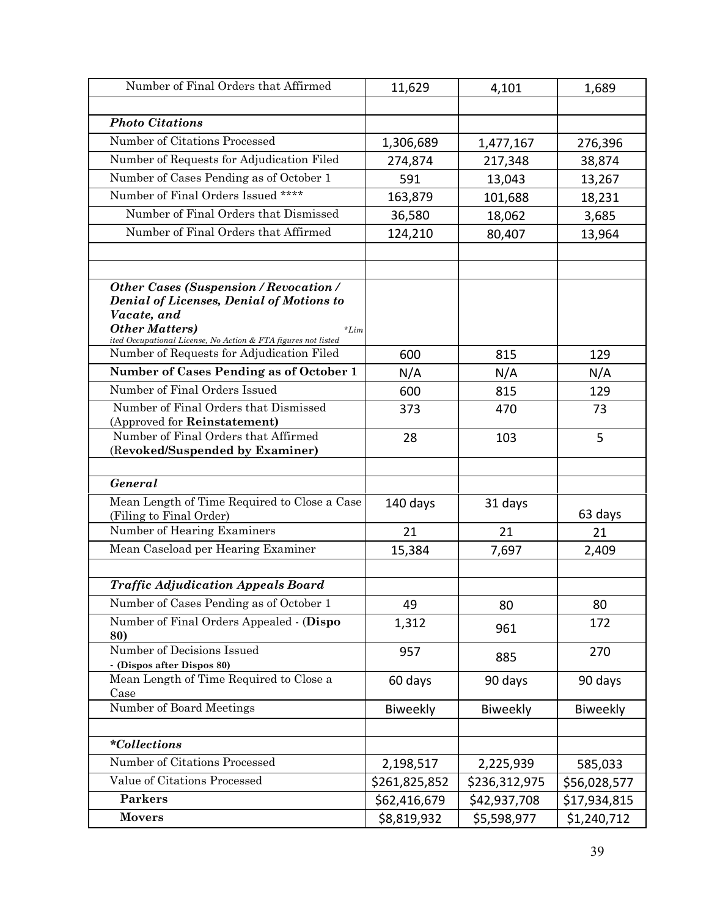| Number of Final Orders that Affirmed                                                                                                                                                                                 | 11,629        | 4,101         | 1,689        |
|----------------------------------------------------------------------------------------------------------------------------------------------------------------------------------------------------------------------|---------------|---------------|--------------|
|                                                                                                                                                                                                                      |               |               |              |
| <b>Photo Citations</b>                                                                                                                                                                                               |               |               |              |
| Number of Citations Processed                                                                                                                                                                                        | 1,306,689     | 1,477,167     | 276,396      |
| Number of Requests for Adjudication Filed                                                                                                                                                                            | 274,874       | 217,348       | 38,874       |
| Number of Cases Pending as of October 1                                                                                                                                                                              | 591           | 13,043        | 13,267       |
| Number of Final Orders Issued ****                                                                                                                                                                                   | 163,879       | 101,688       | 18,231       |
| Number of Final Orders that Dismissed                                                                                                                                                                                | 36,580        | 18,062        | 3,685        |
| Number of Final Orders that Affirmed                                                                                                                                                                                 | 124,210       | 80,407        | 13,964       |
|                                                                                                                                                                                                                      |               |               |              |
|                                                                                                                                                                                                                      |               |               |              |
| <b>Other Cases (Suspension / Revocation /</b><br><b>Denial of Licenses, Denial of Motions to</b><br>Vacate, and<br><b>Other Matters</b> )<br>$*Lim$<br>ited Occupational License, No Action & FTA figures not listed |               |               |              |
| Number of Requests for Adjudication Filed                                                                                                                                                                            | 600           | 815           | 129          |
| Number of Cases Pending as of October 1                                                                                                                                                                              | N/A           | N/A           | N/A          |
| Number of Final Orders Issued                                                                                                                                                                                        | 600           | 815           | 129          |
| Number of Final Orders that Dismissed<br>(Approved for Reinstatement)                                                                                                                                                | 373           | 470           | 73           |
| Number of Final Orders that Affirmed<br>(Revoked/Suspended by Examiner)                                                                                                                                              | 28            | 103           | 5            |
| General                                                                                                                                                                                                              |               |               |              |
| Mean Length of Time Required to Close a Case<br>(Filing to Final Order)                                                                                                                                              | 140 days      | 31 days       | 63 days      |
| Number of Hearing Examiners                                                                                                                                                                                          | 21            | 21            | 21           |
| Mean Caseload per Hearing Examiner                                                                                                                                                                                   | 15,384        | 7,697         | 2,409        |
|                                                                                                                                                                                                                      |               |               |              |
| <b>Traffic Adjudication Appeals Board</b>                                                                                                                                                                            |               |               |              |
| Number of Cases Pending as of October 1                                                                                                                                                                              | 49            | 80            | 80           |
| Number of Final Orders Appealed - (Dispo<br>80)                                                                                                                                                                      | 1,312         | 961           | 172          |
| Number of Decisions Issued<br>- (Dispos after Dispos 80)                                                                                                                                                             | 957           | 885           | 270          |
| Mean Length of Time Required to Close a<br>Case                                                                                                                                                                      | 60 days       | 90 days       | 90 days      |
| Number of Board Meetings                                                                                                                                                                                             | Biweekly      | Biweekly      | Biweekly     |
|                                                                                                                                                                                                                      |               |               |              |
| <i>*Collections</i>                                                                                                                                                                                                  |               |               |              |
| Number of Citations Processed                                                                                                                                                                                        | 2,198,517     | 2,225,939     | 585,033      |
| Value of Citations Processed                                                                                                                                                                                         | \$261,825,852 | \$236,312,975 | \$56,028,577 |
| <b>Parkers</b>                                                                                                                                                                                                       | \$62,416,679  | \$42,937,708  | \$17,934,815 |
| <b>Movers</b>                                                                                                                                                                                                        | \$8,819,932   | \$5,598,977   | \$1,240,712  |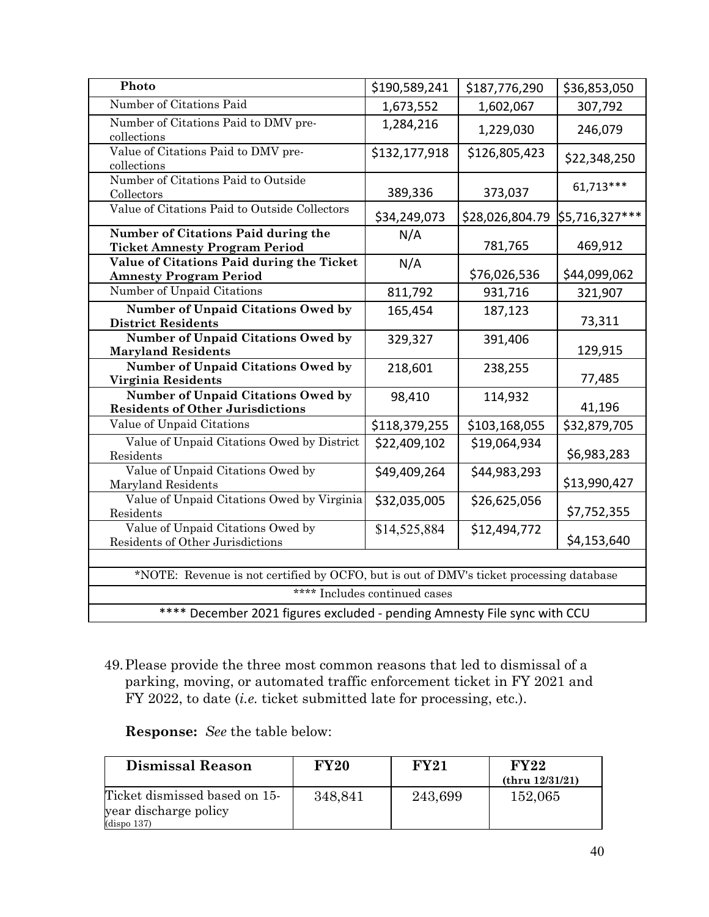| Photo                                                                                   | \$190,589,241 | \$187,776,290   | \$36,853,050   |  |  |  |
|-----------------------------------------------------------------------------------------|---------------|-----------------|----------------|--|--|--|
| Number of Citations Paid                                                                | 1,673,552     | 1,602,067       | 307,792        |  |  |  |
| Number of Citations Paid to DMV pre-<br>collections                                     | 1,284,216     | 1,229,030       | 246,079        |  |  |  |
| Value of Citations Paid to DMV pre-<br>collections                                      | \$132,177,918 | \$126,805,423   | \$22,348,250   |  |  |  |
| Number of Citations Paid to Outside<br>Collectors                                       | 389,336       | 373,037         | 61,713***      |  |  |  |
| Value of Citations Paid to Outside Collectors                                           | \$34,249,073  | \$28,026,804.79 | \$5,716,327*** |  |  |  |
| Number of Citations Paid during the<br><b>Ticket Amnesty Program Period</b>             | N/A           | 781,765         | 469,912        |  |  |  |
| Value of Citations Paid during the Ticket<br><b>Amnesty Program Period</b>              | N/A           | \$76,026,536    | \$44,099,062   |  |  |  |
| Number of Unpaid Citations                                                              | 811,792       | 931,716         | 321,907        |  |  |  |
| Number of Unpaid Citations Owed by<br><b>District Residents</b>                         | 165,454       | 187,123         | 73,311         |  |  |  |
| Number of Unpaid Citations Owed by<br><b>Maryland Residents</b>                         | 329,327       | 391,406         | 129,915        |  |  |  |
| Number of Unpaid Citations Owed by<br>Virginia Residents                                | 218,601       | 238,255         | 77,485         |  |  |  |
| Number of Unpaid Citations Owed by<br><b>Residents of Other Jurisdictions</b>           | 98,410        | 114,932         | 41,196         |  |  |  |
| Value of Unpaid Citations                                                               | \$118,379,255 | \$103,168,055   | \$32,879,705   |  |  |  |
| Value of Unpaid Citations Owed by District<br>Residents                                 | \$22,409,102  | \$19,064,934    | \$6,983,283    |  |  |  |
| Value of Unpaid Citations Owed by<br>Maryland Residents                                 | \$49,409,264  | \$44,983,293    | \$13,990,427   |  |  |  |
| Value of Unpaid Citations Owed by Virginia<br>Residents                                 | \$32,035,005  | \$26,625,056    | \$7,752,355    |  |  |  |
| Value of Unpaid Citations Owed by<br>Residents of Other Jurisdictions                   | \$14,525,884  | \$12,494,772    | \$4,153,640    |  |  |  |
|                                                                                         |               |                 |                |  |  |  |
| *NOTE: Revenue is not certified by OCFO, but is out of DMV's ticket processing database |               |                 |                |  |  |  |
| **** Includes continued cases                                                           |               |                 |                |  |  |  |
| **** December 2021 figures excluded - pending Amnesty File sync with CCU                |               |                 |                |  |  |  |

49.Please provide the three most common reasons that led to dismissal of a parking, moving, or automated traffic enforcement ticket in FY 2021 and FY 2022, to date (*i.e.* ticket submitted late for processing, etc.).

|  | <b>Response:</b> See the table below: |
|--|---------------------------------------|
|--|---------------------------------------|

| <b>Dismissal Reason</b>                                               | <b>FY20</b> | <b>FY21</b> | FY22<br>(thru 12/31/21) |
|-----------------------------------------------------------------------|-------------|-------------|-------------------------|
| Ticket dismissed based on 15-<br>year discharge policy<br>(dispo 137) | 348,841     | 243,699     | 152,065                 |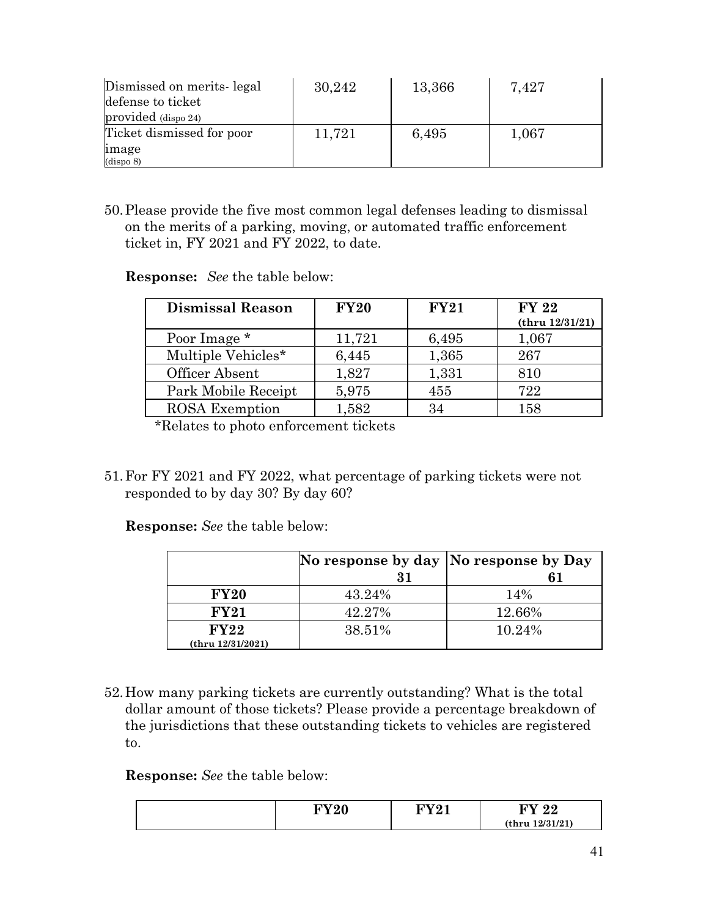| Dismissed on merits-legal<br>defense to ticket | 30,242 | 13,366 | 7,427 |
|------------------------------------------------|--------|--------|-------|
| provided (dispo 24)                            |        |        |       |
| Ticket dismissed for poor                      | 11,721 | 6,495  | 1,067 |
| image                                          |        |        |       |
| (dispo 8)                                      |        |        |       |

50.Please provide the five most common legal defenses leading to dismissal on the merits of a parking, moving, or automated traffic enforcement ticket in, FY 2021 and FY 2022, to date.

**Response:** *See* the table below:

| <b>Dismissal Reason</b> | <b>FY20</b> | FY21  | <b>FY 22</b><br>(thru 12/31/21) |
|-------------------------|-------------|-------|---------------------------------|
| Poor Image *            | 11,721      | 6,495 | 1,067                           |
| Multiple Vehicles*      | 6,445       | 1,365 | 267                             |
| Officer Absent          | 1,827       | 1,331 | 810                             |
| Park Mobile Receipt     | 5,975       | 455   | 722                             |
| <b>ROSA</b> Exemption   | 1,582       | 34    | 158                             |

\*Relates to photo enforcement tickets

51.For FY 2021 and FY 2022, what percentage of parking tickets were not responded to by day 30? By day 60?

**Response:** *See* the table below:

|                           |        | No response by day  No response by Day |
|---------------------------|--------|----------------------------------------|
|                           | 31     |                                        |
| <b>FY20</b>               | 43.24% | 14%                                    |
| FY21                      | 42.27% | 12.66%                                 |
| FY22<br>(thru 12/31/2021) | 38.51% | 10.24%                                 |

52.How many parking tickets are currently outstanding? What is the total dollar amount of those tickets? Please provide a percentage breakdown of the jurisdictions that these outstanding tickets to vehicles are registered to.

| <b>ENTA A</b><br>-0 | ПТ70-4 | ഹ<br>. .        |
|---------------------|--------|-----------------|
|                     |        | (thru 12/31/21) |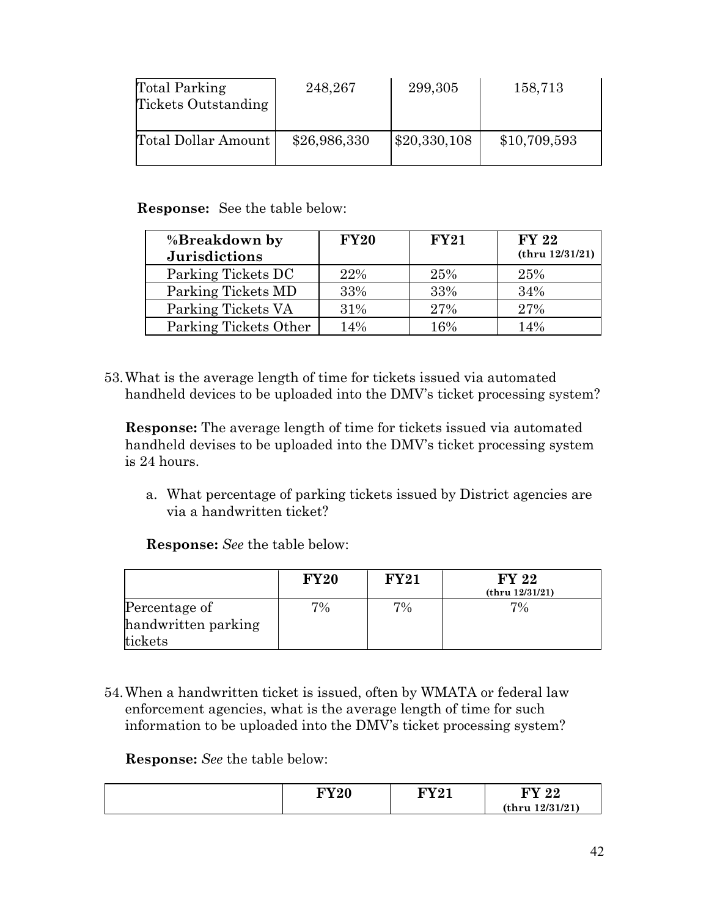| Total Parking<br>Tickets Outstanding | 248,267      | 299,305      | 158,713      |
|--------------------------------------|--------------|--------------|--------------|
| Total Dollar Amount                  | \$26,986,330 | \$20,330,108 | \$10,709,593 |

 **Response:** See the table below:

| %Breakdown by<br><b>Jurisdictions</b> | <b>FY20</b> | FY21 | <b>FY 22</b><br>(thru 12/31/21) |
|---------------------------------------|-------------|------|---------------------------------|
| Parking Tickets DC                    | 22%         | 25%  | 25%                             |
| Parking Tickets MD                    | 33%         | 33%  | 34%                             |
| Parking Tickets VA                    | 31%         | 27%  | 27%                             |
| Parking Tickets Other                 | 14%         | 16%  | 14%                             |

53.What is the average length of time for tickets issued via automated handheld devices to be uploaded into the DMV's ticket processing system?

**Response:** The average length of time for tickets issued via automated handheld devises to be uploaded into the DMV's ticket processing system is 24 hours.

a. What percentage of parking tickets issued by District agencies are via a handwritten ticket?

**Response:** *See* the table below:

|                     | <b>FY20</b> | <b>FY21</b> | FY 22<br>(thru 12/31/21) |
|---------------------|-------------|-------------|--------------------------|
| Percentage of       | $7\%$       | 7%          | 7%                       |
| handwritten parking |             |             |                          |
| tickets             |             |             |                          |

54.When a handwritten ticket is issued, often by WMATA or federal law enforcement agencies, what is the average length of time for such information to be uploaded into the DMV's ticket processing system?

| <b>LITTO O</b><br>14U | nva 1 | INV7.<br>ററ<br>44 |
|-----------------------|-------|-------------------|
|                       |       | (thru 12/31/21)   |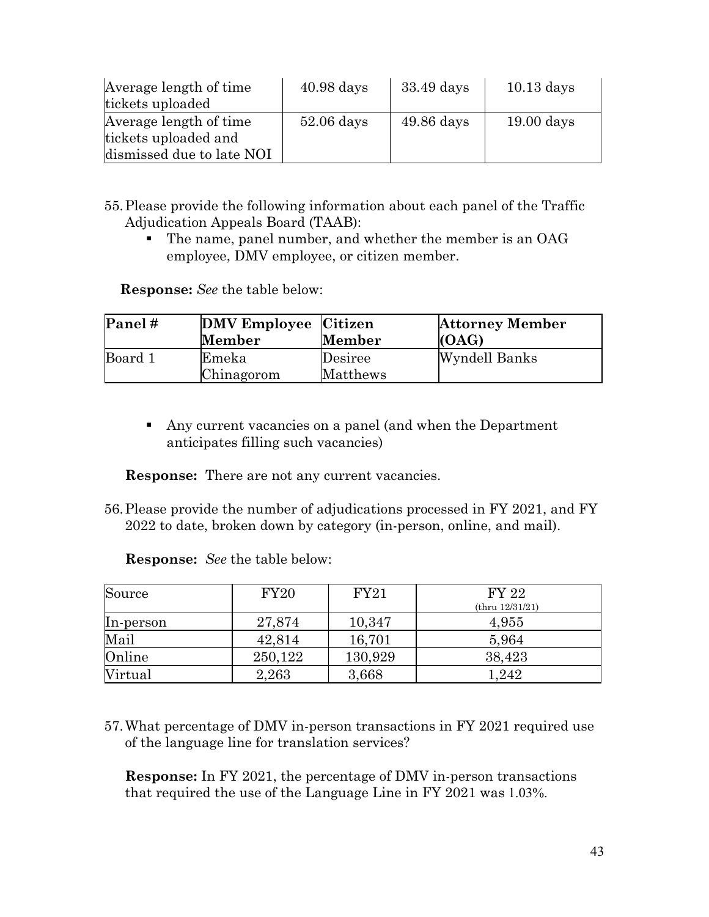| Average length of time    | $40.98$ days | 33.49 days   | $10.13$ days |
|---------------------------|--------------|--------------|--------------|
| tickets uploaded          |              |              |              |
| Average length of time    | $52.06$ days | $49.86$ days | $19.00$ days |
| tickets uploaded and      |              |              |              |
| dismissed due to late NOI |              |              |              |

- 55.Please provide the following information about each panel of the Traffic Adjudication Appeals Board (TAAB):
	- The name, panel number, and whether the member is an OAG employee, DMV employee, or citizen member.

 **Response:** *See* the table below:

| Panel#  | DMV Employee Citizen<br>Member | Member              | <b>Attorney Member</b><br>(OAG) |
|---------|--------------------------------|---------------------|---------------------------------|
| Board 1 | Emeka<br>Chinagorom            | Desiree<br>Matthews | Wyndell Banks                   |

 Any current vacancies on a panel (and when the Department anticipates filling such vacancies)

**Response:** There are not any current vacancies.

56.Please provide the number of adjudications processed in FY 2021, and FY 2022 to date, broken down by category (in-person, online, and mail).

**Response:** *See* the table below:

| Source         | FY20    | FY21    | <b>FY 22</b>    |
|----------------|---------|---------|-----------------|
|                |         |         | (thru 12/31/21) |
| In-person      | 27,874  | 10,347  | 4,955           |
| Mail           | 42,814  | 16,701  | 5,964           |
| Online         | 250,122 | 130,929 | 38,423          |
| <b>Virtual</b> | 2,263   | 3,668   | 1,242           |

57.What percentage of DMV in-person transactions in FY 2021 required use of the language line for translation services?

**Response:** In FY 2021, the percentage of DMV in-person transactions that required the use of the Language Line in FY 2021 was 1.03%.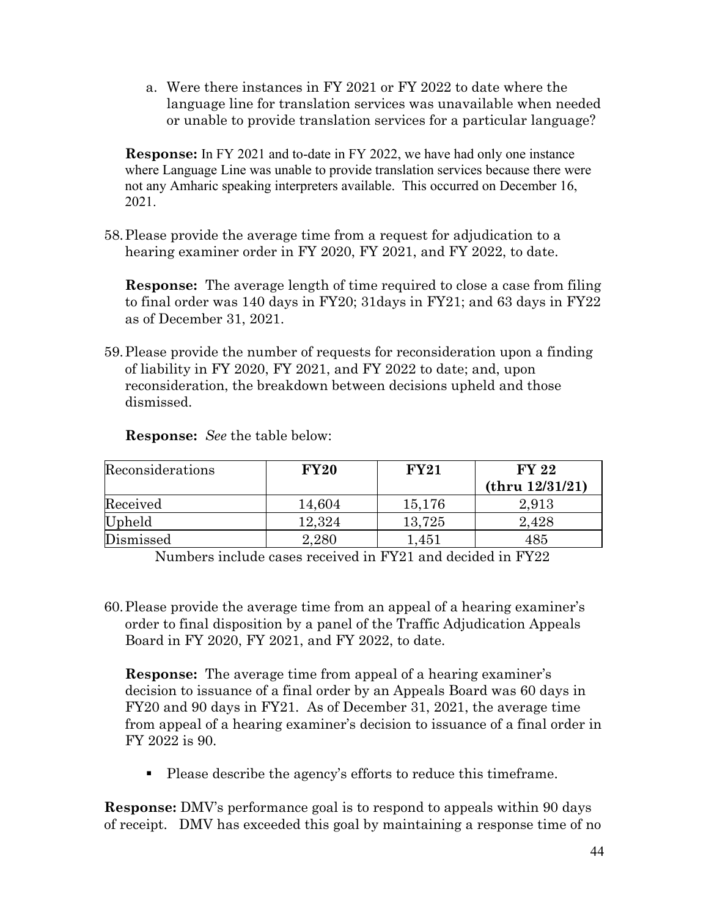a. Were there instances in FY 2021 or FY 2022 to date where the language line for translation services was unavailable when needed or unable to provide translation services for a particular language?

**Response:** In FY 2021 and to-date in FY 2022, we have had only one instance where Language Line was unable to provide translation services because there were not any Amharic speaking interpreters available. This occurred on December 16, 2021.

58.Please provide the average time from a request for adjudication to a hearing examiner order in FY 2020, FY 2021, and FY 2022, to date.

**Response:** The average length of time required to close a case from filing to final order was 140 days in FY20; 31days in FY21; and 63 days in FY22 as of December 31, 2021.

59.Please provide the number of requests for reconsideration upon a finding of liability in FY 2020, FY 2021, and FY 2022 to date; and, upon reconsideration, the breakdown between decisions upheld and those dismissed.

| Reconsiderations | <b>FY20</b> | FY21   | <b>FY 22</b>    |
|------------------|-------------|--------|-----------------|
|                  |             |        | (thru 12/31/21) |
| Received         | 14,604      | 15,176 | 2,913           |
| Upheld           | 12,324      | 13,725 | 2,428           |
| Dismissed        | $2.280\,$   | 1,451  | 485             |

**Response:** *See* the table below:

Numbers include cases received in FY21 and decided in FY22

60.Please provide the average time from an appeal of a hearing examiner's order to final disposition by a panel of the Traffic Adjudication Appeals Board in FY 2020, FY 2021, and FY 2022, to date.

**Response:** The average time from appeal of a hearing examiner's decision to issuance of a final order by an Appeals Board was 60 days in FY20 and 90 days in FY21. As of December 31, 2021, the average time from appeal of a hearing examiner's decision to issuance of a final order in FY 2022 is 90.

Please describe the agency's efforts to reduce this timeframe.

**Response:** DMV's performance goal is to respond to appeals within 90 days of receipt. DMV has exceeded this goal by maintaining a response time of no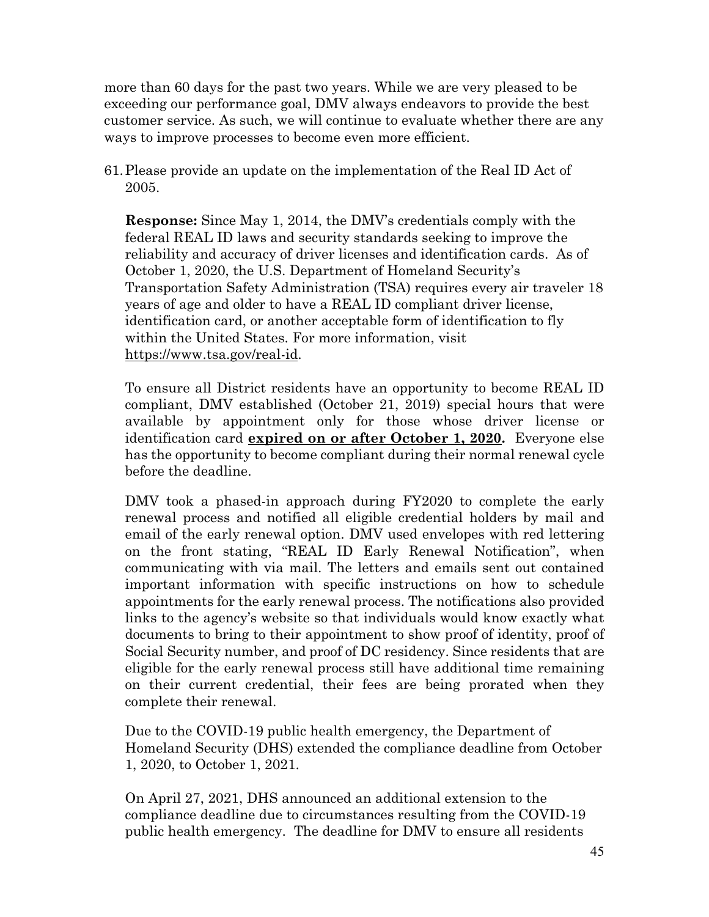more than 60 days for the past two years. While we are very pleased to be exceeding our performance goal, DMV always endeavors to provide the best customer service. As such, we will continue to evaluate whether there are any ways to improve processes to become even more efficient.

61.Please provide an update on the implementation of the Real ID Act of 2005.

**Response:** Since May 1, 2014, the DMV's credentials comply with the federal REAL ID laws and security standards seeking to improve the reliability and accuracy of driver licenses and identification cards. As of October 1, 2020, the U.S. Department of Homeland Security's Transportation Safety Administration (TSA) requires every air traveler 18 years of age and older to have a REAL ID compliant driver license, identification card, or another acceptable form of identification to fly within the United States. For more information, visit [https://www.tsa.gov/real-id.](https://www.tsa.gov/real-id)

To ensure all District residents have an opportunity to become REAL ID compliant, DMV established (October 21, 2019) special hours that were available by appointment only for those whose driver license or identification card **expired on or after October 1, 2020.** Everyone else has the opportunity to become compliant during their normal renewal cycle before the deadline.

DMV took a phased-in approach during FY2020 to complete the early renewal process and notified all eligible credential holders by mail and email of the early renewal option. DMV used envelopes with red lettering on the front stating, "REAL ID Early Renewal Notification", when communicating with via mail. The letters and emails sent out contained important information with specific instructions on how to schedule appointments for the early renewal process. The notifications also provided links to the agency's website so that individuals would know exactly what documents to bring to their appointment to show proof of identity, proof of Social Security number, and proof of DC residency. Since residents that are eligible for the early renewal process still have additional time remaining on their current credential, their fees are being prorated when they complete their renewal.

Due to the COVID-19 public health emergency, the Department of Homeland Security (DHS) extended the compliance deadline from October 1, 2020, to October 1, 2021.

On April 27, 2021, DHS announced an additional extension to the compliance deadline due to circumstances resulting from the COVID-19 public health emergency. The deadline for DMV to ensure all residents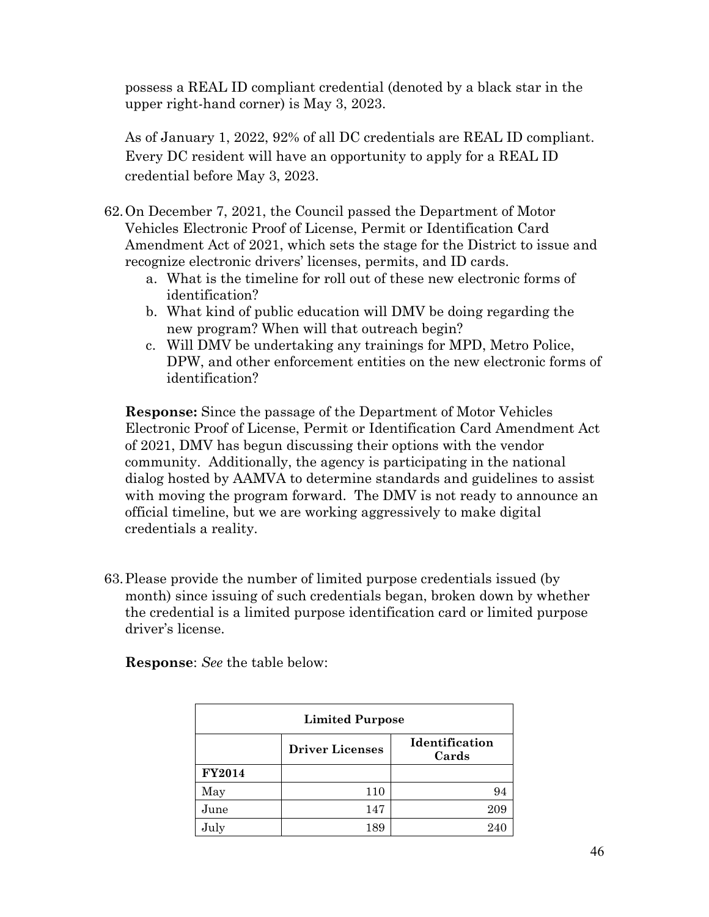possess a REAL ID compliant credential (denoted by a black star in the upper right-hand corner) is May 3, 2023.

As of January 1, 2022, 92% of all DC credentials are REAL ID compliant. Every DC resident will have an opportunity to apply for a REAL ID credential before May 3, 2023.

- 62.On December 7, 2021, the Council passed the Department of Motor Vehicles Electronic Proof of License, Permit or Identification Card Amendment Act of 2021, which sets the stage for the District to issue and recognize electronic drivers' licenses, permits, and ID cards.
	- a. What is the timeline for roll out of these new electronic forms of identification?
	- b. What kind of public education will DMV be doing regarding the new program? When will that outreach begin?
	- c. Will DMV be undertaking any trainings for MPD, Metro Police, DPW, and other enforcement entities on the new electronic forms of identification?

**Response:** Since the passage of the Department of Motor Vehicles Electronic Proof of License, Permit or Identification Card Amendment Act of 2021, DMV has begun discussing their options with the vendor community. Additionally, the agency is participating in the national dialog hosted by AAMVA to determine standards and guidelines to assist with moving the program forward. The DMV is not ready to announce an official timeline, but we are working aggressively to make digital credentials a reality.

63.Please provide the number of limited purpose credentials issued (by month) since issuing of such credentials began, broken down by whether the credential is a limited purpose identification card or limited purpose driver's license.

| <b>Limited Purpose</b> |                        |                         |
|------------------------|------------------------|-------------------------|
|                        | <b>Driver Licenses</b> | Identification<br>Cards |
| <b>FY2014</b>          |                        |                         |
| May                    | 110                    | 94                      |
| June                   | 147                    | 209                     |
| July                   | 189                    | 240                     |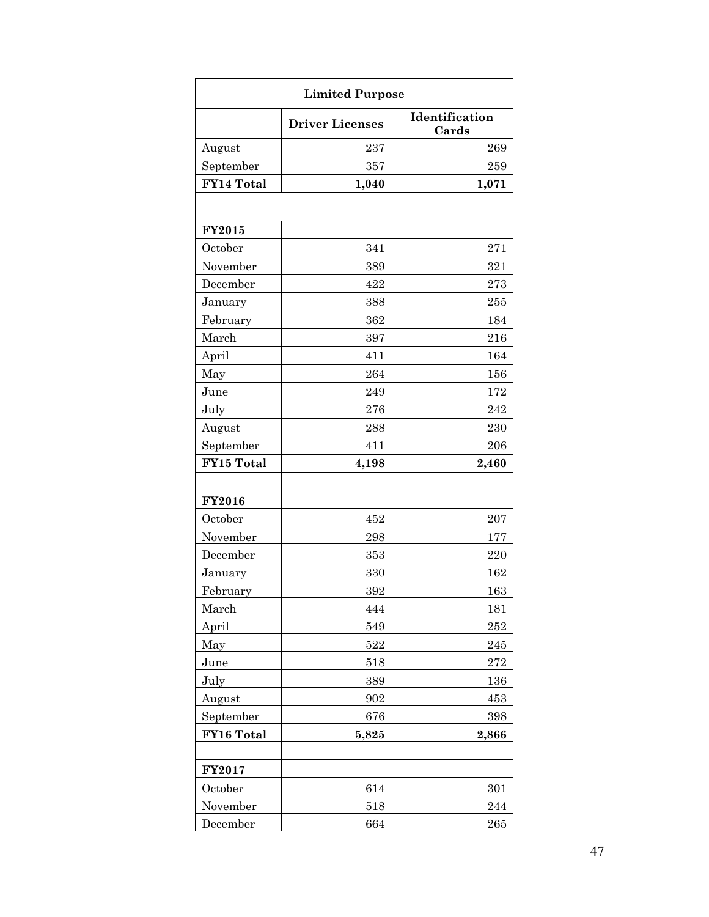| <b>Limited Purpose</b> |                        |                         |  |  |  |
|------------------------|------------------------|-------------------------|--|--|--|
|                        | <b>Driver Licenses</b> | Identification<br>Cards |  |  |  |
| August                 | 237                    | 269                     |  |  |  |
| September              | 357                    | 259                     |  |  |  |
| FY14 Total             | 1,040                  | 1,071                   |  |  |  |
|                        |                        |                         |  |  |  |
| <b>FY2015</b>          |                        |                         |  |  |  |
| October                | 341                    | 271                     |  |  |  |
| November               | 389                    | 321                     |  |  |  |
| December               | 422                    | 273                     |  |  |  |
| January                | 388                    | 255                     |  |  |  |
| February               | 362                    | 184                     |  |  |  |
| March                  | 397                    | 216                     |  |  |  |
| April                  | 411                    | 164                     |  |  |  |
| May                    | 264                    | 156                     |  |  |  |
| June                   | 249                    | 172                     |  |  |  |
| July                   | 276                    | 242                     |  |  |  |
| August                 | 288                    | 230                     |  |  |  |
| September              | 411                    | 206                     |  |  |  |
| FY15 Total             | 4,198                  | 2,460                   |  |  |  |
|                        |                        |                         |  |  |  |
| <b>FY2016</b>          |                        |                         |  |  |  |
| October                | 452                    | 207                     |  |  |  |
| November               | 298                    | 177                     |  |  |  |
| December               | 353                    | 220                     |  |  |  |
| January                | 330                    | 162                     |  |  |  |
| February               | 392                    | 163                     |  |  |  |
| March                  | 444                    | 181                     |  |  |  |
| April                  | 549                    | $252\,$                 |  |  |  |
| May                    | 522                    | 245                     |  |  |  |
| June                   | 518                    | 272                     |  |  |  |
| July                   | 389                    | 136                     |  |  |  |
| August                 | 902                    | 453                     |  |  |  |
| September              | 676                    | 398                     |  |  |  |
| FY16 Total             | 5,825                  | 2,866                   |  |  |  |
|                        |                        |                         |  |  |  |
| <b>FY2017</b>          |                        |                         |  |  |  |
| October                | 614                    | 301                     |  |  |  |
| November               | 518                    | 244                     |  |  |  |
| December               | 664                    | 265                     |  |  |  |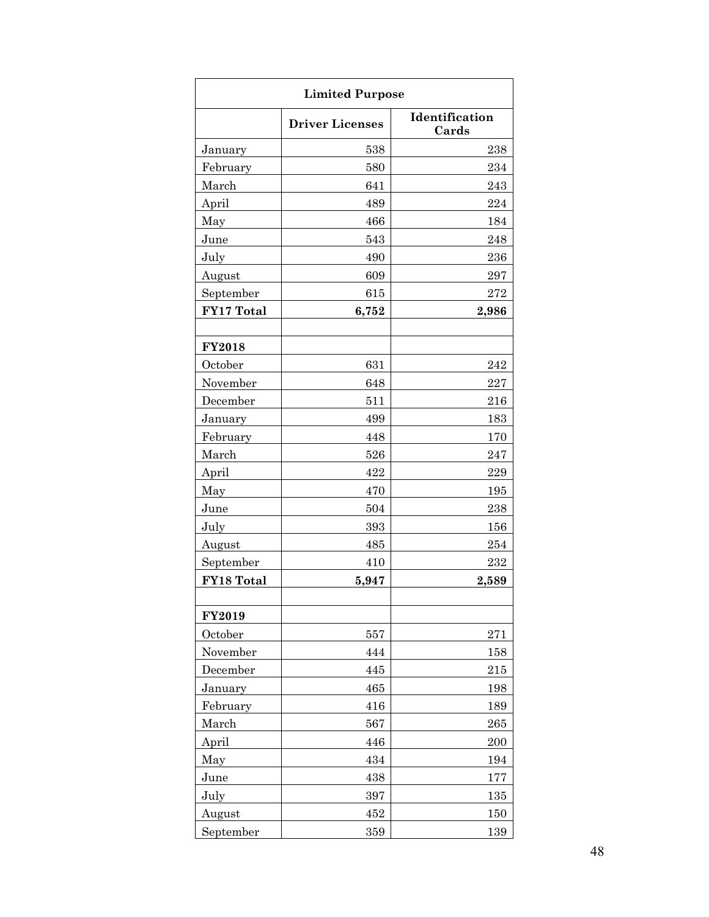| <b>Limited Purpose</b>                            |         |       |  |  |  |  |
|---------------------------------------------------|---------|-------|--|--|--|--|
| Identification<br><b>Driver Licenses</b><br>Cards |         |       |  |  |  |  |
| January                                           | 538     | 238   |  |  |  |  |
| February                                          | 580     | 234   |  |  |  |  |
| March                                             | 641     | 243   |  |  |  |  |
| April                                             | 489     | 224   |  |  |  |  |
| May                                               | 466     | 184   |  |  |  |  |
| June                                              | 543     | 248   |  |  |  |  |
| July                                              | 490     | 236   |  |  |  |  |
| August                                            | 609     | 297   |  |  |  |  |
| September                                         | 615     | 272   |  |  |  |  |
| FY17 Total                                        | 6,752   | 2,986 |  |  |  |  |
|                                                   |         |       |  |  |  |  |
| <b>FY2018</b>                                     |         |       |  |  |  |  |
| October                                           | 631     | 242   |  |  |  |  |
| November                                          | 648     | 227   |  |  |  |  |
| December                                          | 511     | 216   |  |  |  |  |
| January                                           | 499     | 183   |  |  |  |  |
| February                                          | 448     | 170   |  |  |  |  |
| March                                             | 526     | 247   |  |  |  |  |
| April                                             | 422     | 229   |  |  |  |  |
| May                                               | 470     | 195   |  |  |  |  |
| June                                              | 504     | 238   |  |  |  |  |
| July                                              | 393     | 156   |  |  |  |  |
| August                                            | 485     | 254   |  |  |  |  |
| September                                         | 410     | 232   |  |  |  |  |
| FY18 Total                                        | 5,947   | 2,589 |  |  |  |  |
|                                                   |         |       |  |  |  |  |
| <b>FY2019</b>                                     |         |       |  |  |  |  |
| October                                           | 557     | 271   |  |  |  |  |
| November                                          | 444     | 158   |  |  |  |  |
| December                                          | 445     | 215   |  |  |  |  |
| January                                           | 465     | 198   |  |  |  |  |
| February                                          | 416     | 189   |  |  |  |  |
| March                                             | 567     | 265   |  |  |  |  |
| April                                             | 446     | 200   |  |  |  |  |
| May                                               | 434     | 194   |  |  |  |  |
| June                                              | 438     | 177   |  |  |  |  |
| July                                              | 397     | 135   |  |  |  |  |
| August                                            | 452     | 150   |  |  |  |  |
| September                                         | $359\,$ | 139   |  |  |  |  |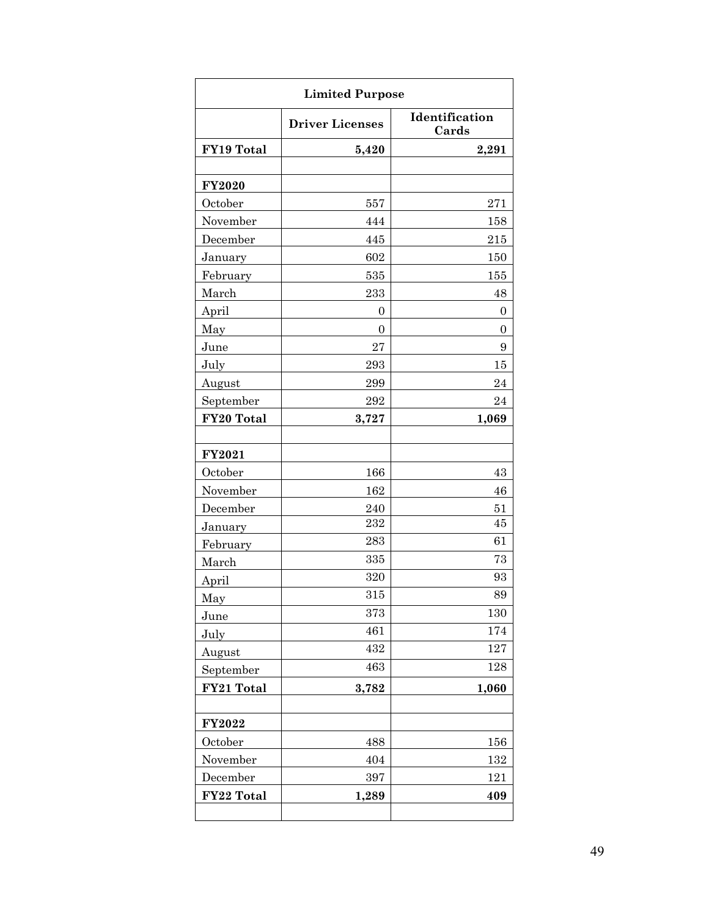| <b>Limited Purpose</b> |                        |                         |  |  |  |
|------------------------|------------------------|-------------------------|--|--|--|
|                        | <b>Driver Licenses</b> | Identification<br>Cards |  |  |  |
| FY19 Total             | 5,420                  | 2,291                   |  |  |  |
|                        |                        |                         |  |  |  |
| <b>FY2020</b>          |                        |                         |  |  |  |
| October                | 557                    | 271                     |  |  |  |
| November               | 444                    | 158                     |  |  |  |
| December               | 445                    | 215                     |  |  |  |
| January                | 602                    | 150                     |  |  |  |
| February               | 535                    | 155                     |  |  |  |
| March                  | 233                    | 48                      |  |  |  |
| April                  | 0                      | 0                       |  |  |  |
| May                    | $\boldsymbol{0}$       | $\boldsymbol{0}$        |  |  |  |
| June                   | 27                     | 9                       |  |  |  |
| July                   | 293                    | 15                      |  |  |  |
| August                 | 299                    | 24                      |  |  |  |
| September              | $\bf 292$              | 24                      |  |  |  |
| FY20 Total             | 3,727                  | 1,069                   |  |  |  |
|                        |                        |                         |  |  |  |
| <b>FY2021</b>          |                        |                         |  |  |  |
| October                | 166                    | 43                      |  |  |  |
| November               | 162                    | 46                      |  |  |  |
| December               | 240                    | 51                      |  |  |  |
| January                | 232                    | 45                      |  |  |  |
| February               | 283                    | 61                      |  |  |  |
| March                  | 335                    | 73                      |  |  |  |
| April                  | 320                    | 93                      |  |  |  |
| May                    | 315                    | 89                      |  |  |  |
| June                   | 373                    | 130                     |  |  |  |
| July                   | 461                    | 174                     |  |  |  |
| August                 | 432                    | 127                     |  |  |  |
| September              | 463                    | 128                     |  |  |  |
| FY21 Total             | 3,782                  | 1,060                   |  |  |  |
|                        |                        |                         |  |  |  |
| FY2022                 |                        |                         |  |  |  |
| October                | 488                    | 156                     |  |  |  |
| November               | 404                    | $132\,$                 |  |  |  |
| December               | 397                    | 121                     |  |  |  |
| FY22 Total             | 1,289                  | 409                     |  |  |  |
|                        |                        |                         |  |  |  |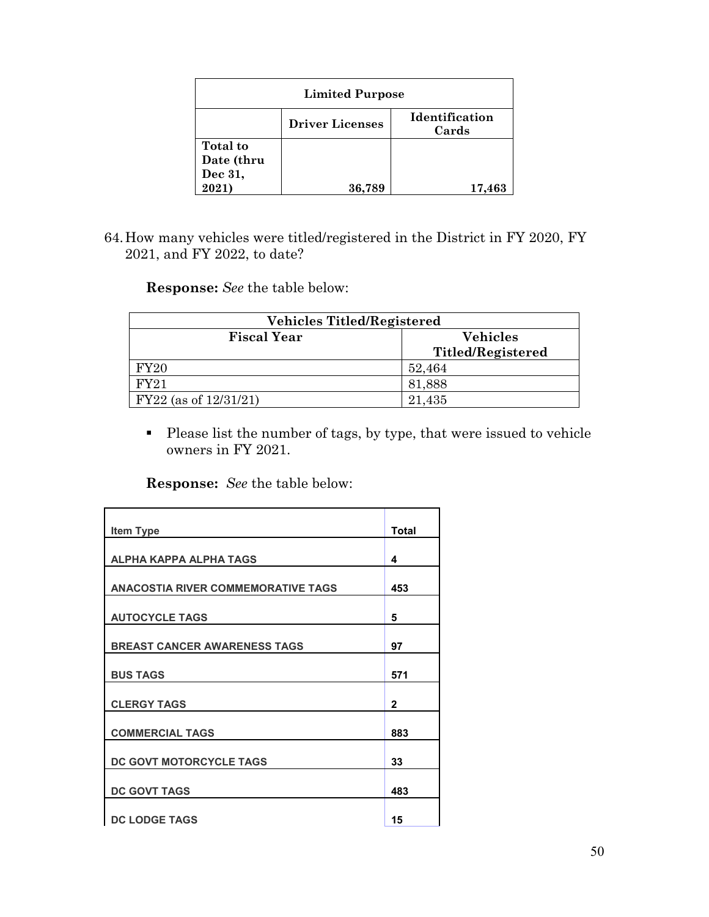| <b>Limited Purpose</b>                            |        |        |  |  |  |  |
|---------------------------------------------------|--------|--------|--|--|--|--|
| Identification<br><b>Driver Licenses</b><br>Cards |        |        |  |  |  |  |
| Total to<br>Date (thru                            |        |        |  |  |  |  |
| Dec 31,<br>2021)                                  | 36,789 | 17,463 |  |  |  |  |

64.How many vehicles were titled/registered in the District in FY 2020, FY 2021, and FY 2022, to date?

**Response:** *See* the table below:

| <b>Vehicles Titled/Registered</b>     |                          |  |  |  |
|---------------------------------------|--------------------------|--|--|--|
| <b>Vehicles</b><br><b>Fiscal Year</b> |                          |  |  |  |
|                                       | <b>Titled/Registered</b> |  |  |  |
| FY20                                  | 52,464                   |  |  |  |
| <b>FY21</b>                           | 81,888                   |  |  |  |
| $FY22$ (as of $12/31/21$ )            | 21,435                   |  |  |  |

 Please list the number of tags, by type, that were issued to vehicle owners in FY 2021.

| <b>Item Type</b>                          | <b>Total</b> |
|-------------------------------------------|--------------|
| <b>ALPHA KAPPA ALPHA TAGS</b>             | 4            |
| <b>ANACOSTIA RIVER COMMEMORATIVE TAGS</b> | 453          |
| <b>AUTOCYCLE TAGS</b>                     | 5            |
| <b>BREAST CANCER AWARENESS TAGS</b>       | 97           |
| <b>BUS TAGS</b>                           | 571          |
| <b>CLERGY TAGS</b>                        | $\mathbf{2}$ |
| <b>COMMERCIAL TAGS</b>                    | 883          |
| DC GOVT MOTORCYCLE TAGS                   | 33           |
| <b>DC GOVT TAGS</b>                       | 483          |
| <b>DC LODGE TAGS</b>                      | 15           |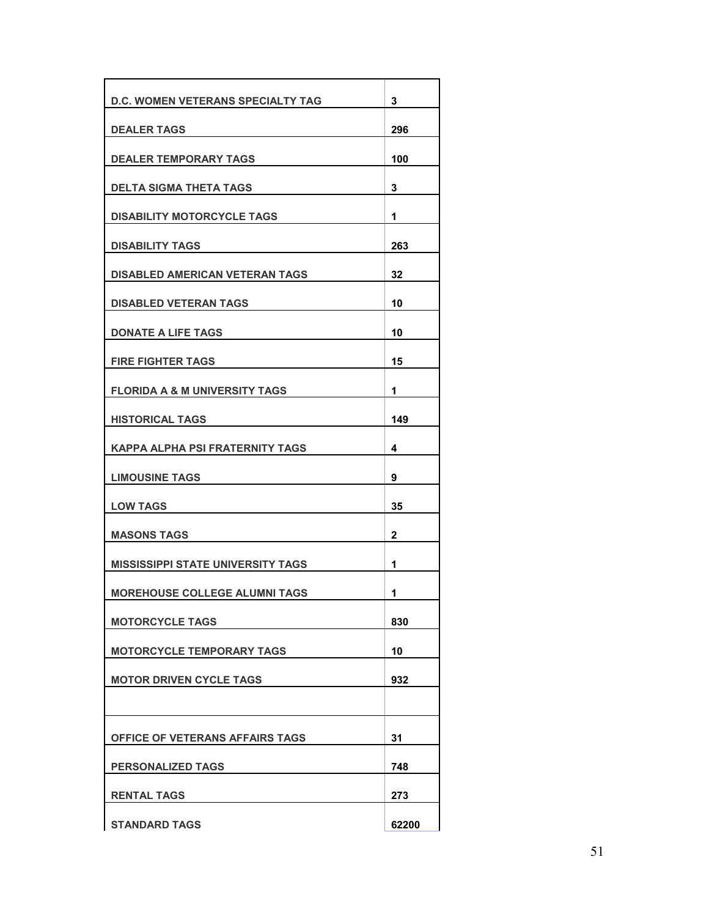| <b>D.C. WOMEN VETERANS SPECIALTY TAG</b> | 3   |
|------------------------------------------|-----|
| <b>DEALER TAGS</b>                       | 296 |
| <b>DEALER TEMPORARY TAGS</b>             | 100 |
| <b>DELTA SIGMA THETA TAGS</b>            | 3   |
| <b>DISABILITY MOTORCYCLE TAGS</b>        | 1   |
| <b>DISABILITY TAGS</b>                   | 263 |
| <b>DISABLED AMERICAN VETERAN TAGS</b>    | 32  |
| <b>DISABLED VETERAN TAGS</b>             | 10  |
| <b>DONATE A LIFE TAGS</b>                | 10  |
| <b>FIRE FIGHTER TAGS</b>                 | 15  |
| <b>FLORIDA A &amp; M UNIVERSITY TAGS</b> | 1   |
| <b>HISTORICAL TAGS</b>                   | 149 |
| KAPPA ALPHA PSI FRATERNITY TAGS          | 4   |
| <b>LIMOUSINE TAGS</b>                    | 9   |
|                                          |     |
| <b>LOW TAGS</b>                          | 35  |
| <b>MASONS TAGS</b>                       | 2   |
| <b>MISSISSIPPI STATE UNIVERSITY TAGS</b> | 1   |
| <b>MOREHOUSE COLLEGE ALUMNI TAGS</b>     | 1   |
| <b>MOTORCYCLE TAGS</b>                   | 830 |
| <b>MOTORCYCLE TEMPORARY TAGS</b>         | 10  |
| <b>MOTOR DRIVEN CYCLE TAGS</b>           | 932 |
|                                          |     |
| OFFICE OF VETERANS AFFAIRS TAGS          | 31  |
| <b>PERSONALIZED TAGS</b>                 | 748 |
| <b>RENTAL TAGS</b>                       | 273 |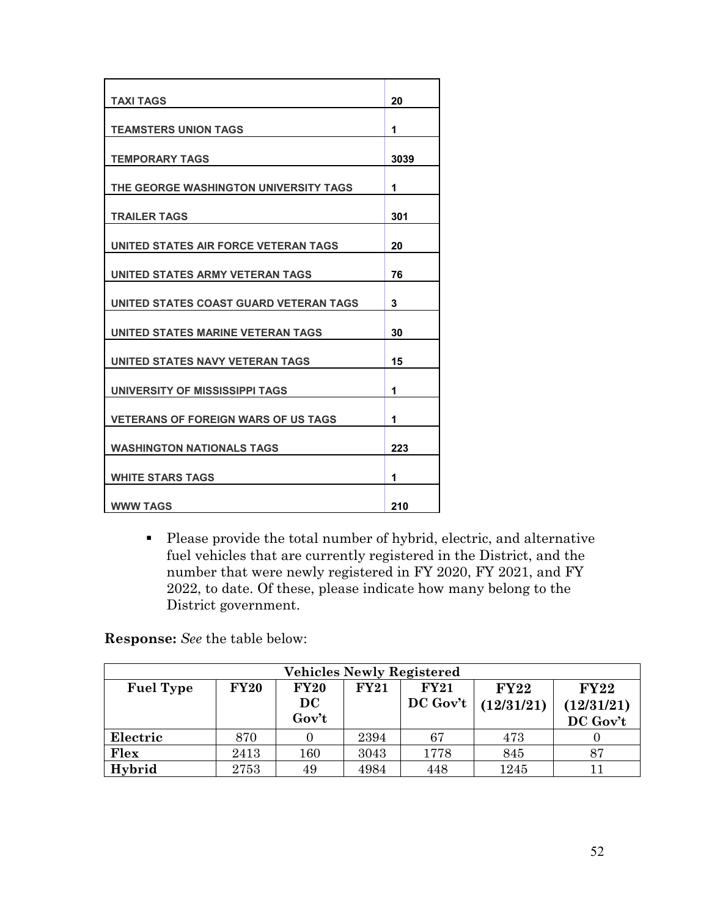| <b>TAXI TAGS</b>                           | 20   |
|--------------------------------------------|------|
| <b>TEAMSTERS UNION TAGS</b>                | 1    |
| <b>TEMPORARY TAGS</b>                      | 3039 |
| THE GEORGE WASHINGTON UNIVERSITY TAGS      | 1    |
| <b>TRAILER TAGS</b>                        | 301  |
| UNITED STATES AIR FORCE VETERAN TAGS       | 20   |
| UNITED STATES ARMY VETERAN TAGS            | 76   |
| UNITED STATES COAST GUARD VETERAN TAGS     | 3    |
| UNITED STATES MARINE VETERAN TAGS          | 30   |
| UNITED STATES NAVY VETERAN TAGS            | 15   |
| UNIVERSITY OF MISSISSIPPI TAGS             | 1    |
| <b>VETERANS OF FOREIGN WARS OF US TAGS</b> | 1    |
| <b>WASHINGTON NATIONALS TAGS</b>           | 223  |
| <b>WHITE STARS TAGS</b>                    | 1    |
| <b>WWW TAGS</b>                            | 210  |

 Please provide the total number of hybrid, electric, and alternative fuel vehicles that are currently registered in the District, and the number that were newly registered in FY 2020, FY 2021, and FY 2022, to date. Of these, please indicate how many belong to the District government.

| <b>Vehicles Newly Registered</b>                                                                    |      |       |      |            |            |            |  |
|-----------------------------------------------------------------------------------------------------|------|-------|------|------------|------------|------------|--|
| <b>FY20</b><br><b>FY20</b><br><b>Fuel Type</b><br><b>FY21</b><br><b>FY21</b><br>FY22<br><b>FY22</b> |      |       |      |            |            |            |  |
|                                                                                                     |      | DC    |      | $DC$ Gov't | (12/31/21) | (12/31/21) |  |
|                                                                                                     |      | Gov't |      |            |            | DC Gov't   |  |
| Electric                                                                                            | 870  |       | 2394 | 67         | 473        |            |  |
| Flex                                                                                                | 2413 | 160   | 3043 | 1778       | 845        | 87         |  |
| Hybrid                                                                                              | 2753 | 49    | 4984 | 448        | 1245       |            |  |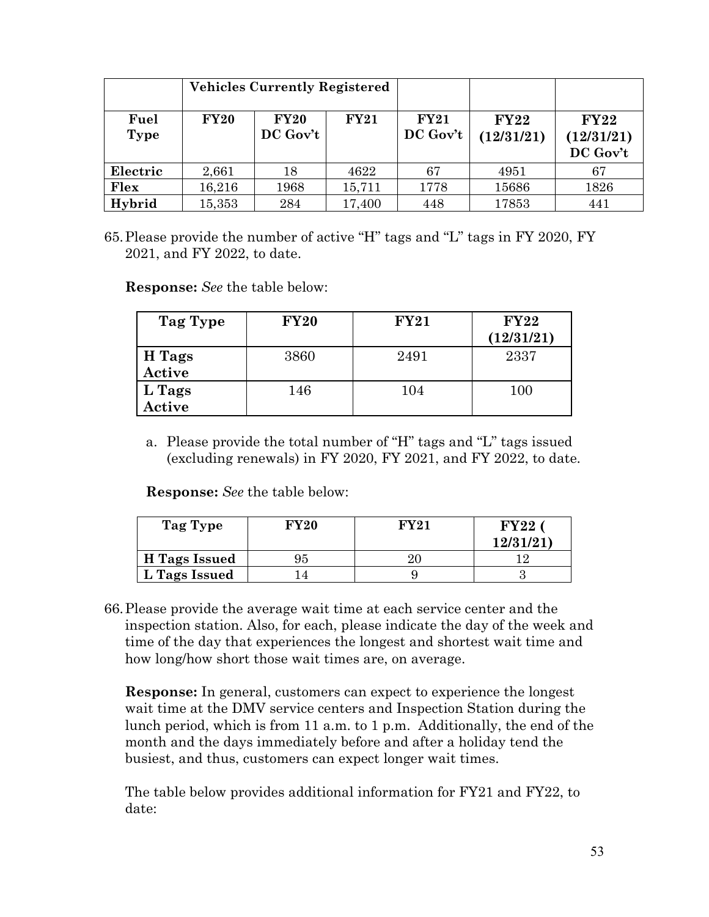|                     | <b>Vehicles Currently Registered</b> |                         |             |                         |                           |                                       |
|---------------------|--------------------------------------|-------------------------|-------------|-------------------------|---------------------------|---------------------------------------|
| Fuel<br><b>Type</b> | <b>FY20</b>                          | <b>FY20</b><br>DC Gov't | <b>FY21</b> | <b>FY21</b><br>DC Gov't | <b>FY22</b><br>(12/31/21) | <b>FY22</b><br>(12/31/21)<br>DC Gov't |
| Electric            | 2,661                                | 18                      | 4622        | 67                      | 4951                      | 67                                    |
| Flex                | 16,216                               | 1968                    | 15,711      | 1778                    | 15686                     | 1826                                  |
| Hybrid              | 15,353                               | 284                     | 17,400      | 448                     | 17853                     | 441                                   |

65.Please provide the number of active "H" tags and "L" tags in FY 2020, FY 2021, and FY 2022, to date.

**Response:** *See* the table below:

| Tag Type         | <b>FY20</b> | <b>FY21</b> | FY22<br>(12/31/21) |
|------------------|-------------|-------------|--------------------|
| H Tags<br>Active | 3860        | 2491        | 2337               |
| L Tags<br>Active | 146         | 104         | 100                |

a. Please provide the total number of "H" tags and "L" tags issued (excluding renewals) in FY 2020, FY 2021, and FY 2022, to date.

**Response:** *See* the table below:

| Tag Type      | FY20 | FY91 | ${\rm FY22}$<br>12/31/21 |
|---------------|------|------|--------------------------|
| H Tags Issued | 95   |      |                          |
| L Tags Issued |      |      |                          |

66.Please provide the average wait time at each service center and the inspection station. Also, for each, please indicate the day of the week and time of the day that experiences the longest and shortest wait time and how long/how short those wait times are, on average.

**Response:** In general, customers can expect to experience the longest wait time at the DMV service centers and Inspection Station during the lunch period, which is from 11 a.m. to 1 p.m. Additionally, the end of the month and the days immediately before and after a holiday tend the busiest, and thus, customers can expect longer wait times.

The table below provides additional information for FY21 and FY22, to date: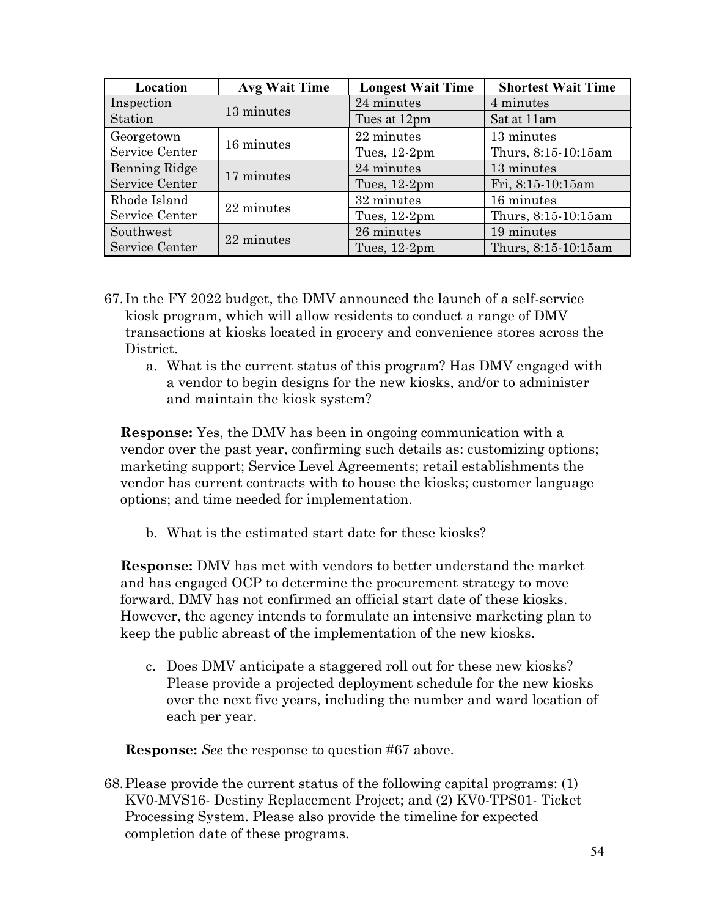| Location       | <b>Avg Wait Time</b> | <b>Longest Wait Time</b> | <b>Shortest Wait Time</b> |
|----------------|----------------------|--------------------------|---------------------------|
| Inspection     | 13 minutes           | 24 minutes               | 4 minutes                 |
| Station        |                      | Tues at 12pm             | Sat at 11am               |
| Georgetown     | 16 minutes           | 22 minutes               | 13 minutes                |
| Service Center |                      |                          | Thurs, 8:15-10:15am       |
| Benning Ridge  |                      |                          | 13 minutes                |
| Service Center | 17 minutes           | Tues, 12-2pm             | Fri, 8:15-10:15am         |
| Rhode Island   | 22 minutes           | 32 minutes               | 16 minutes                |
| Service Center |                      | Tues, 12-2pm             | Thurs, 8:15-10:15am       |
| Southwest      | 22 minutes           | 26 minutes               | 19 minutes                |
| Service Center |                      | Tues, 12-2pm             | Thurs, 8:15-10:15am       |

- 67. In the FY 2022 budget, the DMV announced the launch of a self-service kiosk program, which will allow residents to conduct a range of DMV transactions at kiosks located in grocery and convenience stores across the District.
	- a. What is the current status of this program? Has DMV engaged with a vendor to begin designs for the new kiosks, and/or to administer and maintain the kiosk system?

**Response:** Yes, the DMV has been in ongoing communication with a vendor over the past year, confirming such details as: customizing options; marketing support; Service Level Agreements; retail establishments the vendor has current contracts with to house the kiosks; customer language options; and time needed for implementation.

b. What is the estimated start date for these kiosks?

**Response:** DMV has met with vendors to better understand the market and has engaged OCP to determine the procurement strategy to move forward. DMV has not confirmed an official start date of these kiosks. However, the agency intends to formulate an intensive marketing plan to keep the public abreast of the implementation of the new kiosks.

c. Does DMV anticipate a staggered roll out for these new kiosks? Please provide a projected deployment schedule for the new kiosks over the next five years, including the number and ward location of each per year.

**Response:** *See* the response to question #67 above.

68.Please provide the current status of the following capital programs: (1) KV0-MVS16- Destiny Replacement Project; and (2) KV0-TPS01- Ticket Processing System. Please also provide the timeline for expected completion date of these programs.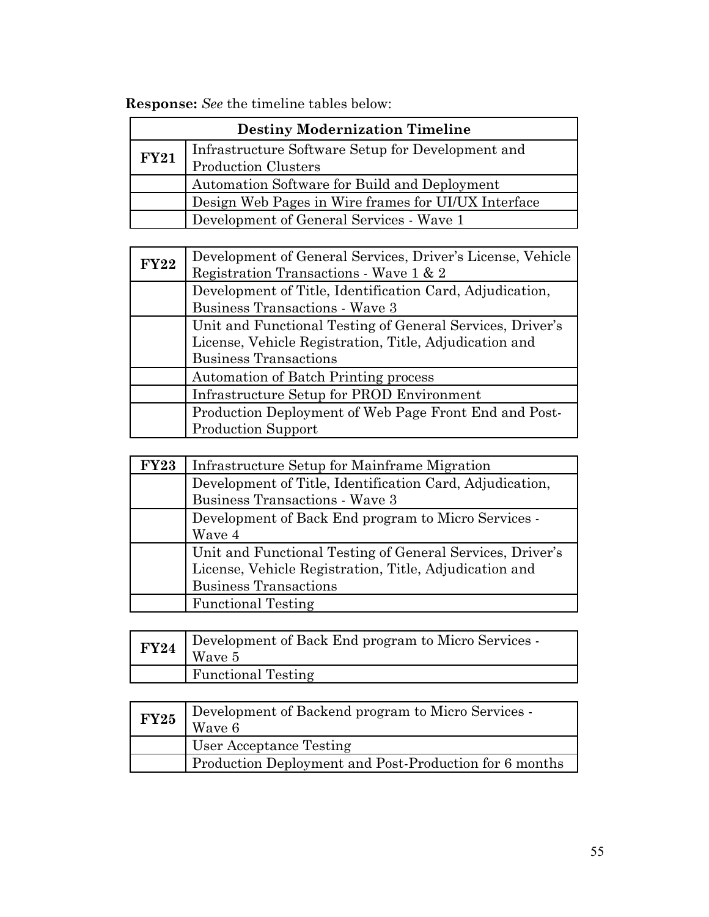**Response:** *See* the timeline tables below:

| <b>Destiny Modernization Timeline</b> |                                                     |  |
|---------------------------------------|-----------------------------------------------------|--|
| <b>FY21</b>                           | Infrastructure Software Setup for Development and   |  |
|                                       | <b>Production Clusters</b>                          |  |
|                                       | Automation Software for Build and Deployment        |  |
|                                       | Design Web Pages in Wire frames for UI/UX Interface |  |
|                                       | Development of General Services - Wave 1            |  |

| <b>FY22</b> | Development of General Services, Driver's License, Vehicle<br>Registration Transactions - Wave 1 & 2 |
|-------------|------------------------------------------------------------------------------------------------------|
|             | Development of Title, Identification Card, Adjudication,                                             |
|             | Business Transactions - Wave 3                                                                       |
|             | Unit and Functional Testing of General Services, Driver's                                            |
|             | License, Vehicle Registration, Title, Adjudication and                                               |
|             | <b>Business Transactions</b>                                                                         |
|             | Automation of Batch Printing process                                                                 |
|             | Infrastructure Setup for PROD Environment                                                            |
|             | Production Deployment of Web Page Front End and Post-                                                |
|             | <b>Production Support</b>                                                                            |

| FY23 | Infrastructure Setup for Mainframe Migration              |  |  |
|------|-----------------------------------------------------------|--|--|
|      | Development of Title, Identification Card, Adjudication,  |  |  |
|      | Business Transactions - Wave 3                            |  |  |
|      | Development of Back End program to Micro Services -       |  |  |
|      | Wave 4                                                    |  |  |
|      | Unit and Functional Testing of General Services, Driver's |  |  |
|      | License, Vehicle Registration, Title, Adjudication and    |  |  |
|      | <b>Business Transactions</b>                              |  |  |
|      | <b>Functional Testing</b>                                 |  |  |

| <b>FY24</b> | Development of Back End program to Micro Services -<br>Wave 5 |  |
|-------------|---------------------------------------------------------------|--|
|             | <b>Functional Testing</b>                                     |  |

| FY25 | Development of Backend program to Micro Services -<br>Wave 6 |  |
|------|--------------------------------------------------------------|--|
|      | User Acceptance Testing                                      |  |
|      | Production Deployment and Post-Production for 6 months       |  |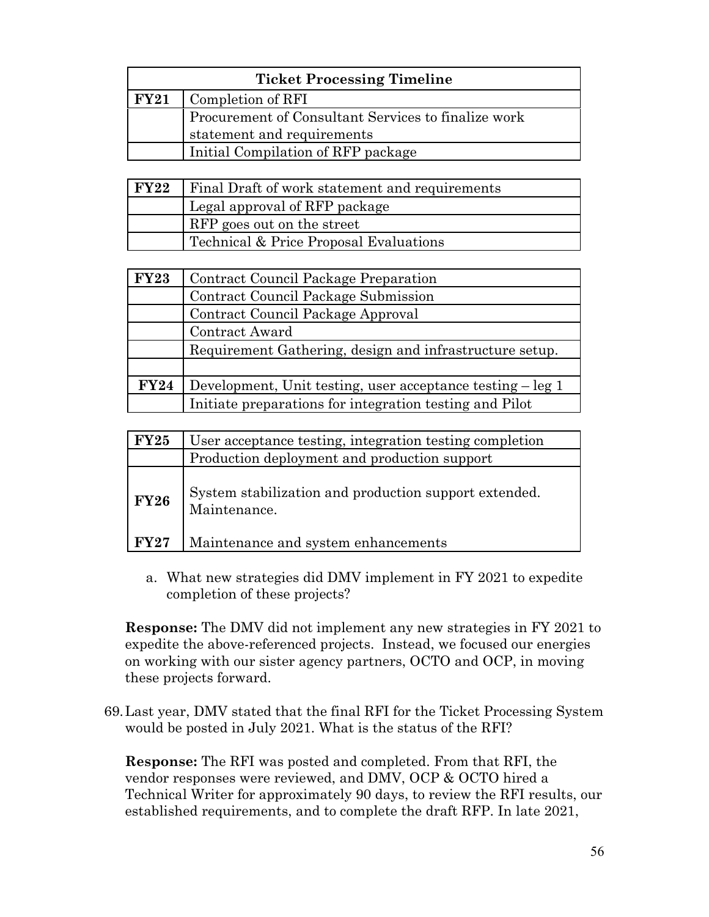| <b>Ticket Processing Timeline</b> |                                                     |  |
|-----------------------------------|-----------------------------------------------------|--|
| FY21                              | Completion of RFI                                   |  |
|                                   | Procurement of Consultant Services to finalize work |  |
|                                   | statement and requirements                          |  |
|                                   | Initial Compilation of RFP package                  |  |

| FY22 | <b>Final Draft of work statement and requirements</b> |  |  |
|------|-------------------------------------------------------|--|--|
|      | Legal approval of RFP package                         |  |  |
|      | RFP goes out on the street                            |  |  |
|      | Technical & Price Proposal Evaluations                |  |  |

| <b>FY23</b> | Contract Council Package Preparation                       |  |  |
|-------------|------------------------------------------------------------|--|--|
|             | Contract Council Package Submission                        |  |  |
|             | Contract Council Package Approval                          |  |  |
|             | Contract Award                                             |  |  |
|             | Requirement Gathering, design and infrastructure setup.    |  |  |
|             |                                                            |  |  |
| <b>FY24</b> | Development, Unit testing, user acceptance testing – leg 1 |  |  |
|             | Initiate preparations for integration testing and Pilot    |  |  |

| FY25        | User acceptance testing, integration testing completion               |
|-------------|-----------------------------------------------------------------------|
|             | Production deployment and production support                          |
| <b>FY26</b> | System stabilization and production support extended.<br>Maintenance. |
| FY27        | Maintenance and system enhancements                                   |

a. What new strategies did DMV implement in FY 2021 to expedite completion of these projects?

**Response:** The DMV did not implement any new strategies in FY 2021 to expedite the above-referenced projects. Instead, we focused our energies on working with our sister agency partners, OCTO and OCP, in moving these projects forward.

69.Last year, DMV stated that the final RFI for the Ticket Processing System would be posted in July 2021. What is the status of the RFI?

**Response:** The RFI was posted and completed. From that RFI, the vendor responses were reviewed, and DMV, OCP & OCTO hired a Technical Writer for approximately 90 days, to review the RFI results, our established requirements, and to complete the draft RFP. In late 2021,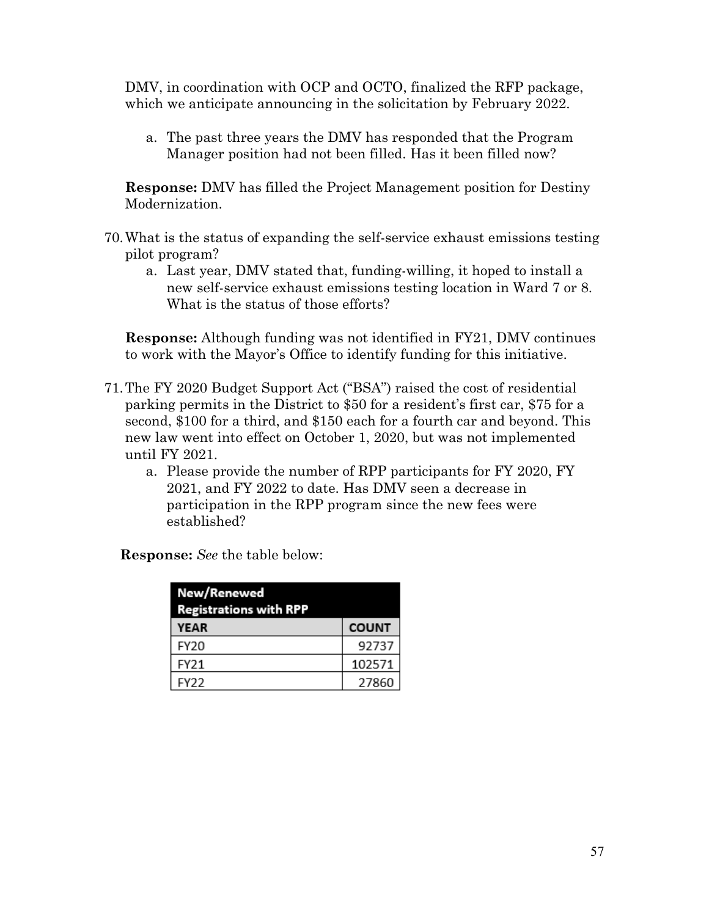DMV, in coordination with OCP and OCTO, finalized the RFP package, which we anticipate announcing in the solicitation by February 2022.

a. The past three years the DMV has responded that the Program Manager position had not been filled. Has it been filled now?

**Response:** DMV has filled the Project Management position for Destiny Modernization.

- 70.What is the status of expanding the self-service exhaust emissions testing pilot program?
	- a. Last year, DMV stated that, funding-willing, it hoped to install a new self-service exhaust emissions testing location in Ward 7 or 8. What is the status of those efforts?

**Response:** Although funding was not identified in FY21, DMV continues to work with the Mayor's Office to identify funding for this initiative.

- 71.The FY 2020 Budget Support Act ("BSA") raised the cost of residential parking permits in the District to \$50 for a resident's first car, \$75 for a second, \$100 for a third, and \$150 each for a fourth car and beyond. This new law went into effect on October 1, 2020, but was not implemented until FY 2021.
	- a. Please provide the number of RPP participants for FY 2020, FY 2021, and FY 2022 to date. Has DMV seen a decrease in participation in the RPP program since the new fees were established?

| New/Renewed<br><b>Registrations with RPP</b> |              |  |
|----------------------------------------------|--------------|--|
| YEAR                                         | <b>COUNT</b> |  |
| FY20                                         | 92737        |  |
| FY21                                         | 102571       |  |
| FY22                                         | 27860        |  |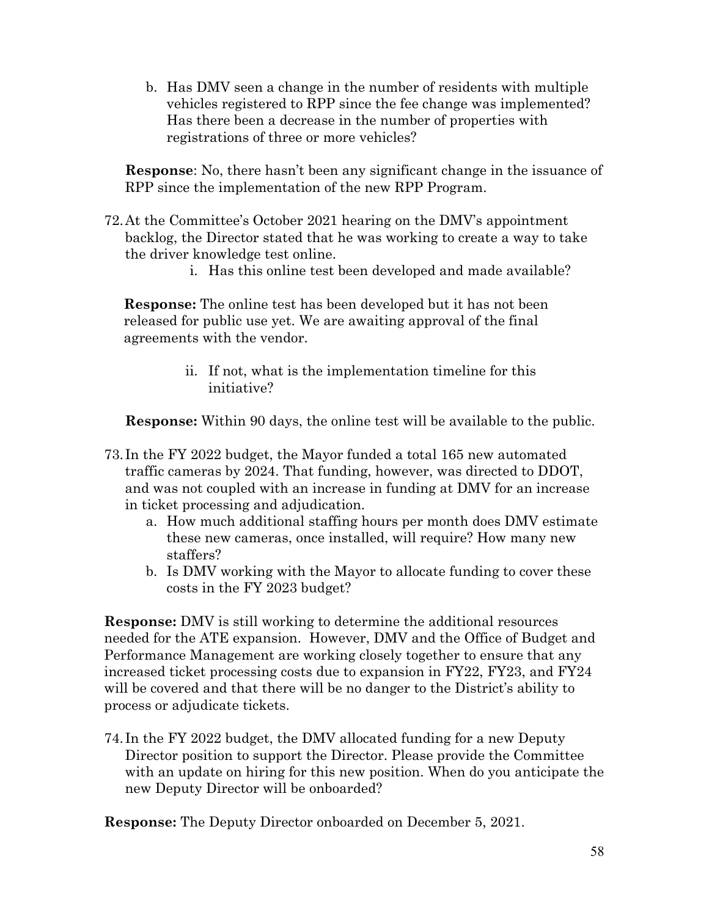b. Has DMV seen a change in the number of residents with multiple vehicles registered to RPP since the fee change was implemented? Has there been a decrease in the number of properties with registrations of three or more vehicles?

**Response**: No, there hasn't been any significant change in the issuance of RPP since the implementation of the new RPP Program.

- 72.At the Committee's October 2021 hearing on the DMV's appointment backlog, the Director stated that he was working to create a way to take the driver knowledge test online.
	- i. Has this online test been developed and made available?

**Response:** The online test has been developed but it has not been released for public use yet. We are awaiting approval of the final agreements with the vendor.

> ii. If not, what is the implementation timeline for this initiative?

**Response:** Within 90 days, the online test will be available to the public.

- 73. In the FY 2022 budget, the Mayor funded a total 165 new automated traffic cameras by 2024. That funding, however, was directed to DDOT, and was not coupled with an increase in funding at DMV for an increase in ticket processing and adjudication.
	- a. How much additional staffing hours per month does DMV estimate these new cameras, once installed, will require? How many new staffers?
	- b. Is DMV working with the Mayor to allocate funding to cover these costs in the FY 2023 budget?

**Response:** DMV is still working to determine the additional resources needed for the ATE expansion. However, DMV and the Office of Budget and Performance Management are working closely together to ensure that any increased ticket processing costs due to expansion in FY22, FY23, and FY24 will be covered and that there will be no danger to the District's ability to process or adjudicate tickets.

74. In the FY 2022 budget, the DMV allocated funding for a new Deputy Director position to support the Director. Please provide the Committee with an update on hiring for this new position. When do you anticipate the new Deputy Director will be onboarded?

**Response:** The Deputy Director onboarded on December 5, 2021.